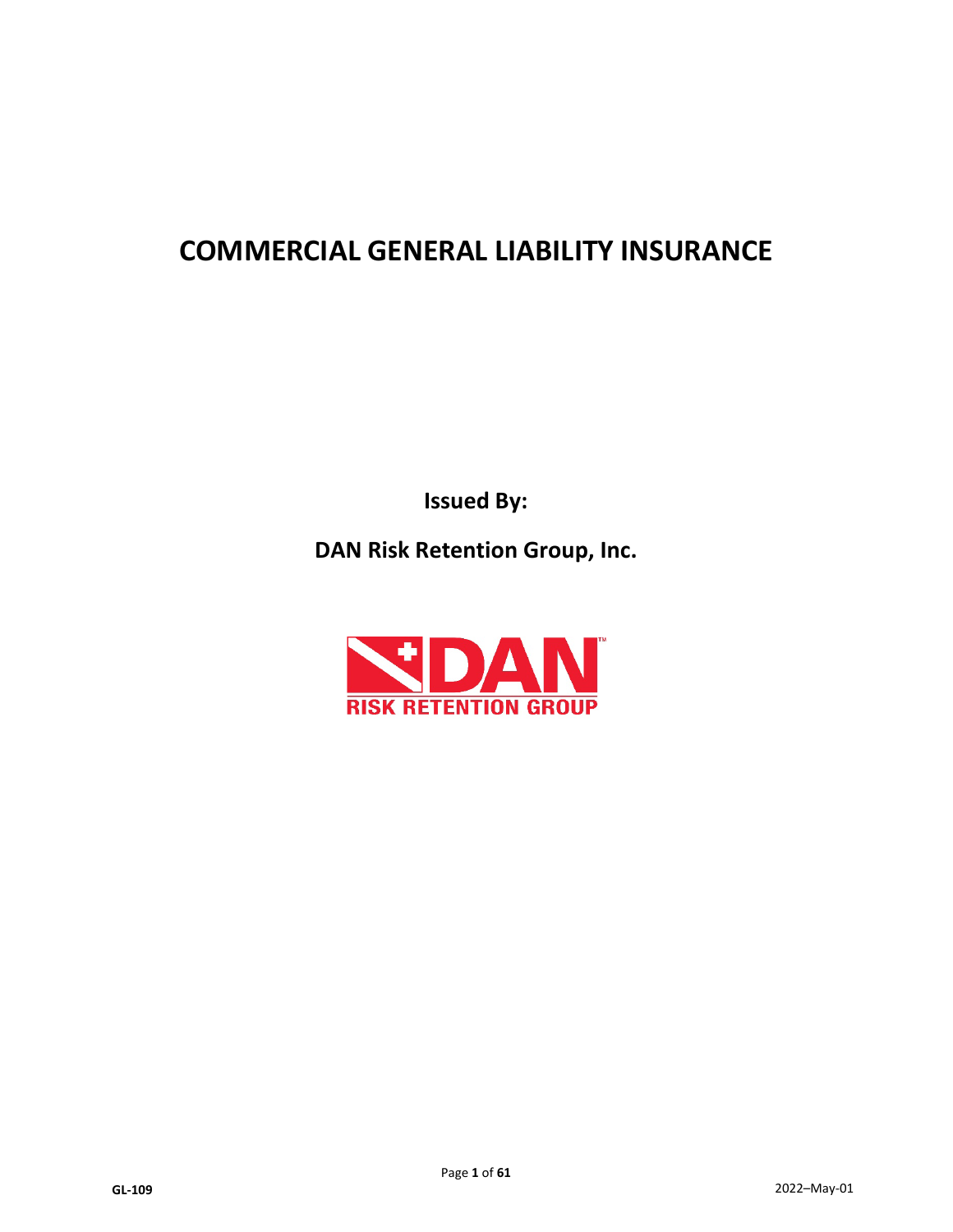# **COMMERCIAL GENERAL LIABILITY INSURANCE**

**Issued By:**

**DAN Risk Retention Group, Inc.**

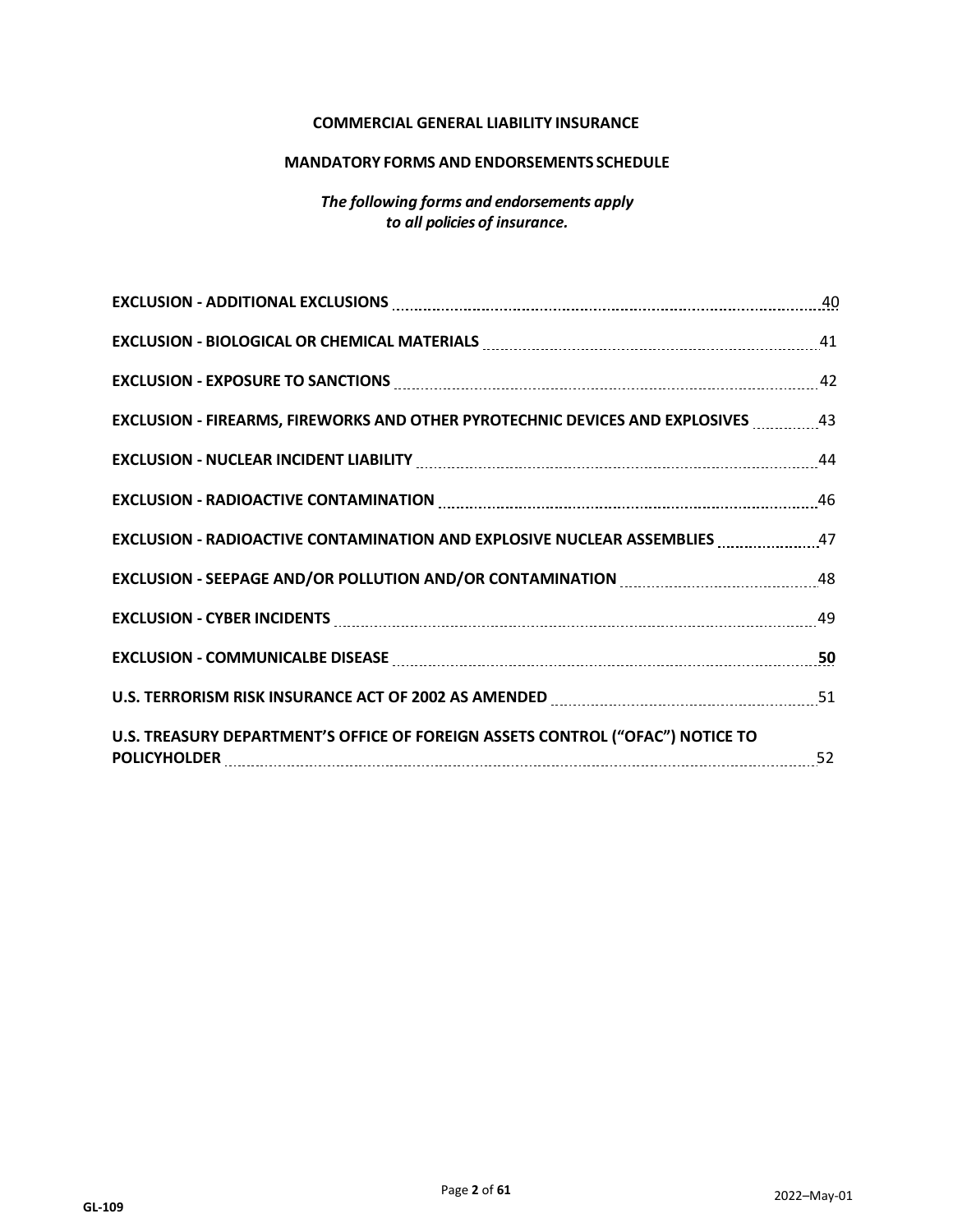#### **COMMERCIAL GENERAL LIABILITY INSURANCE**

#### **MANDATORY FORMS AND ENDORSEMENTS SCHEDULE**

## *The following forms and endorsements apply to all policies of insurance.*

| EXCLUSION - ADDITIONAL EXCLUSIONS MARKET AND ACCORDING TO A 40                                                                                                                   |  |
|----------------------------------------------------------------------------------------------------------------------------------------------------------------------------------|--|
| EXCLUSION - BIOLOGICAL OR CHEMICAL MATERIALS MELLET CONTINUES AND ALL ASSESSMENT ASSESSMENT ASSESSMENT AND ASSESSMENT ASSESSMENT AND RESIDENCE ASSESSMENT AND A LOCAL CONTINUES. |  |
| EXCLUSION - EXPOSURE TO SANCTIONS MARKET AND RESIDENCE AND A 24 SECOND FOR THE MARKET AND THE MARKET AND THE ME                                                                  |  |
| <b>EXCLUSION - FIREARMS, FIREWORKS AND OTHER PYROTECHNIC DEVICES AND EXPLOSIVES</b> 43                                                                                           |  |
| EXCLUSION - NUCLEAR INCIDENT LIABILITY MARKET MARKET AND THE MARKET AND THE MELTICART MARKET MARKET AND THE ME                                                                   |  |
| EXCLUSION - RADIOACTIVE CONTAMINATION MARKET AND ACCORDING THE ASSESSMENT RADIOACTIVE CONTAMINATION                                                                              |  |
| <b>EXCLUSION - RADIOACTIVE CONTAMINATION AND EXPLOSIVE NUCLEAR ASSEMBLIES</b> 47                                                                                                 |  |
| EXCLUSION - SEEPAGE AND/OR POLLUTION AND/OR CONTAMINATION MARKET AND ASSEMBLE AS                                                                                                 |  |
| EXCLUSION - CYBER INCIDENTS MARKET AND THE RESERVE ASSESSED. 49                                                                                                                  |  |
| EXCLUSION - COMMUNICALBE DISEASE MARKET AND ACCORDING TO THE SERVICE OF SALE AND THE SERVICE OF SERVICE OF SER                                                                   |  |
| U.S. TERRORISM RISK INSURANCE ACT OF 2002 AS AMENDED MARITIM MARKET MARKET 51                                                                                                    |  |
| U.S. TREASURY DEPARTMENT'S OFFICE OF FOREIGN ASSETS CONTROL ("OFAC") NOTICE TO                                                                                                   |  |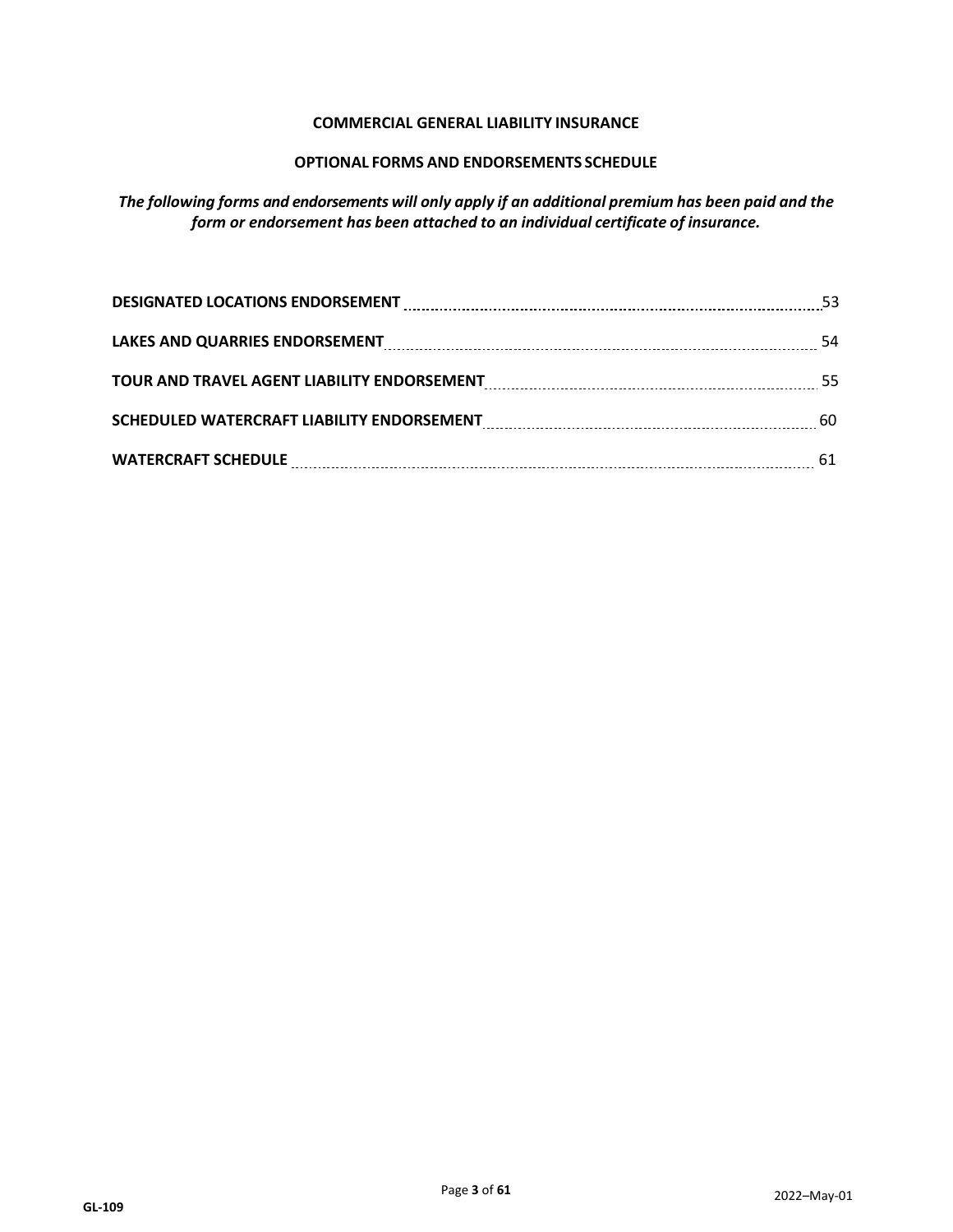## **COMMERCIAL GENERAL LIABILITY INSURANCE**

## **OPTIONAL FORMS AND ENDORSEMENTS SCHEDULE**

*The following forms and endorsements will only apply if an additional premium has been paid and the form or endorsement has been attached to an individual certificate of insurance.*

| DESIGNATED LOCATIONS ENDORSEMENT <b>MACHINE ARE ACCOMPLED TO A REGISTER</b> 53                                 |  |
|----------------------------------------------------------------------------------------------------------------|--|
|                                                                                                                |  |
| TOUR AND TRAVEL AGENT LIABILITY ENDORSEMENT MALLET AND TRAVEL AGENT LIABILITY ENDORSEMENT MALLET AND TRAVEL AS |  |
|                                                                                                                |  |
|                                                                                                                |  |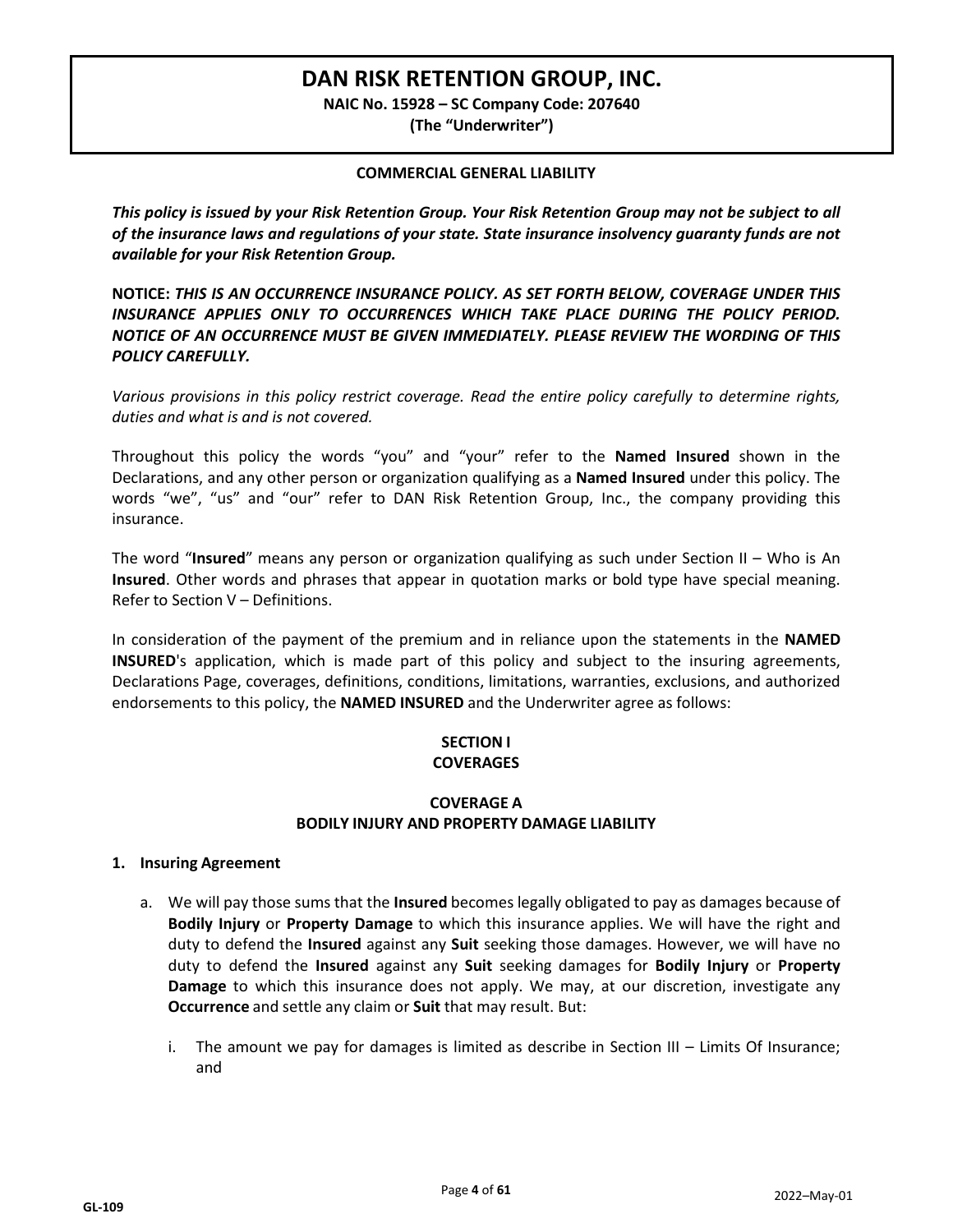## **DAN RISK RETENTION GROUP, INC.**

**NAIC No. 15928 – SC Company Code: 207640**

**(The "Underwriter")**

#### **COMMERCIAL GENERAL LIABILITY**

*This policy is issued by your Risk Retention Group. Your Risk Retention Group may not be subject to all of the insurance laws and regulations of your state. State insurance insolvency guaranty funds are not available for your Risk Retention Group.*

**NOTICE:** *THIS IS AN OCCURRENCE INSURANCE POLICY. AS SET FORTH BELOW, COVERAGE UNDER THIS INSURANCE APPLIES ONLY TO OCCURRENCES WHICH TAKE PLACE DURING THE POLICY PERIOD. NOTICE OF AN OCCURRENCE MUST BE GIVEN IMMEDIATELY. PLEASE REVIEW THE WORDING OF THIS POLICY CAREFULLY.*

*Various provisions in this policy restrict coverage. Read the entire policy carefully to determine rights, duties and what is and is not covered.*

Throughout this policy the words "you" and "your" refer to the **Named Insured** shown in the Declarations, and any other person or organization qualifying as a **Named Insured** under this policy. The words "we", "us" and "our" refer to DAN Risk Retention Group, Inc., the company providing this insurance.

The word "**Insured**" means any person or organization qualifying as such under Section II – Who is An **Insured**. Other words and phrases that appear in quotation marks or bold type have special meaning. Refer to Section V – Definitions.

In consideration of the payment of the premium and in reliance upon the statements in the **NAMED INSURED**'s application, which is made part of this policy and subject to the insuring agreements, Declarations Page, coverages, definitions, conditions, limitations, warranties, exclusions, and authorized endorsements to this policy, the **NAMED INSURED** and the Underwriter agree as follows:

## **SECTION I COVERAGES**

## **COVERAGE A BODILY INJURY AND PROPERTY DAMAGE LIABILITY**

#### **1. Insuring Agreement**

- a. We will pay those sums that the **Insured** becomes legally obligated to pay as damages because of **Bodily Injury** or **Property Damage** to which this insurance applies. We will have the right and duty to defend the **Insured** against any **Suit** seeking those damages. However, we will have no duty to defend the **Insured** against any **Suit** seeking damages for **Bodily Injury** or **Property Damage** to which this insurance does not apply. We may, at our discretion, investigate any **Occurrence** and settle any claim or **Suit** that may result. But:
	- i. The amount we pay for damages is limited as describe in Section III Limits Of Insurance; and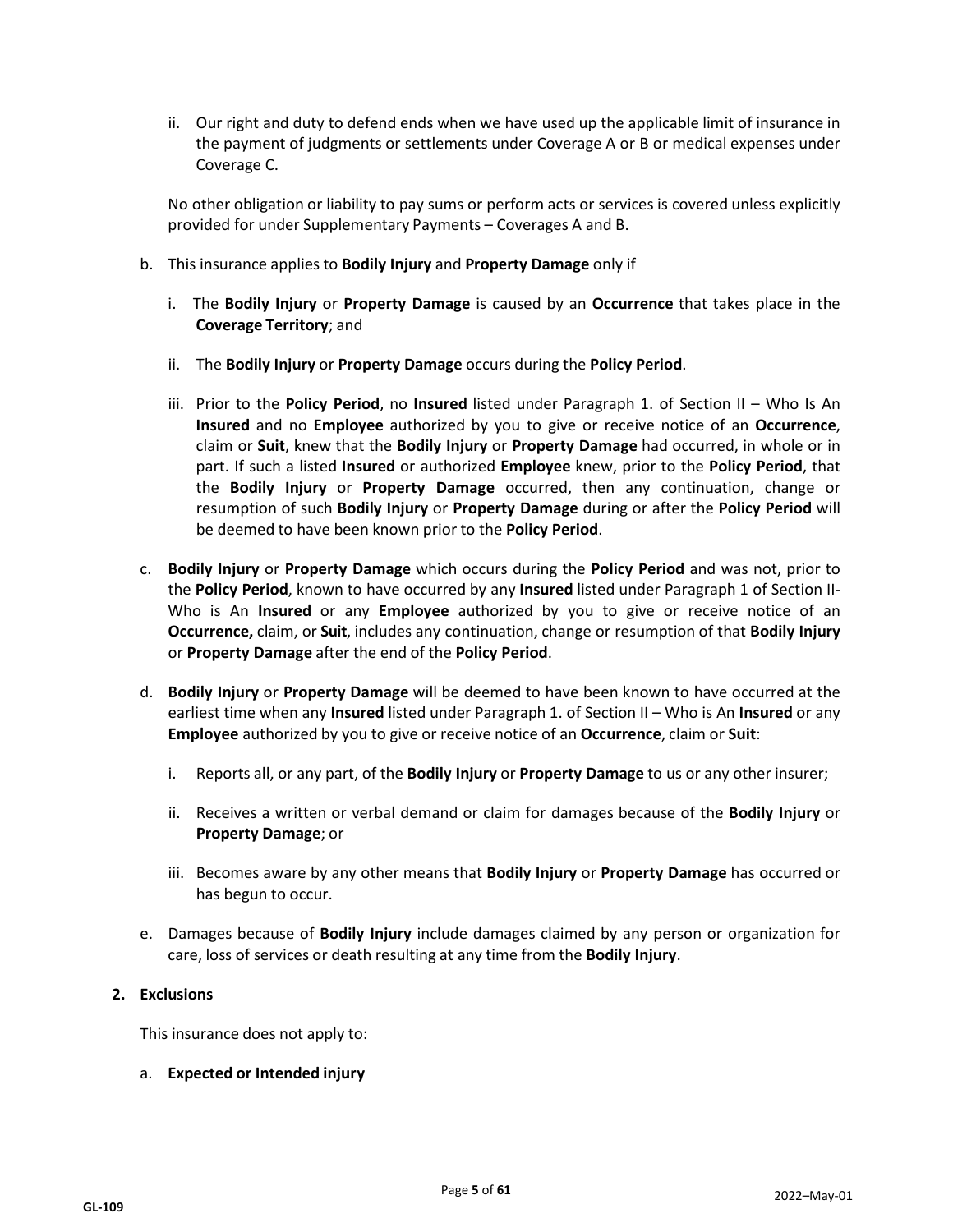ii. Our right and duty to defend ends when we have used up the applicable limit of insurance in the payment of judgments or settlements under Coverage A or B or medical expenses under Coverage C.

No other obligation or liability to pay sums or perform acts or services is covered unless explicitly provided for under Supplementary Payments – Coverages A and B.

- b. This insurance applies to **Bodily Injury** and **Property Damage** only if
	- i. The **Bodily Injury** or **Property Damage** is caused by an **Occurrence** that takes place in the **Coverage Territory**; and
	- ii. The **Bodily Injury** or **Property Damage** occurs during the **Policy Period**.
	- iii. Prior to the **Policy Period**, no **Insured** listed under Paragraph 1. of Section II Who Is An **Insured** and no **Employee** authorized by you to give or receive notice of an **Occurrence**, claim or **Suit**, knew that the **Bodily Injury** or **Property Damage** had occurred, in whole or in part. If such a listed **Insured** or authorized **Employee** knew, prior to the **Policy Period**, that the **Bodily Injury** or **Property Damage** occurred, then any continuation, change or resumption of such **Bodily Injury** or **Property Damage** during or after the **Policy Period** will be deemed to have been known prior to the **Policy Period**.
- c. **Bodily Injury** or **Property Damage** which occurs during the **Policy Period** and was not, prior to the **Policy Period**, known to have occurred by any **Insured** listed under Paragraph 1 of Section II-Who is An **Insured** or any **Employee** authorized by you to give or receive notice of an **Occurrence,** claim, or **Suit**, includes any continuation, change or resumption of that **Bodily Injury** or **Property Damage** after the end of the **Policy Period**.
- d. **Bodily Injury** or **Property Damage** will be deemed to have been known to have occurred at the earliest time when any **Insured** listed under Paragraph 1. of Section II – Who is An **Insured** or any **Employee** authorized by you to give or receive notice of an **Occurrence**, claim or **Suit**:
	- i. Reports all, or any part, of the **Bodily Injury** or **Property Damage** to us or any other insurer;
	- ii. Receives a written or verbal demand or claim for damages because of the **Bodily Injury** or **Property Damage**; or
	- iii. Becomes aware by any other means that **Bodily Injury** or **Property Damage** has occurred or has begun to occur.
- e. Damages because of **Bodily Injury** include damages claimed by any person or organization for care, loss of services or death resulting at any time from the **Bodily Injury**.

## **2. Exclusions**

This insurance does not apply to:

a. **Expected or Intended injury**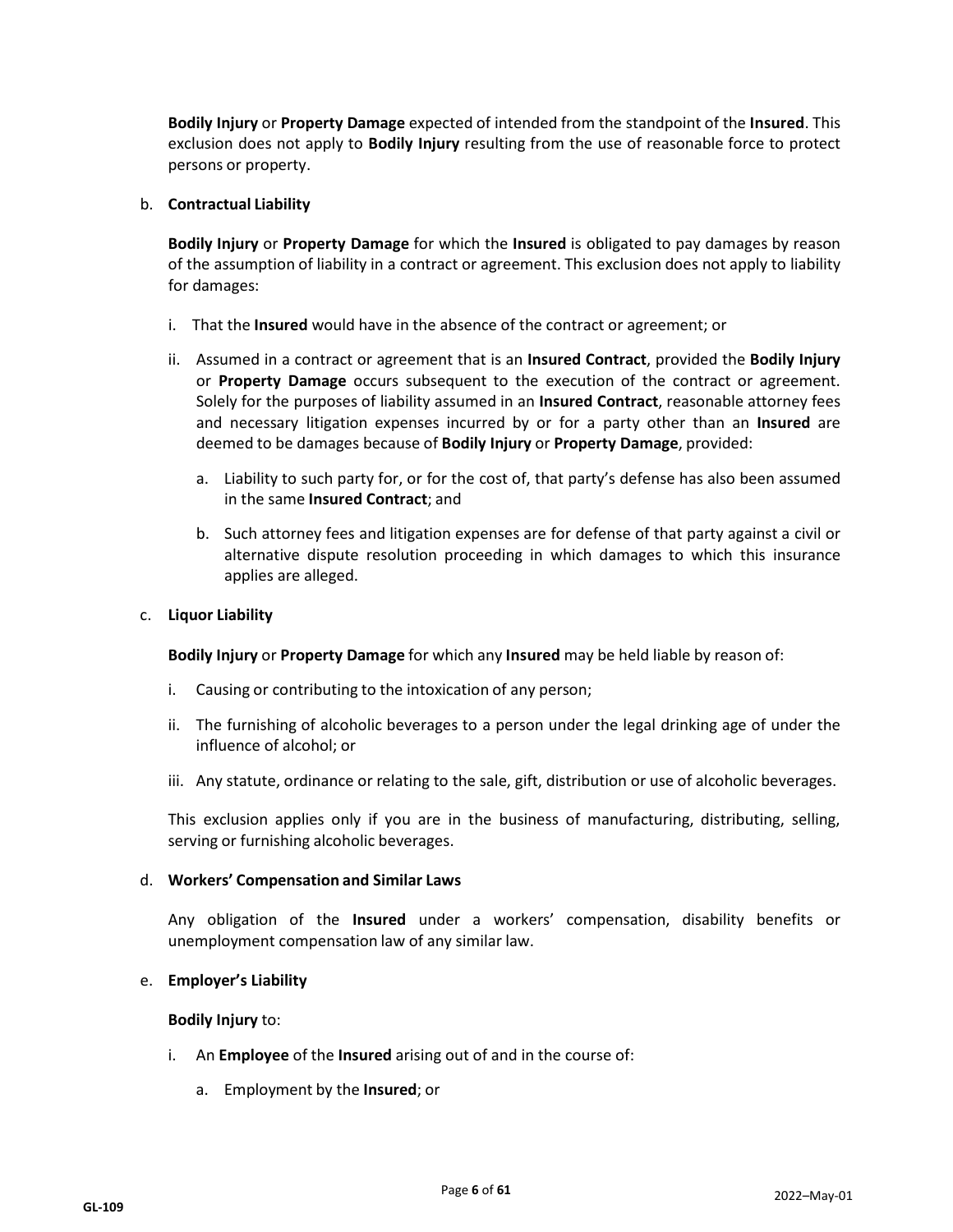**Bodily Injury** or **Property Damage** expected of intended from the standpoint of the **Insured**. This exclusion does not apply to **Bodily Injury** resulting from the use of reasonable force to protect persons or property.

#### b. **Contractual Liability**

**Bodily Injury** or **Property Damage** for which the **Insured** is obligated to pay damages by reason of the assumption of liability in a contract or agreement. This exclusion does not apply to liability for damages:

- i. That the **Insured** would have in the absence of the contract or agreement; or
- ii. Assumed in a contract or agreement that is an **Insured Contract**, provided the **Bodily Injury** or **Property Damage** occurs subsequent to the execution of the contract or agreement. Solely for the purposes of liability assumed in an **Insured Contract**, reasonable attorney fees and necessary litigation expenses incurred by or for a party other than an **Insured** are deemed to be damages because of **Bodily Injury** or **Property Damage**, provided:
	- a. Liability to such party for, or for the cost of, that party's defense has also been assumed in the same **Insured Contract**; and
	- b. Such attorney fees and litigation expenses are for defense of that party against a civil or alternative dispute resolution proceeding in which damages to which this insurance applies are alleged.

#### c. **Liquor Liability**

**Bodily Injury** or **Property Damage** for which any **Insured** may be held liable by reason of:

- i. Causing or contributing to the intoxication of any person;
- ii. The furnishing of alcoholic beverages to a person under the legal drinking age of under the influence of alcohol; or
- iii. Any statute, ordinance or relating to the sale, gift, distribution or use of alcoholic beverages.

This exclusion applies only if you are in the business of manufacturing, distributing, selling, serving or furnishing alcoholic beverages.

#### d. **Workers' Compensation and Similar Laws**

Any obligation of the **Insured** under a workers' compensation, disability benefits or unemployment compensation law of any similar law.

#### e. **Employer's Liability**

#### **Bodily Injury** to:

- i. An **Employee** of the **Insured** arising out of and in the course of:
	- a. Employment by the **Insured**; or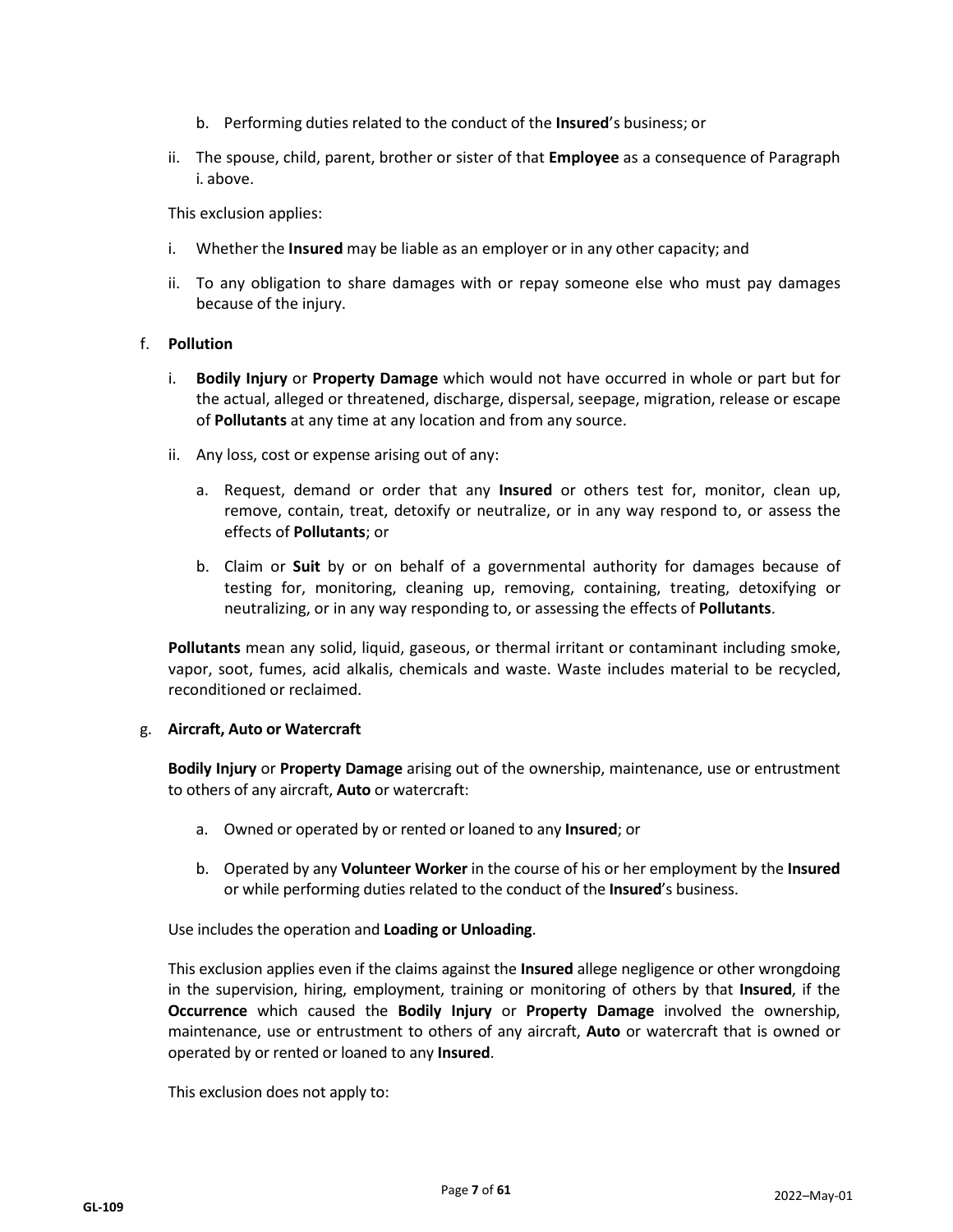- b. Performing duties related to the conduct of the **Insured**'s business; or
- ii. The spouse, child, parent, brother or sister of that **Employee** as a consequence of Paragraph i. above.

This exclusion applies:

- i. Whether the **Insured** may be liable as an employer or in any other capacity; and
- ii. To any obligation to share damages with or repay someone else who must pay damages because of the injury.

## f. **Pollution**

- i. **Bodily Injury** or **Property Damage** which would not have occurred in whole or part but for the actual, alleged or threatened, discharge, dispersal, seepage, migration, release or escape of **Pollutants** at any time at any location and from any source.
- ii. Any loss, cost or expense arising out of any:
	- a. Request, demand or order that any **Insured** or others test for, monitor, clean up, remove, contain, treat, detoxify or neutralize, or in any way respond to, or assess the effects of **Pollutants**; or
	- b. Claim or **Suit** by or on behalf of a governmental authority for damages because of testing for, monitoring, cleaning up, removing, containing, treating, detoxifying or neutralizing, or in any way responding to, or assessing the effects of **Pollutants**.

**Pollutants** mean any solid, liquid, gaseous, or thermal irritant or contaminant including smoke, vapor, soot, fumes, acid alkalis, chemicals and waste. Waste includes material to be recycled, reconditioned or reclaimed.

#### g. **Aircraft, Auto or Watercraft**

**Bodily Injury** or **Property Damage** arising out of the ownership, maintenance, use or entrustment to others of any aircraft, **Auto** or watercraft:

- a. Owned or operated by or rented or loaned to any **Insured**; or
- b. Operated by any **Volunteer Worker** in the course of his or her employment by the **Insured** or while performing duties related to the conduct of the **Insured**'s business.

Use includes the operation and **Loading or Unloading**.

This exclusion applies even if the claims against the **Insured** allege negligence or other wrongdoing in the supervision, hiring, employment, training or monitoring of others by that **Insured**, if the **Occurrence** which caused the **Bodily Injury** or **Property Damage** involved the ownership, maintenance, use or entrustment to others of any aircraft, **Auto** or watercraft that is owned or operated by or rented or loaned to any **Insured**.

This exclusion does not apply to: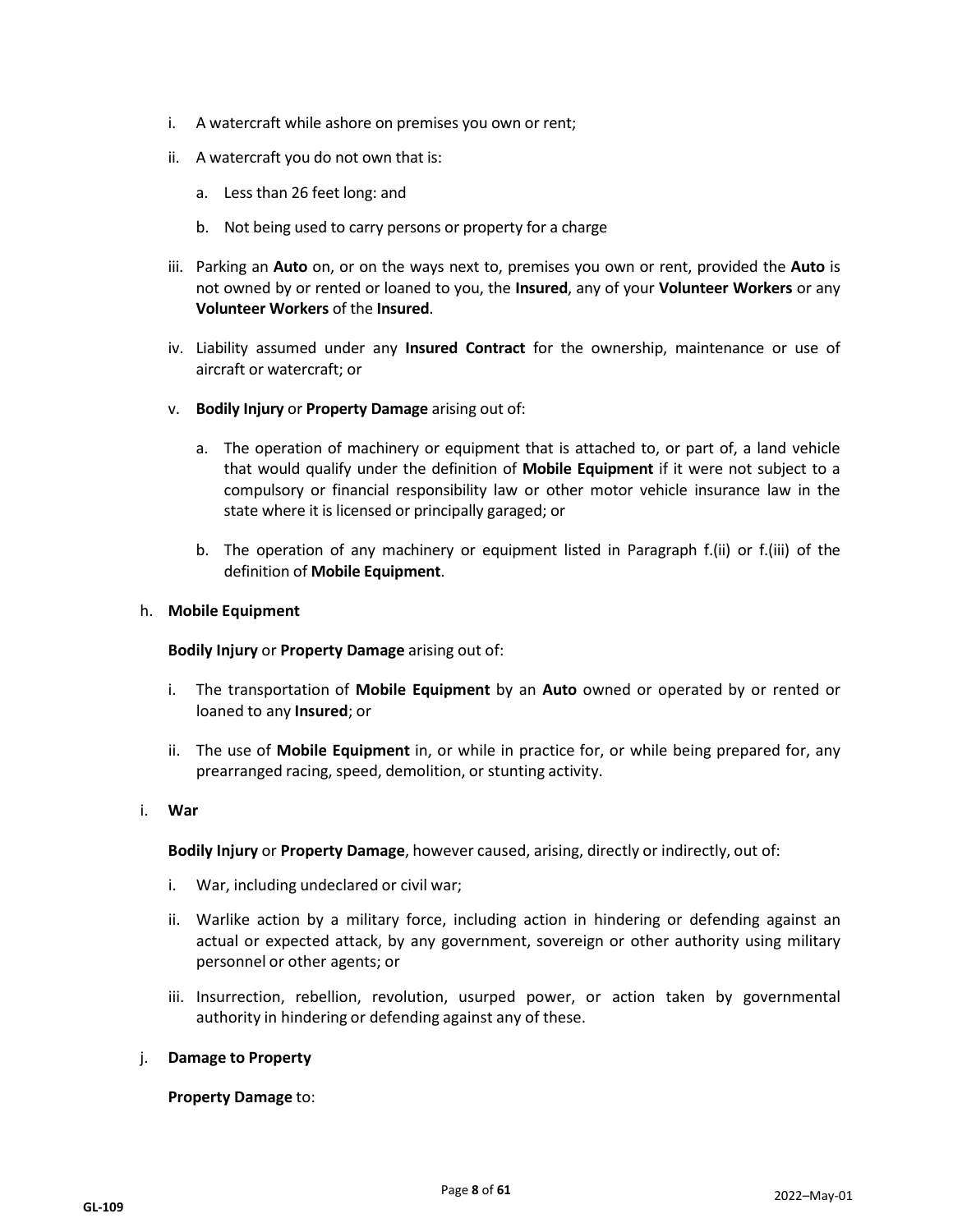- i. A watercraft while ashore on premises you own or rent;
- ii. A watercraft you do not own that is:
	- a. Less than 26 feet long: and
	- b. Not being used to carry persons or property for a charge
- iii. Parking an **Auto** on, or on the ways next to, premises you own or rent, provided the **Auto** is not owned by or rented or loaned to you, the **Insured**, any of your **Volunteer Workers** or any **Volunteer Workers** of the **Insured**.
- iv. Liability assumed under any **Insured Contract** for the ownership, maintenance or use of aircraft or watercraft; or
- v. **Bodily Injury** or **Property Damage** arising out of:
	- a. The operation of machinery or equipment that is attached to, or part of, a land vehicle that would qualify under the definition of **Mobile Equipment** if it were not subject to a compulsory or financial responsibility law or other motor vehicle insurance law in the state where it is licensed or principally garaged; or
	- b. The operation of any machinery or equipment listed in Paragraph f.(ii) or f.(iii) of the definition of **Mobile Equipment**.

#### h. **Mobile Equipment**

**Bodily Injury** or **Property Damage** arising out of:

- i. The transportation of **Mobile Equipment** by an **Auto** owned or operated by or rented or loaned to any **Insured**; or
- ii. The use of **Mobile Equipment** in, or while in practice for, or while being prepared for, any prearranged racing, speed, demolition, or stunting activity.

#### i. **War**

**Bodily Injury** or **Property Damage**, however caused, arising, directly or indirectly, out of:

- i. War, including undeclared or civil war;
- ii. Warlike action by a military force, including action in hindering or defending against an actual or expected attack, by any government, sovereign or other authority using military personnel or other agents; or
- iii. Insurrection, rebellion, revolution, usurped power, or action taken by governmental authority in hindering or defending against any of these.

#### j. **Damage to Property**

**Property Damage** to: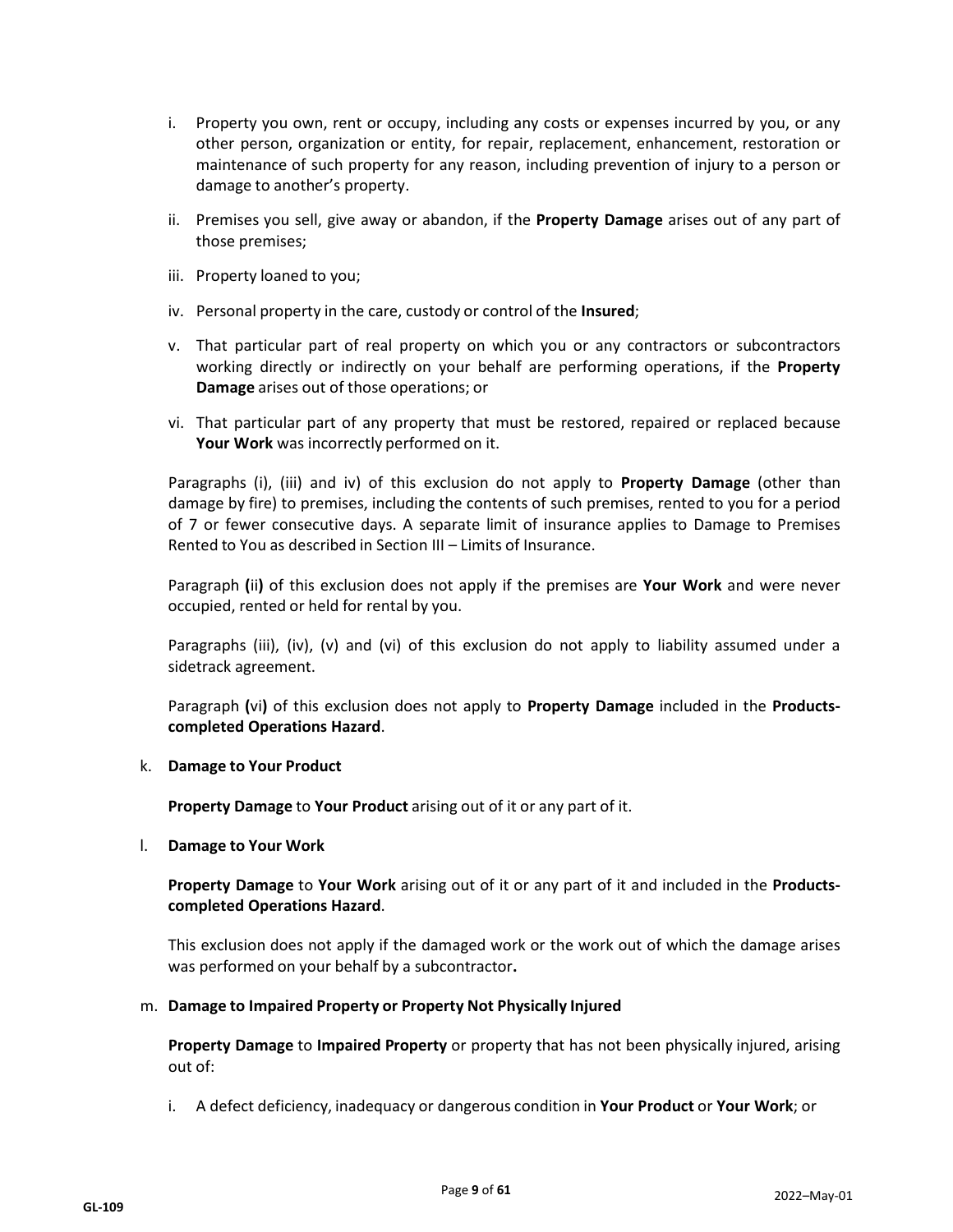- i. Property you own, rent or occupy, including any costs or expenses incurred by you, or any other person, organization or entity, for repair, replacement, enhancement, restoration or maintenance of such property for any reason, including prevention of injury to a person or damage to another's property.
- ii. Premises you sell, give away or abandon, if the **Property Damage** arises out of any part of those premises;
- iii. Property loaned to you;
- iv. Personal property in the care, custody or control of the **Insured**;
- v. That particular part of real property on which you or any contractors or subcontractors working directly or indirectly on your behalf are performing operations, if the **Property Damage** arises out of those operations; or
- vi. That particular part of any property that must be restored, repaired or replaced because **Your Work** was incorrectly performed on it.

Paragraphs (i), (iii) and iv) of this exclusion do not apply to **Property Damage** (other than damage by fire) to premises, including the contents of such premises, rented to you for a period of 7 or fewer consecutive days. A separate limit of insurance applies to Damage to Premises Rented to You as described in Section III – Limits of Insurance.

Paragraph **(**ii**)** of this exclusion does not apply if the premises are **Your Work** and were never occupied, rented or held for rental by you.

Paragraphs (iii), (iv), (v) and (vi) of this exclusion do not apply to liability assumed under a sidetrack agreement.

Paragraph **(**vi**)** of this exclusion does not apply to **Property Damage** included in the **Productscompleted Operations Hazard**.

#### k. **Damage to Your Product**

**Property Damage** to **Your Product** arising out of it or any part of it.

l. **Damage to Your Work**

**Property Damage** to **Your Work** arising out of it or any part of it and included in the **Productscompleted Operations Hazard**.

This exclusion does not apply if the damaged work or the work out of which the damage arises was performed on your behalf by a subcontractor**.**

#### m. **Damage to Impaired Property or Property Not Physically Injured**

**Property Damage** to **Impaired Property** or property that has not been physically injured, arising out of:

i. A defect deficiency, inadequacy or dangerous condition in **Your Product** or **Your Work**; or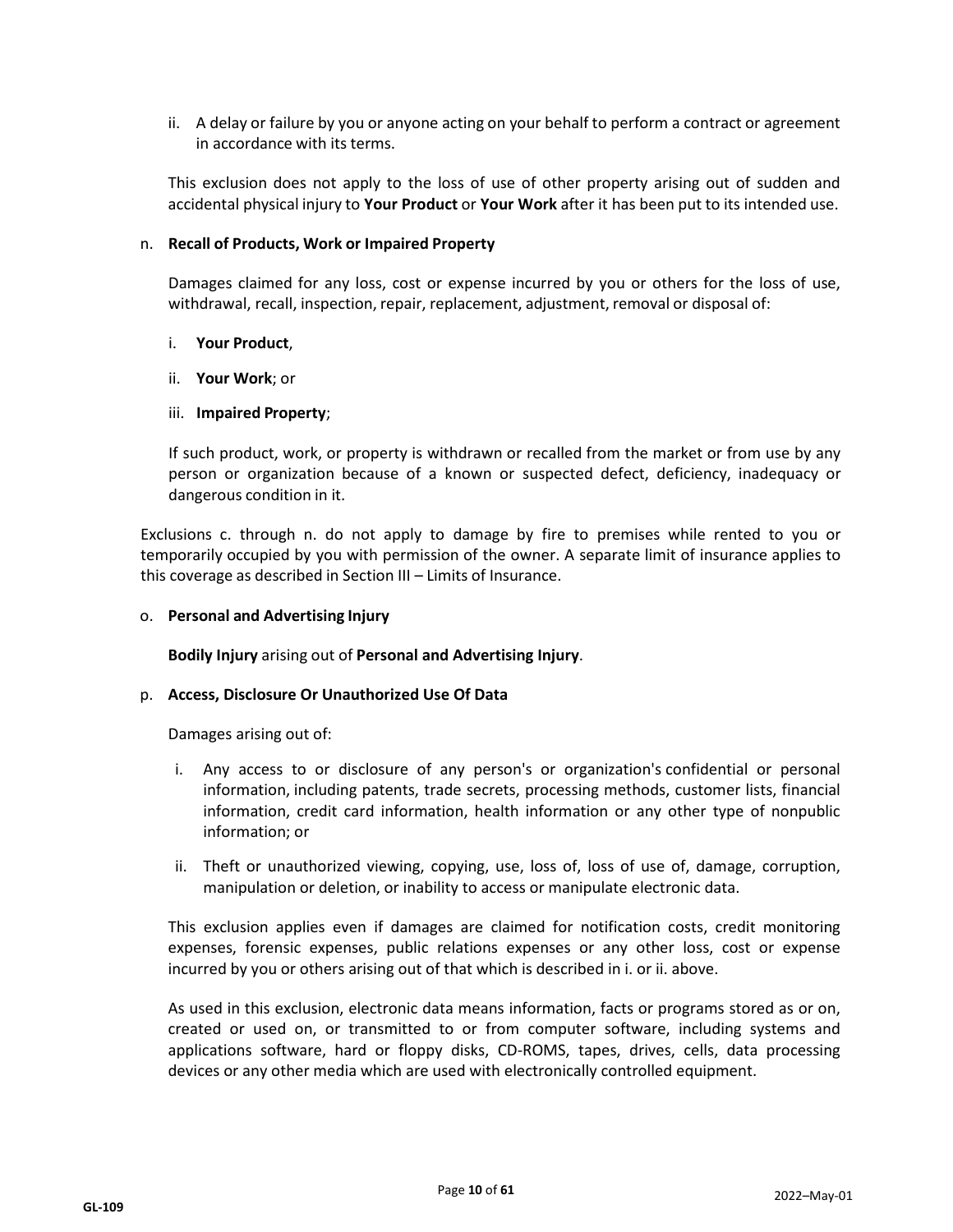ii. A delay or failure by you or anyone acting on your behalf to perform a contract or agreement in accordance with its terms.

This exclusion does not apply to the loss of use of other property arising out of sudden and accidental physical injury to **Your Product** or **Your Work** after it has been put to its intended use.

#### n. **Recall of Products, Work or Impaired Property**

Damages claimed for any loss, cost or expense incurred by you or others for the loss of use, withdrawal, recall, inspection, repair, replacement, adjustment, removal or disposal of:

#### i. **Your Product**,

ii. **Your Work**; or

#### iii. **Impaired Property**;

If such product, work, or property is withdrawn or recalled from the market or from use by any person or organization because of a known or suspected defect, deficiency, inadequacy or dangerous condition in it.

Exclusions c. through n. do not apply to damage by fire to premises while rented to you or temporarily occupied by you with permission of the owner. A separate limit of insurance applies to this coverage as described in Section III – Limits of Insurance.

#### o. **Personal and Advertising Injury**

**Bodily Injury** arising out of **Personal and Advertising Injury**.

#### p. **Access, Disclosure Or Unauthorized Use Of Data**

Damages arising out of:

- i. Any access to or disclosure of any person's or organization's confidential or personal information, including patents, trade secrets, processing methods, customer lists, financial information, credit card information, health information or any other type of nonpublic information; or
- ii. Theft or unauthorized viewing, copying, use, loss of, loss of use of, damage, corruption, manipulation or deletion, or inability to access or manipulate electronic data.

This exclusion applies even if damages are claimed for notification costs, credit monitoring expenses, forensic expenses, public relations expenses or any other loss, cost or expense incurred by you or others arising out of that which is described in i. or ii. above.

As used in this exclusion, electronic data means information, facts or programs stored as or on, created or used on, or transmitted to or from computer software, including systems and applications software, hard or floppy disks, CD-ROMS, tapes, drives, cells, data processing devices or any other media which are used with electronically controlled equipment.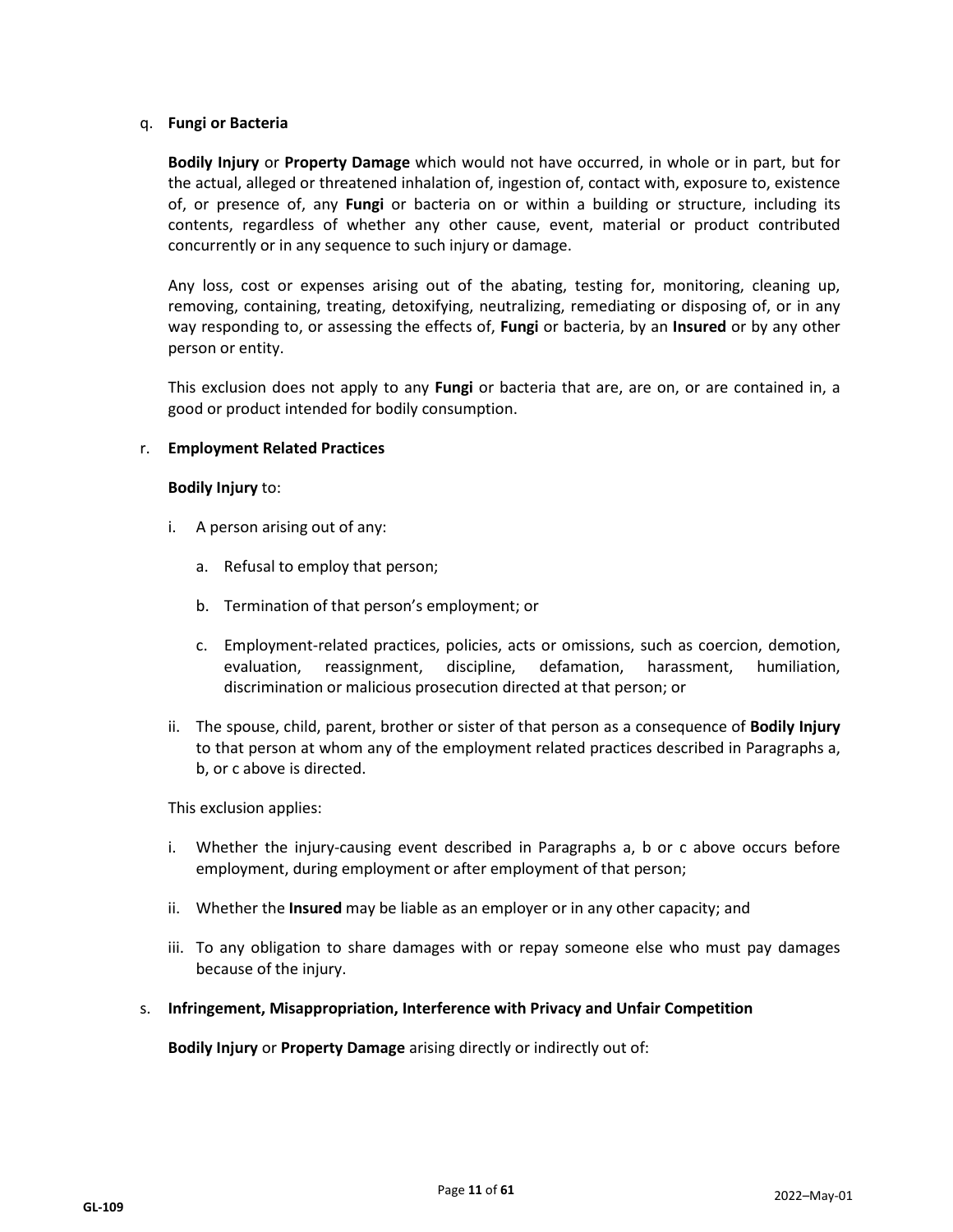#### q. **Fungi or Bacteria**

**Bodily Injury** or **Property Damage** which would not have occurred, in whole or in part, but for the actual, alleged or threatened inhalation of, ingestion of, contact with, exposure to, existence of, or presence of, any **Fungi** or bacteria on or within a building or structure, including its contents, regardless of whether any other cause, event, material or product contributed concurrently or in any sequence to such injury or damage.

Any loss, cost or expenses arising out of the abating, testing for, monitoring, cleaning up, removing, containing, treating, detoxifying, neutralizing, remediating or disposing of, or in any way responding to, or assessing the effects of, **Fungi** or bacteria, by an **Insured** or by any other person or entity.

This exclusion does not apply to any **Fungi** or bacteria that are, are on, or are contained in, a good or product intended for bodily consumption.

#### r. **Employment Related Practices**

#### **Bodily Injury** to:

- i. A person arising out of any:
	- a. Refusal to employ that person;
	- b. Termination of that person's employment; or
	- c. Employment-related practices, policies, acts or omissions, such as coercion, demotion, evaluation, reassignment, discipline, defamation, harassment, humiliation, discrimination or malicious prosecution directed at that person; or
- ii. The spouse, child, parent, brother or sister of that person as a consequence of **Bodily Injury** to that person at whom any of the employment related practices described in Paragraphs a, b, or c above is directed.

This exclusion applies:

- i. Whether the injury-causing event described in Paragraphs a, b or c above occurs before employment, during employment or after employment of that person;
- ii. Whether the **Insured** may be liable as an employer or in any other capacity; and
- iii. To any obligation to share damages with or repay someone else who must pay damages because of the injury.
- s. **Infringement, Misappropriation, Interference with Privacy and Unfair Competition**

**Bodily Injury** or **Property Damage** arising directly or indirectly out of: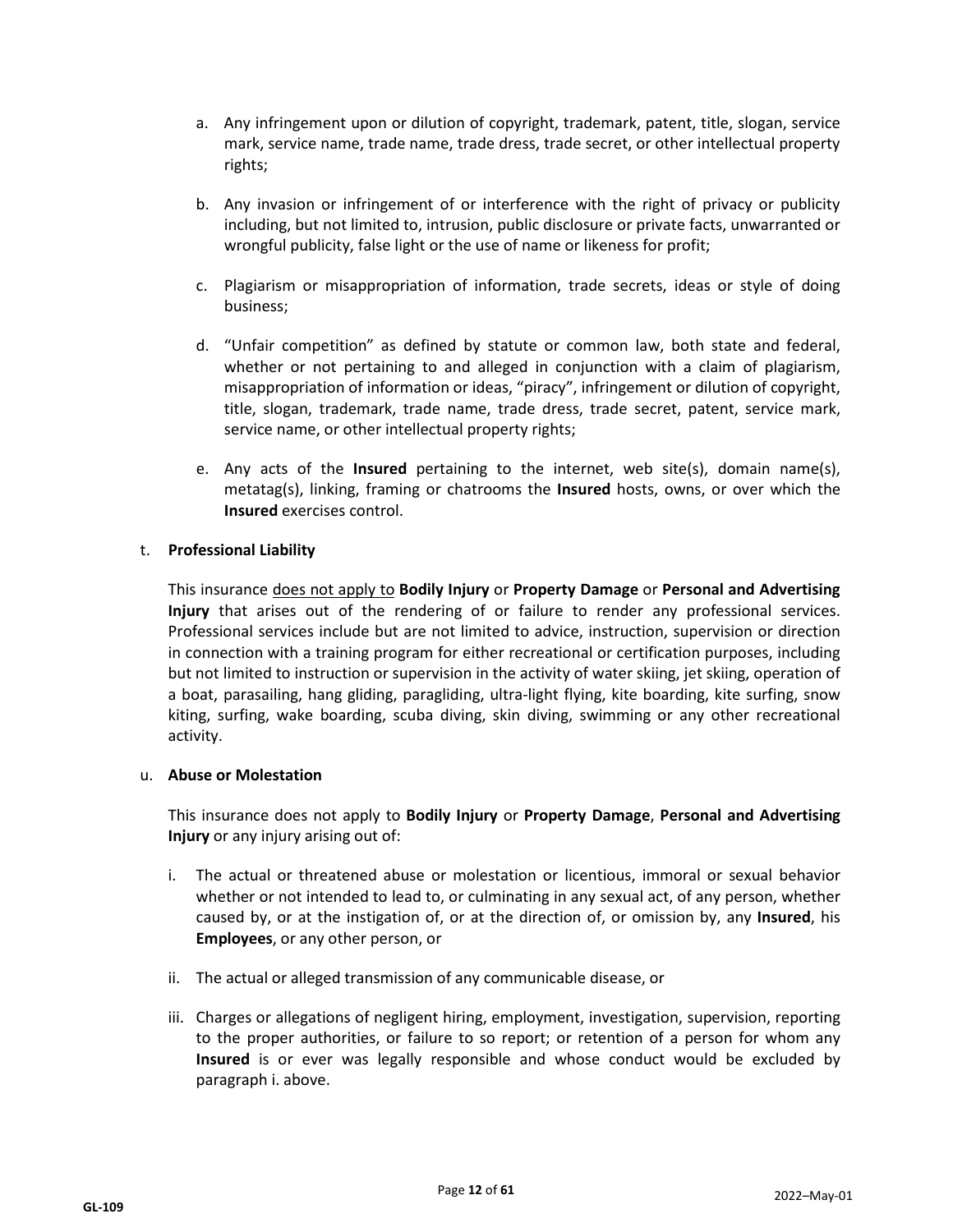- a. Any infringement upon or dilution of copyright, trademark, patent, title, slogan, service mark, service name, trade name, trade dress, trade secret, or other intellectual property rights;
- b. Any invasion or infringement of or interference with the right of privacy or publicity including, but not limited to, intrusion, public disclosure or private facts, unwarranted or wrongful publicity, false light or the use of name or likeness for profit;
- c. Plagiarism or misappropriation of information, trade secrets, ideas or style of doing business;
- d. "Unfair competition" as defined by statute or common law, both state and federal, whether or not pertaining to and alleged in conjunction with a claim of plagiarism, misappropriation of information or ideas, "piracy", infringement or dilution of copyright, title, slogan, trademark, trade name, trade dress, trade secret, patent, service mark, service name, or other intellectual property rights;
- e. Any acts of the **Insured** pertaining to the internet, web site(s), domain name(s), metatag(s), linking, framing or chatrooms the **Insured** hosts, owns, or over which the **Insured** exercises control.

## t. **Professional Liability**

This insurance does not apply to **Bodily Injury** or **Property Damage** or **Personal and Advertising Injury** that arises out of the rendering of or failure to render any professional services. Professional services include but are not limited to advice, instruction, supervision or direction in connection with a training program for either recreational or certification purposes, including but not limited to instruction or supervision in the activity of water skiing, jet skiing, operation of a boat, parasailing, hang gliding, paragliding, ultra-light flying, kite boarding, kite surfing, snow kiting, surfing, wake boarding, scuba diving, skin diving, swimming or any other recreational activity.

#### u. **Abuse or Molestation**

This insurance does not apply to **Bodily Injury** or **Property Damage**, **Personal and Advertising Injury** or any injury arising out of:

- i. The actual or threatened abuse or molestation or licentious, immoral or sexual behavior whether or not intended to lead to, or culminating in any sexual act, of any person, whether caused by, or at the instigation of, or at the direction of, or omission by, any **Insured**, his **Employees**, or any other person, or
- ii. The actual or alleged transmission of any communicable disease, or
- iii. Charges or allegations of negligent hiring, employment, investigation, supervision, reporting to the proper authorities, or failure to so report; or retention of a person for whom any **Insured** is or ever was legally responsible and whose conduct would be excluded by paragraph i. above.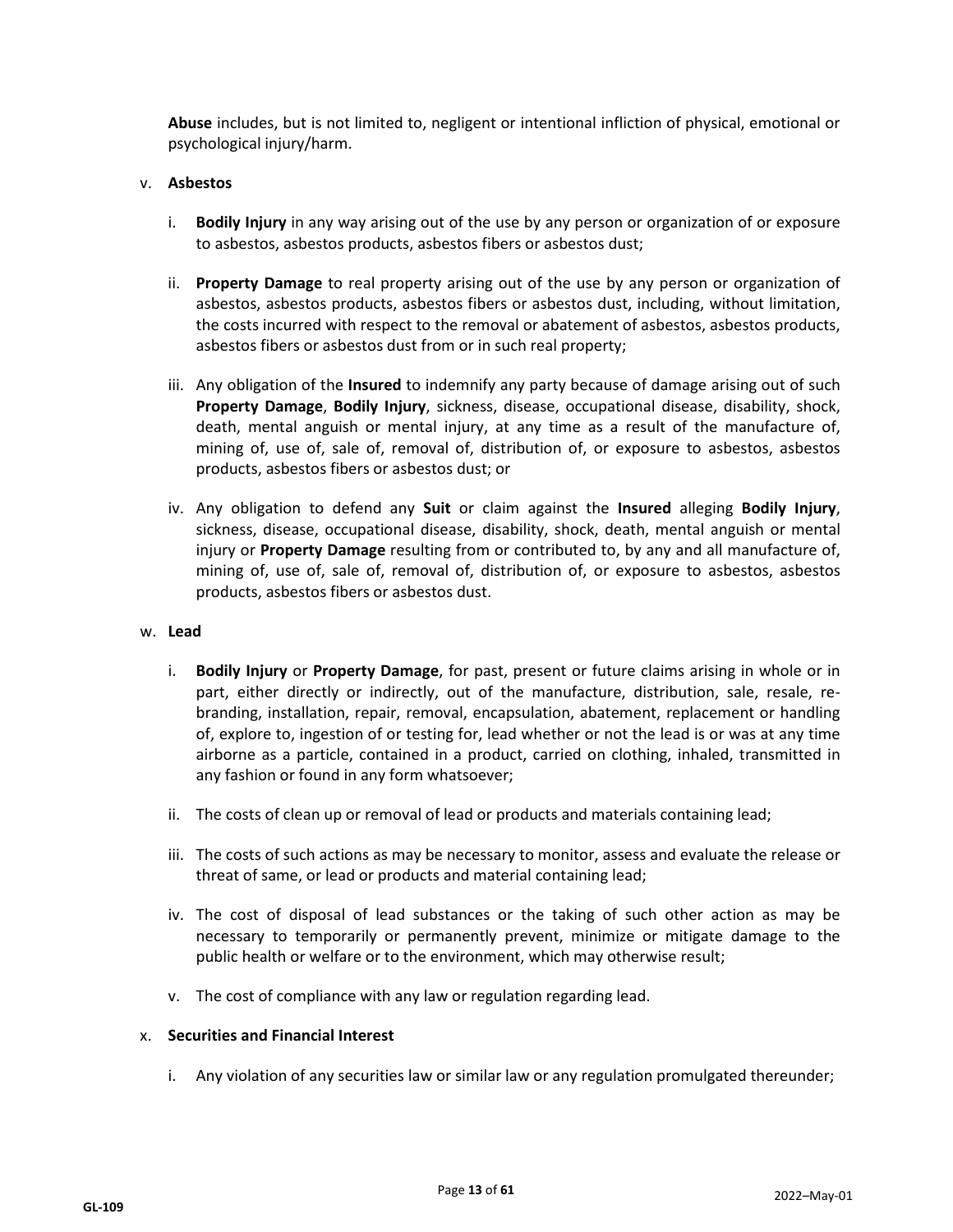**Abuse** includes, but is not limited to, negligent or intentional infliction of physical, emotional or psychological injury/harm.

## v. **Asbestos**

- i. **Bodily Injury** in any way arising out of the use by any person or organization of or exposure to asbestos, asbestos products, asbestos fibers or asbestos dust;
- ii. **Property Damage** to real property arising out of the use by any person or organization of asbestos, asbestos products, asbestos fibers or asbestos dust, including, without limitation, the costs incurred with respect to the removal or abatement of asbestos, asbestos products, asbestos fibers or asbestos dust from or in such real property;
- iii. Any obligation of the **Insured** to indemnify any party because of damage arising out of such **Property Damage**, **Bodily Injury**, sickness, disease, occupational disease, disability, shock, death, mental anguish or mental injury, at any time as a result of the manufacture of, mining of, use of, sale of, removal of, distribution of, or exposure to asbestos, asbestos products, asbestos fibers or asbestos dust; or
- iv. Any obligation to defend any **Suit** or claim against the **Insured** alleging **Bodily Injury**, sickness, disease, occupational disease, disability, shock, death, mental anguish or mental injury or **Property Damage** resulting from or contributed to, by any and all manufacture of, mining of, use of, sale of, removal of, distribution of, or exposure to asbestos, asbestos products, asbestos fibers or asbestos dust.

#### w. **Lead**

- i. **Bodily Injury** or **Property Damage**, for past, present or future claims arising in whole or in part, either directly or indirectly, out of the manufacture, distribution, sale, resale, rebranding, installation, repair, removal, encapsulation, abatement, replacement or handling of, explore to, ingestion of or testing for, lead whether or not the lead is or was at any time airborne as a particle, contained in a product, carried on clothing, inhaled, transmitted in any fashion or found in any form whatsoever;
- ii. The costs of clean up or removal of lead or products and materials containing lead;
- iii. The costs of such actions as may be necessary to monitor, assess and evaluate the release or threat of same, or lead or products and material containing lead;
- iv. The cost of disposal of lead substances or the taking of such other action as may be necessary to temporarily or permanently prevent, minimize or mitigate damage to the public health or welfare or to the environment, which may otherwise result;
- v. The cost of compliance with any law or regulation regarding lead.

#### x. **Securities and Financial Interest**

i. Any violation of any securities law or similar law or any regulation promulgated thereunder;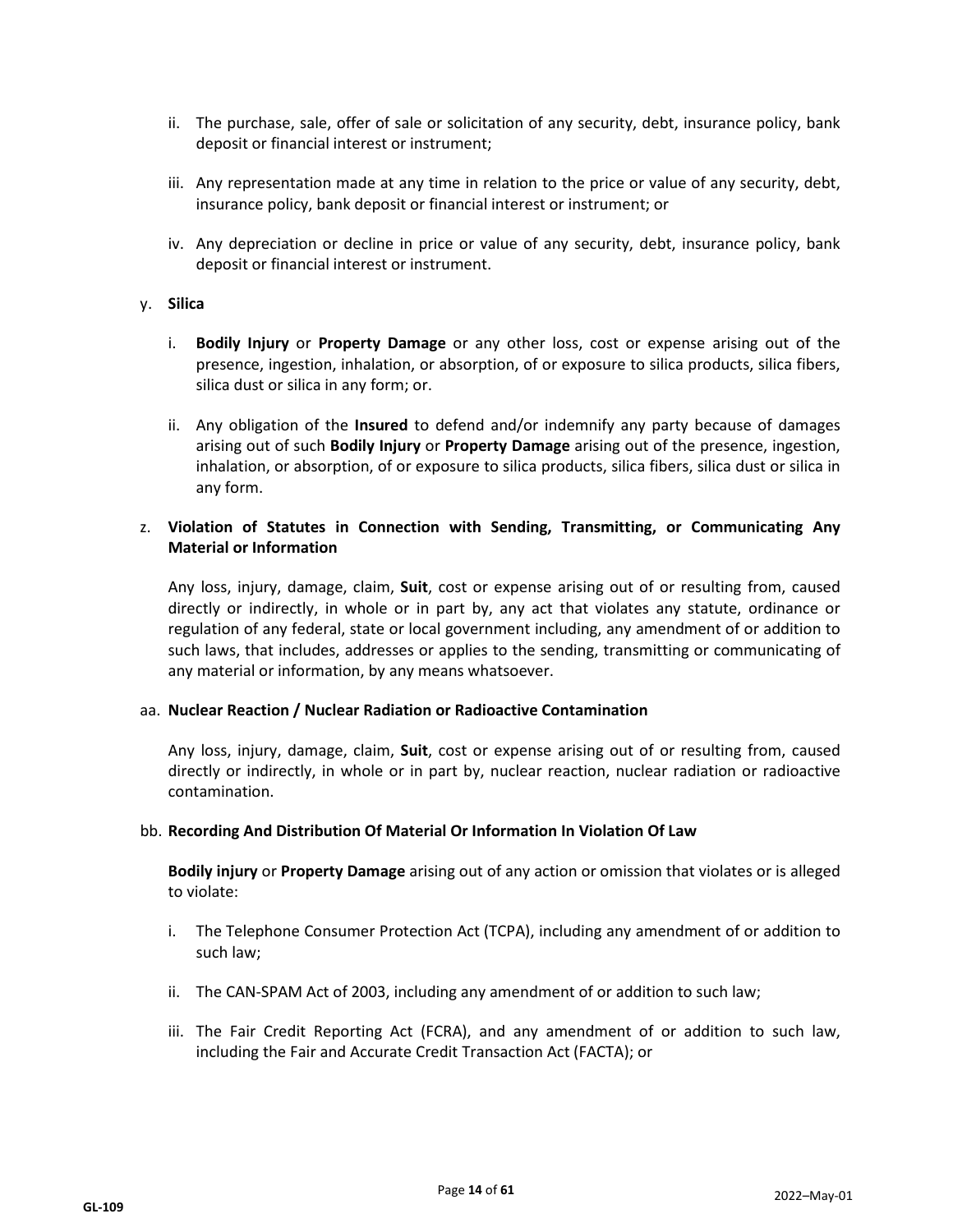- ii. The purchase, sale, offer of sale or solicitation of any security, debt, insurance policy, bank deposit or financial interest or instrument;
- iii. Any representation made at any time in relation to the price or value of any security, debt, insurance policy, bank deposit or financial interest or instrument; or
- iv. Any depreciation or decline in price or value of any security, debt, insurance policy, bank deposit or financial interest or instrument.

#### y. **Silica**

- i. **Bodily Injury** or **Property Damage** or any other loss, cost or expense arising out of the presence, ingestion, inhalation, or absorption, of or exposure to silica products, silica fibers, silica dust or silica in any form; or.
- ii. Any obligation of the **Insured** to defend and/or indemnify any party because of damages arising out of such **Bodily Injury** or **Property Damage** arising out of the presence, ingestion, inhalation, or absorption, of or exposure to silica products, silica fibers, silica dust or silica in any form.

## z. **Violation of Statutes in Connection with Sending, Transmitting, or Communicating Any Material or Information**

Any loss, injury, damage, claim, **Suit**, cost or expense arising out of or resulting from, caused directly or indirectly, in whole or in part by, any act that violates any statute, ordinance or regulation of any federal, state or local government including, any amendment of or addition to such laws, that includes, addresses or applies to the sending, transmitting or communicating of any material or information, by any means whatsoever.

#### aa. **Nuclear Reaction / Nuclear Radiation or Radioactive Contamination**

Any loss, injury, damage, claim, **Suit**, cost or expense arising out of or resulting from, caused directly or indirectly, in whole or in part by, nuclear reaction, nuclear radiation or radioactive contamination.

#### bb. **Recording And Distribution Of Material Or Information In Violation Of Law**

**Bodily injury** or **Property Damage** arising out of any action or omission that violates or is alleged to violate:

- i. The Telephone Consumer Protection Act (TCPA), including any amendment of or addition to such law;
- ii. The CAN-SPAM Act of 2003, including any amendment of or addition to such law;
- iii. The Fair Credit Reporting Act (FCRA), and any amendment of or addition to such law, including the Fair and Accurate Credit Transaction Act (FACTA); or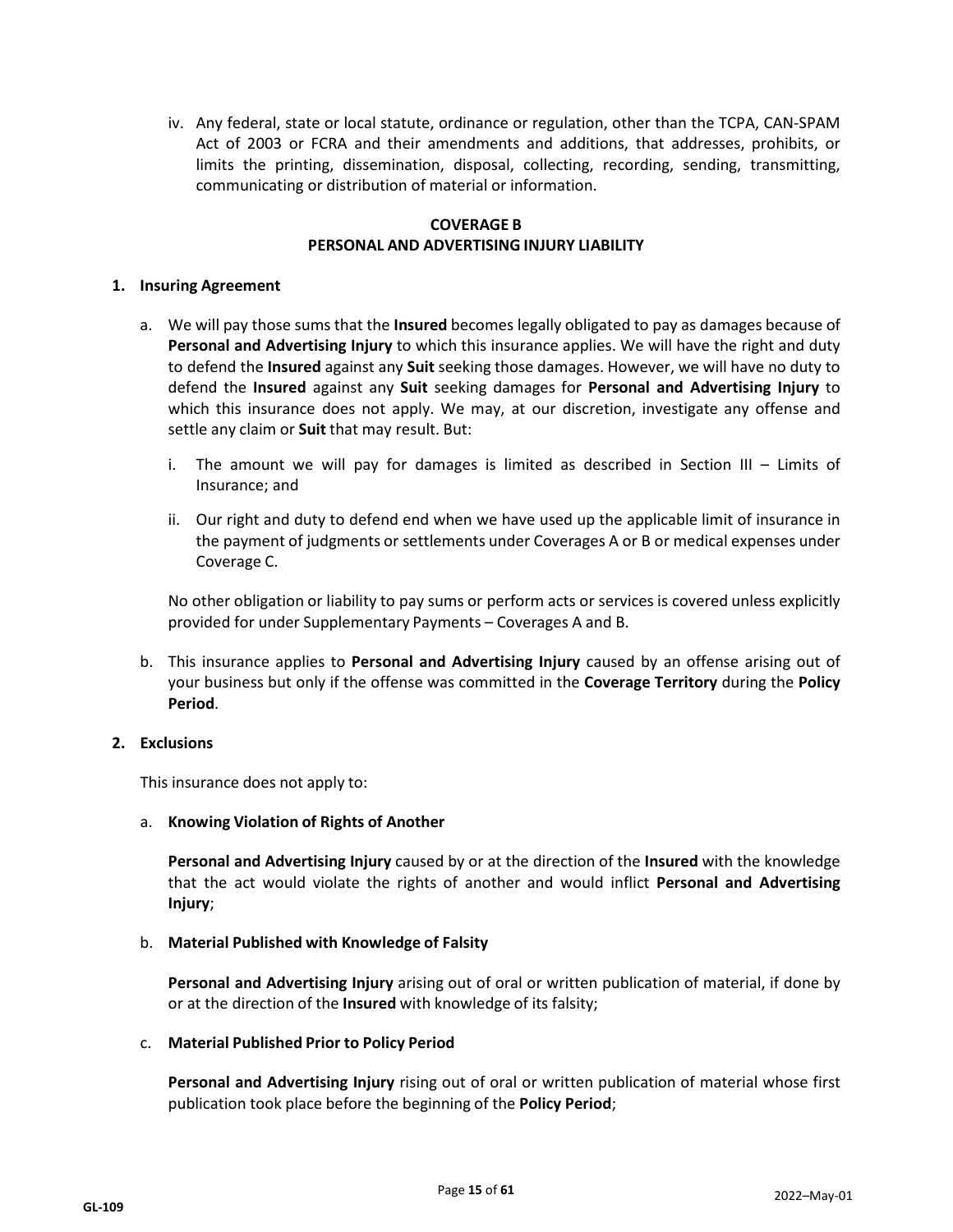iv. Any federal, state or local statute, ordinance or regulation, other than the TCPA, CAN-SPAM Act of 2003 or FCRA and their amendments and additions, that addresses, prohibits, or limits the printing, dissemination, disposal, collecting, recording, sending, transmitting, communicating or distribution of material or information.

## **COVERAGE B PERSONAL AND ADVERTISING INJURY LIABILITY**

#### **1. Insuring Agreement**

- a. We will pay those sums that the **Insured** becomes legally obligated to pay as damages because of **Personal and Advertising Injury** to which this insurance applies. We will have the right and duty to defend the **Insured** against any **Suit** seeking those damages. However, we will have no duty to defend the **Insured** against any **Suit** seeking damages for **Personal and Advertising Injury** to which this insurance does not apply. We may, at our discretion, investigate any offense and settle any claim or **Suit** that may result. But:
	- i. The amount we will pay for damages is limited as described in Section III Limits of Insurance; and
	- ii. Our right and duty to defend end when we have used up the applicable limit of insurance in the payment of judgments or settlements under Coverages A or B or medical expenses under Coverage C.

No other obligation or liability to pay sums or perform acts or services is covered unless explicitly provided for under Supplementary Payments – Coverages A and B.

b. This insurance applies to **Personal and Advertising Injury** caused by an offense arising out of your business but only if the offense was committed in the **Coverage Territory** during the **Policy Period**.

#### **2. Exclusions**

This insurance does not apply to:

#### a. **Knowing Violation of Rights of Another**

**Personal and Advertising Injury** caused by or at the direction of the **Insured** with the knowledge that the act would violate the rights of another and would inflict **Personal and Advertising Injury**;

#### b. **Material Published with Knowledge of Falsity**

**Personal and Advertising Injury** arising out of oral or written publication of material, if done by or at the direction of the **Insured** with knowledge of its falsity;

#### c. **Material Published Prior to Policy Period**

**Personal and Advertising Injury** rising out of oral or written publication of material whose first publication took place before the beginning of the **Policy Period**;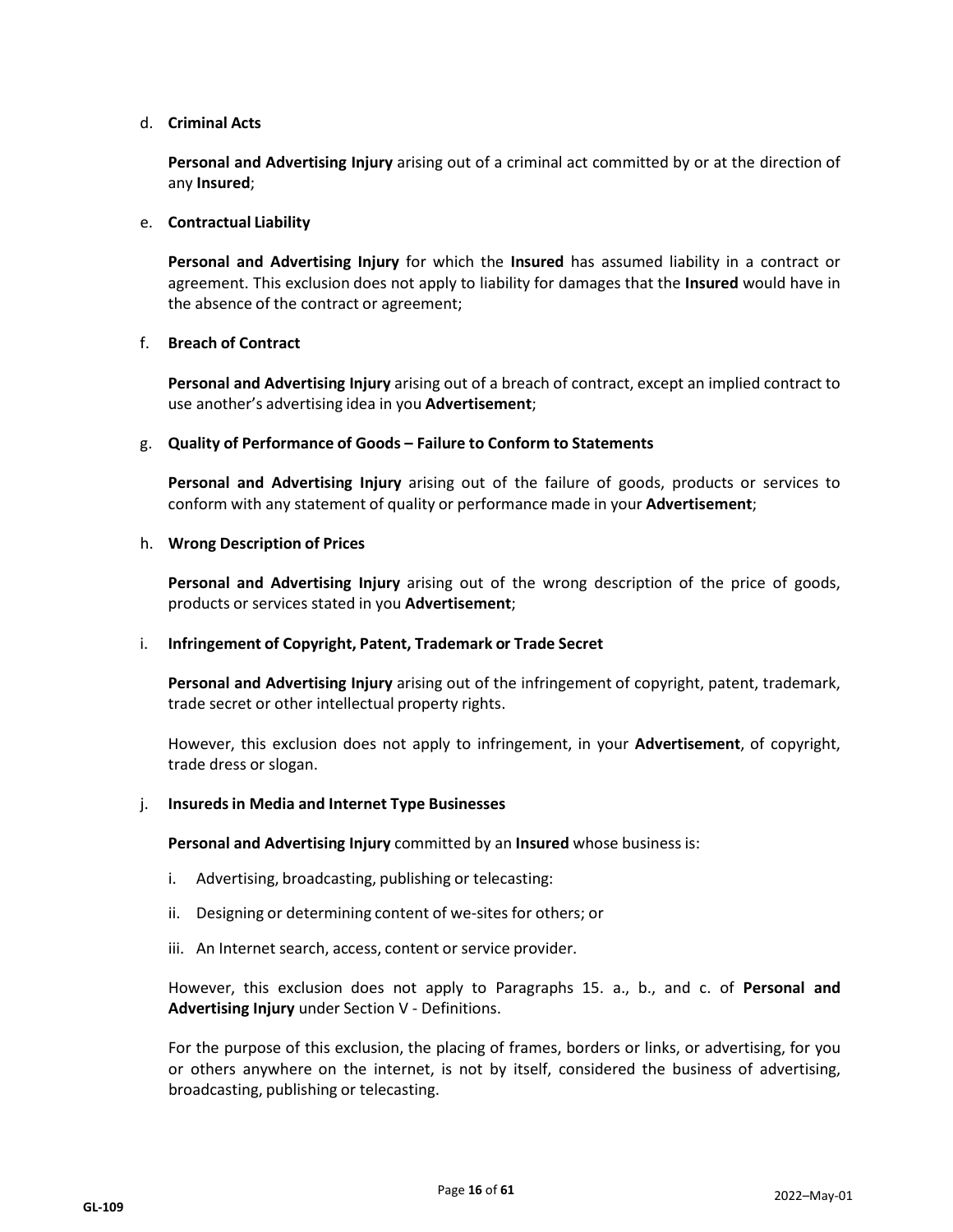## d. **Criminal Acts**

**Personal and Advertising Injury** arising out of a criminal act committed by or at the direction of any **Insured**;

#### e. **Contractual Liability**

**Personal and Advertising Injury** for which the **Insured** has assumed liability in a contract or agreement. This exclusion does not apply to liability for damages that the **Insured** would have in the absence of the contract or agreement;

## f. **Breach of Contract**

**Personal and Advertising Injury** arising out of a breach of contract, except an implied contract to use another's advertising idea in you **Advertisement**;

#### g. **Quality of Performance of Goods – Failure to Conform to Statements**

**Personal and Advertising Injury** arising out of the failure of goods, products or services to conform with any statement of quality or performance made in your **Advertisement**;

#### h. **Wrong Description of Prices**

**Personal and Advertising Injury** arising out of the wrong description of the price of goods, products or services stated in you **Advertisement**;

#### i. **Infringement of Copyright, Patent, Trademark or Trade Secret**

**Personal and Advertising Injury** arising out of the infringement of copyright, patent, trademark, trade secret or other intellectual property rights.

However, this exclusion does not apply to infringement, in your **Advertisement**, of copyright, trade dress or slogan.

#### j. **Insuredsin Media and Internet Type Businesses**

**Personal and Advertising Injury** committed by an **Insured** whose business is:

- i. Advertising, broadcasting, publishing or telecasting:
- ii. Designing or determining content of we-sites for others; or
- iii. An Internet search, access, content or service provider.

However, this exclusion does not apply to Paragraphs 15. a., b., and c. of **Personal and Advertising Injury** under Section V - Definitions.

For the purpose of this exclusion, the placing of frames, borders or links, or advertising, for you or others anywhere on the internet, is not by itself, considered the business of advertising, broadcasting, publishing or telecasting.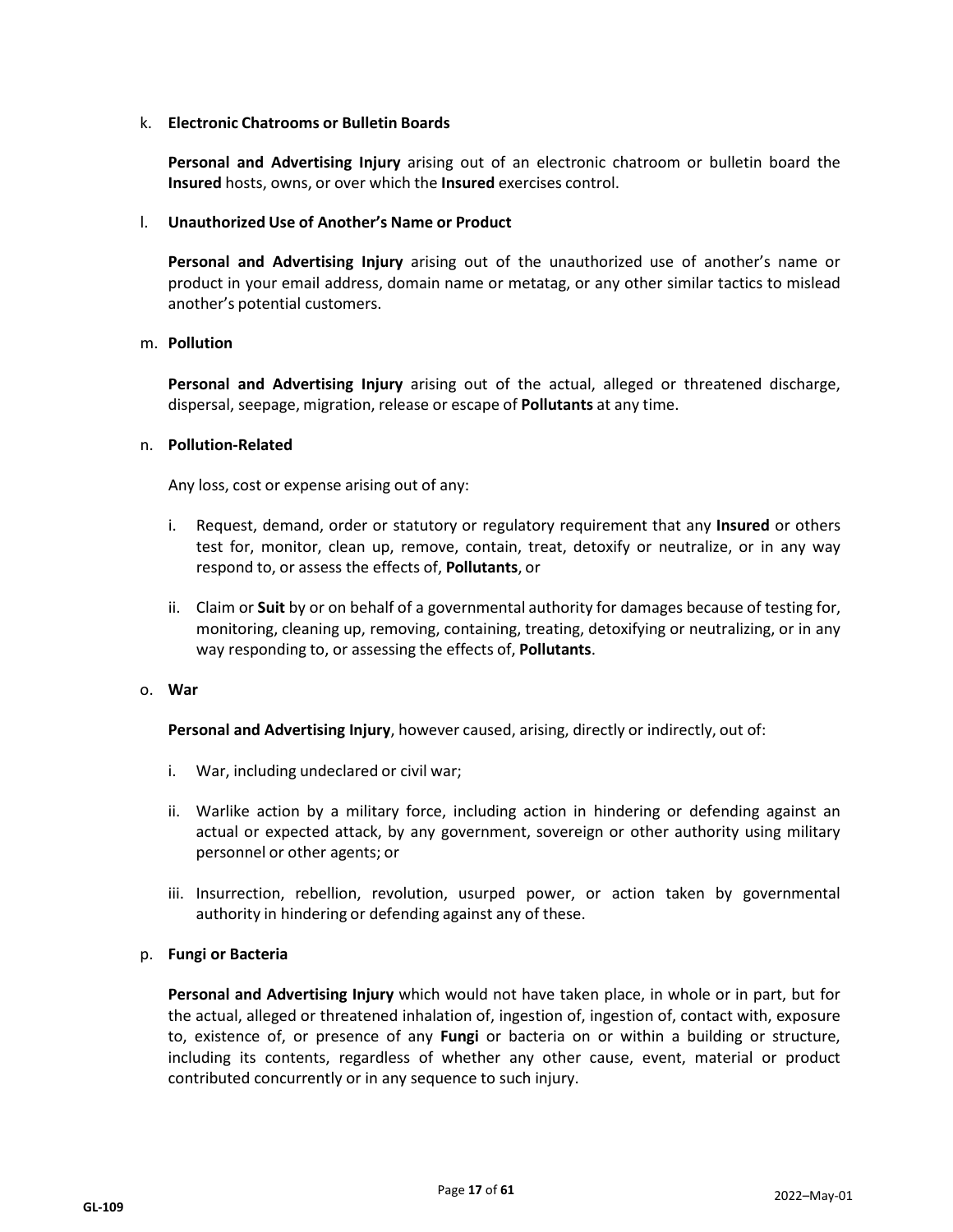#### k. **Electronic Chatrooms or Bulletin Boards**

**Personal and Advertising Injury** arising out of an electronic chatroom or bulletin board the **Insured** hosts, owns, or over which the **Insured** exercises control.

## l. **Unauthorized Use of Another's Name or Product**

**Personal and Advertising Injury** arising out of the unauthorized use of another's name or product in your email address, domain name or metatag, or any other similar tactics to mislead another's potential customers.

#### m. **Pollution**

**Personal and Advertising Injury** arising out of the actual, alleged or threatened discharge, dispersal, seepage, migration, release or escape of **Pollutants** at any time.

#### n. **Pollution-Related**

Any loss, cost or expense arising out of any:

- i. Request, demand, order or statutory or regulatory requirement that any **Insured** or others test for, monitor, clean up, remove, contain, treat, detoxify or neutralize, or in any way respond to, or assess the effects of, **Pollutants**, or
- ii. Claim or **Suit** by or on behalf of a governmental authority for damages because of testing for, monitoring, cleaning up, removing, containing, treating, detoxifying or neutralizing, or in any way responding to, or assessing the effects of, **Pollutants**.

#### o. **War**

**Personal and Advertising Injury**, however caused, arising, directly or indirectly, out of:

- i. War, including undeclared or civil war;
- ii. Warlike action by a military force, including action in hindering or defending against an actual or expected attack, by any government, sovereign or other authority using military personnel or other agents; or
- iii. Insurrection, rebellion, revolution, usurped power, or action taken by governmental authority in hindering or defending against any of these.

## p. **Fungi or Bacteria**

**Personal and Advertising Injury** which would not have taken place, in whole or in part, but for the actual, alleged or threatened inhalation of, ingestion of, ingestion of, contact with, exposure to, existence of, or presence of any **Fungi** or bacteria on or within a building or structure, including its contents, regardless of whether any other cause, event, material or product contributed concurrently or in any sequence to such injury.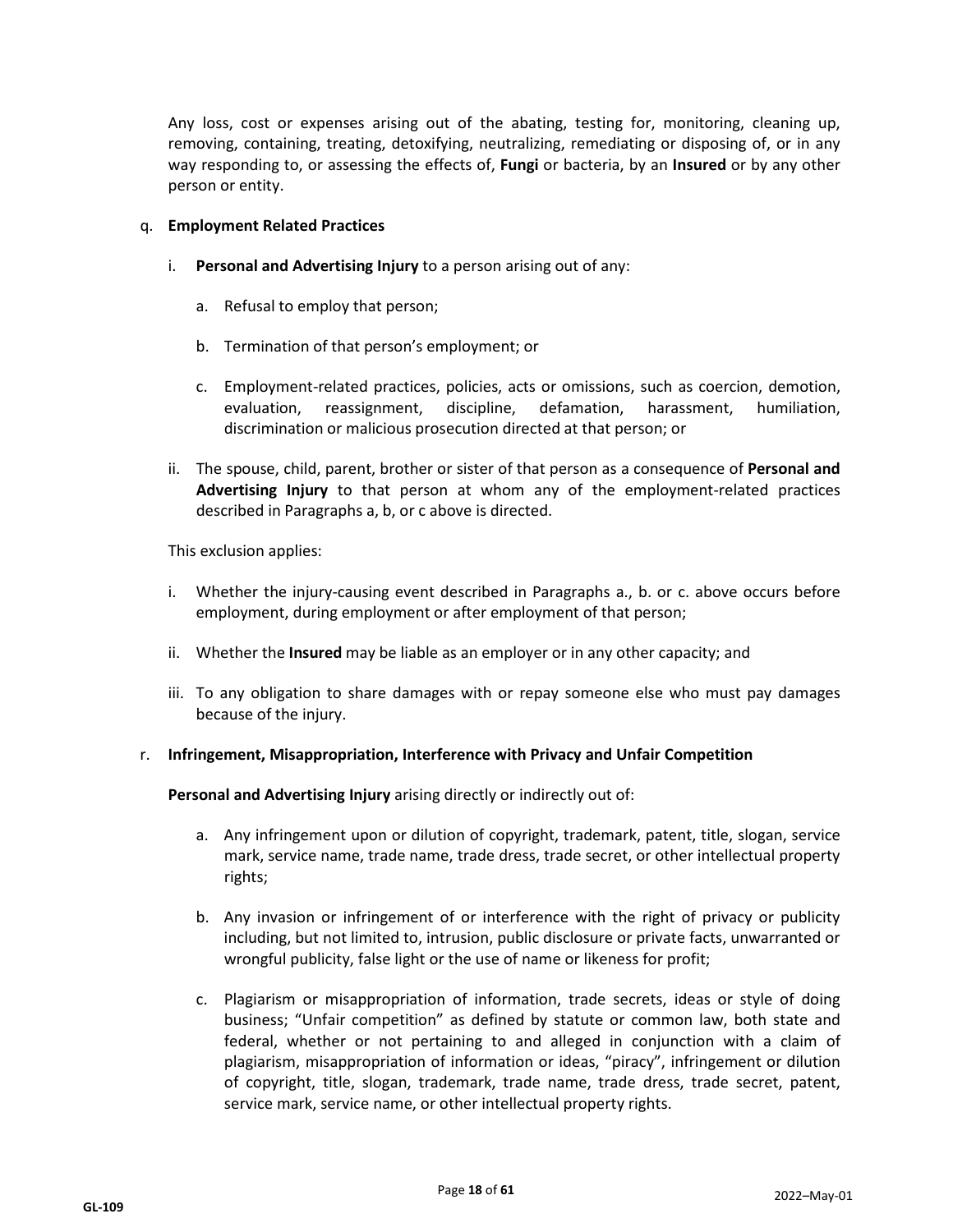Any loss, cost or expenses arising out of the abating, testing for, monitoring, cleaning up, removing, containing, treating, detoxifying, neutralizing, remediating or disposing of, or in any way responding to, or assessing the effects of, **Fungi** or bacteria, by an **Insured** or by any other person or entity.

#### q. **Employment Related Practices**

- i. **Personal and Advertising Injury** to a person arising out of any:
	- a. Refusal to employ that person;
	- b. Termination of that person's employment; or
	- c. Employment-related practices, policies, acts or omissions, such as coercion, demotion, evaluation, reassignment, discipline, defamation, harassment, humiliation, discrimination or malicious prosecution directed at that person; or
- ii. The spouse, child, parent, brother or sister of that person as a consequence of **Personal and Advertising Injury** to that person at whom any of the employment-related practices described in Paragraphs a, b, or c above is directed.

This exclusion applies:

- i. Whether the injury-causing event described in Paragraphs a., b. or c. above occurs before employment, during employment or after employment of that person;
- ii. Whether the **Insured** may be liable as an employer or in any other capacity; and
- iii. To any obligation to share damages with or repay someone else who must pay damages because of the injury.

#### r. **Infringement, Misappropriation, Interference with Privacy and Unfair Competition**

**Personal and Advertising Injury** arising directly or indirectly out of:

- a. Any infringement upon or dilution of copyright, trademark, patent, title, slogan, service mark, service name, trade name, trade dress, trade secret, or other intellectual property rights;
- b. Any invasion or infringement of or interference with the right of privacy or publicity including, but not limited to, intrusion, public disclosure or private facts, unwarranted or wrongful publicity, false light or the use of name or likeness for profit;
- c. Plagiarism or misappropriation of information, trade secrets, ideas or style of doing business; "Unfair competition" as defined by statute or common law, both state and federal, whether or not pertaining to and alleged in conjunction with a claim of plagiarism, misappropriation of information or ideas, "piracy", infringement or dilution of copyright, title, slogan, trademark, trade name, trade dress, trade secret, patent, service mark, service name, or other intellectual property rights.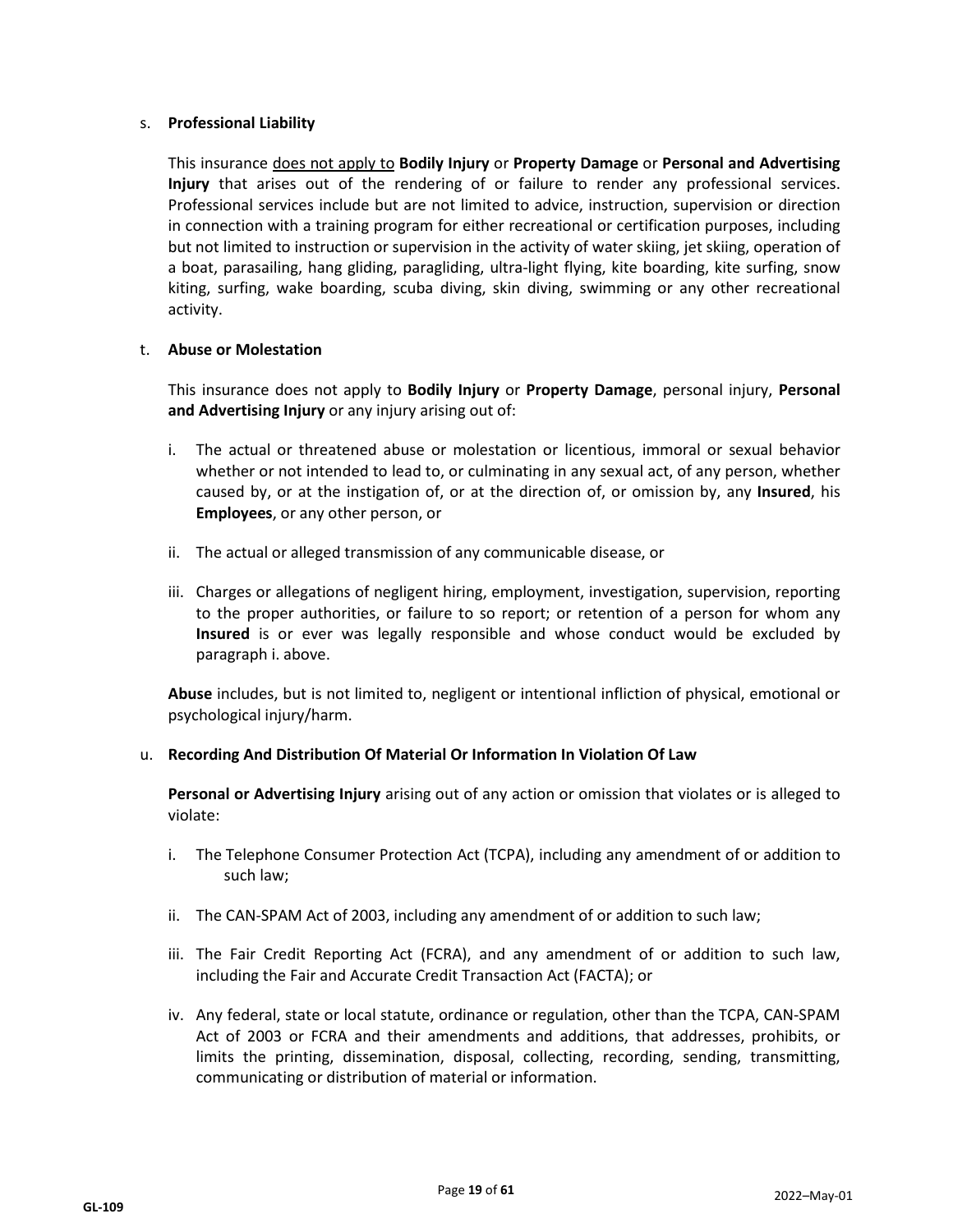## s. **Professional Liability**

This insurance does not apply to **Bodily Injury** or **Property Damage** or **Personal and Advertising Injury** that arises out of the rendering of or failure to render any professional services. Professional services include but are not limited to advice, instruction, supervision or direction in connection with a training program for either recreational or certification purposes, including but not limited to instruction or supervision in the activity of water skiing, jet skiing, operation of a boat, parasailing, hang gliding, paragliding, ultra-light flying, kite boarding, kite surfing, snow kiting, surfing, wake boarding, scuba diving, skin diving, swimming or any other recreational activity.

#### t. **Abuse or Molestation**

This insurance does not apply to **Bodily Injury** or **Property Damage**, personal injury, **Personal and Advertising Injury** or any injury arising out of:

- i. The actual or threatened abuse or molestation or licentious, immoral or sexual behavior whether or not intended to lead to, or culminating in any sexual act, of any person, whether caused by, or at the instigation of, or at the direction of, or omission by, any **Insured**, his **Employees**, or any other person, or
- ii. The actual or alleged transmission of any communicable disease, or
- iii. Charges or allegations of negligent hiring, employment, investigation, supervision, reporting to the proper authorities, or failure to so report; or retention of a person for whom any **Insured** is or ever was legally responsible and whose conduct would be excluded by paragraph i. above.

**Abuse** includes, but is not limited to, negligent or intentional infliction of physical, emotional or psychological injury/harm.

## u. **Recording And Distribution Of Material Or Information In Violation Of Law**

**Personal or Advertising Injury** arising out of any action or omission that violates or is alleged to violate:

- i. The Telephone Consumer Protection Act (TCPA), including any amendment of or addition to such law;
- ii. The CAN-SPAM Act of 2003, including any amendment of or addition to such law;
- iii. The Fair Credit Reporting Act (FCRA), and any amendment of or addition to such law, including the Fair and Accurate Credit Transaction Act (FACTA); or
- iv. Any federal, state or local statute, ordinance or regulation, other than the TCPA, CAN-SPAM Act of 2003 or FCRA and their amendments and additions, that addresses, prohibits, or limits the printing, dissemination, disposal, collecting, recording, sending, transmitting, communicating or distribution of material or information.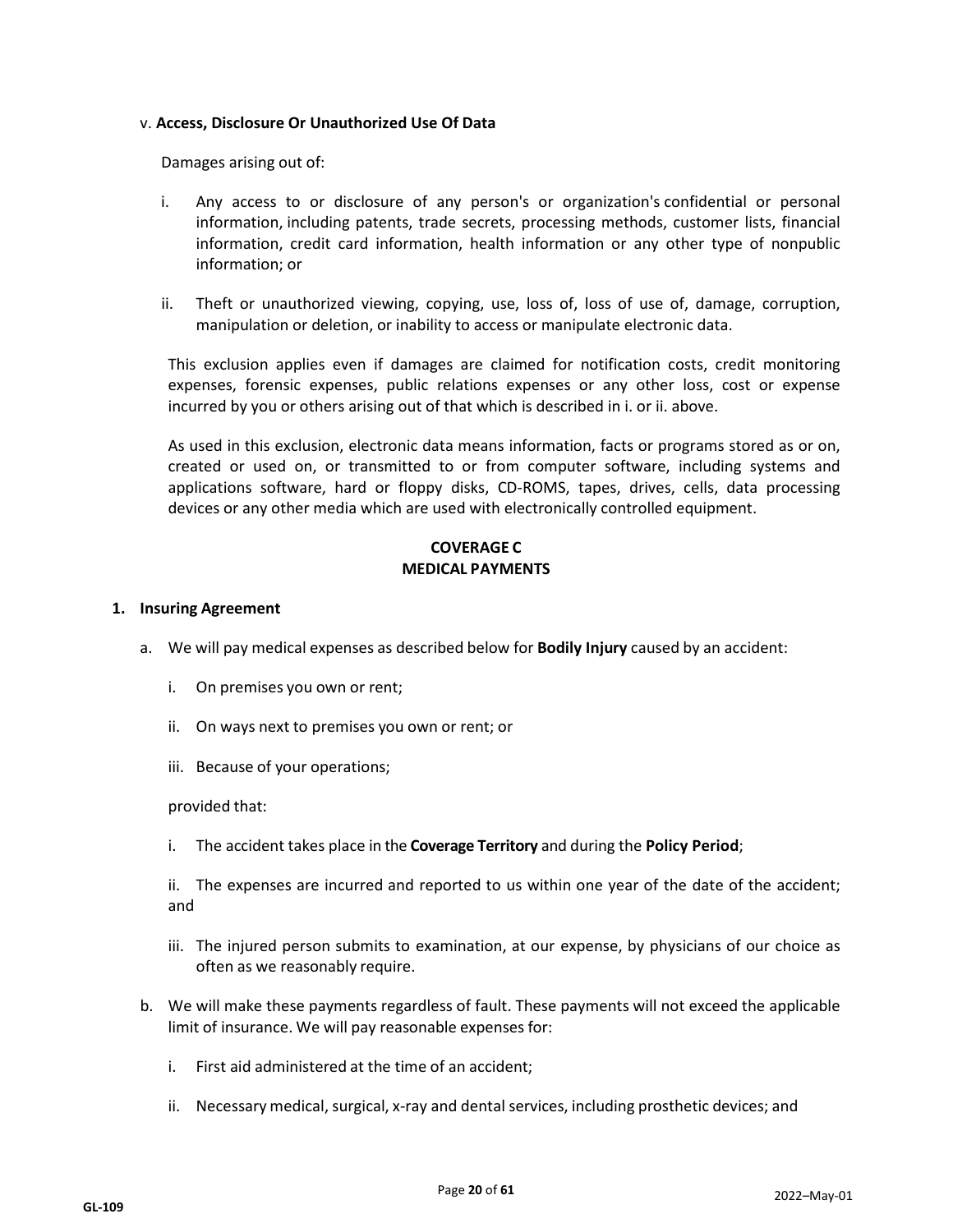#### v. **Access, Disclosure Or Unauthorized Use Of Data**

Damages arising out of:

- i. Any access to or disclosure of any person's or organization's confidential or personal information, including patents, trade secrets, processing methods, customer lists, financial information, credit card information, health information or any other type of nonpublic information; or
- ii. Theft or unauthorized viewing, copying, use, loss of, loss of use of, damage, corruption, manipulation or deletion, or inability to access or manipulate electronic data.

This exclusion applies even if damages are claimed for notification costs, credit monitoring expenses, forensic expenses, public relations expenses or any other loss, cost or expense incurred by you or others arising out of that which is described in i. or ii. above.

As used in this exclusion, electronic data means information, facts or programs stored as or on, created or used on, or transmitted to or from computer software, including systems and applications software, hard or floppy disks, CD-ROMS, tapes, drives, cells, data processing devices or any other media which are used with electronically controlled equipment.

## **COVERAGE C MEDICAL PAYMENTS**

#### **1. Insuring Agreement**

- a. We will pay medical expenses as described below for **Bodily Injury** caused by an accident:
	- i. On premises you own or rent;
	- ii. On ways next to premises you own or rent; or
	- iii. Because of your operations;

#### provided that:

i. The accident takes place in the **Coverage Territory** and during the **Policy Period**;

ii. The expenses are incurred and reported to us within one year of the date of the accident; and

- iii. The injured person submits to examination, at our expense, by physicians of our choice as often as we reasonably require.
- b. We will make these payments regardless of fault. These payments will not exceed the applicable limit of insurance. We will pay reasonable expenses for:
	- i. First aid administered at the time of an accident;
	- ii. Necessary medical, surgical, x-ray and dental services, including prosthetic devices; and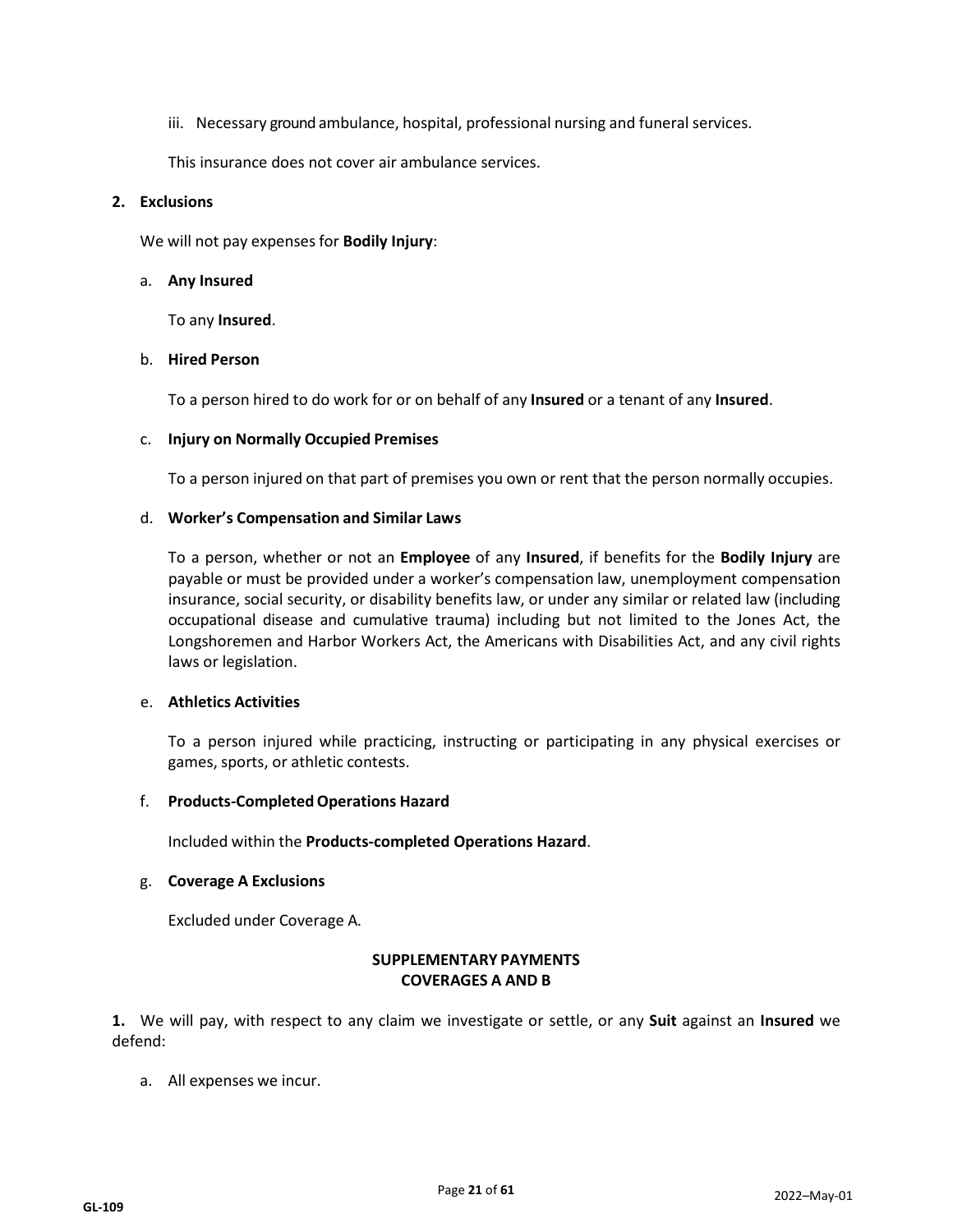iii. Necessary ground ambulance, hospital, professional nursing and funeral services.

This insurance does not cover air ambulance services.

#### **2. Exclusions**

We will not pay expenses for **Bodily Injury**:

#### a. **Any Insured**

To any **Insured**.

#### b. **Hired Person**

To a person hired to do work for or on behalf of any **Insured** or a tenant of any **Insured**.

#### c. **Injury on Normally Occupied Premises**

To a person injured on that part of premises you own or rent that the person normally occupies.

#### d. **Worker's Compensation and Similar Laws**

To a person, whether or not an **Employee** of any **Insured**, if benefits for the **Bodily Injury** are payable or must be provided under a worker's compensation law, unemployment compensation insurance, social security, or disability benefits law, or under any similar or related law (including occupational disease and cumulative trauma) including but not limited to the Jones Act, the Longshoremen and Harbor Workers Act, the Americans with Disabilities Act, and any civil rights laws or legislation.

#### e. **Athletics Activities**

To a person injured while practicing, instructing or participating in any physical exercises or games, sports, or athletic contests.

#### f. **Products-CompletedOperations Hazard**

Included within the **Products-completed Operations Hazard**.

## g. **Coverage A Exclusions**

Excluded under Coverage A.

## **SUPPLEMENTARY PAYMENTS COVERAGES A AND B**

**1.** We will pay, with respect to any claim we investigate or settle, or any **Suit** against an **Insured** we defend:

a. All expenses we incur.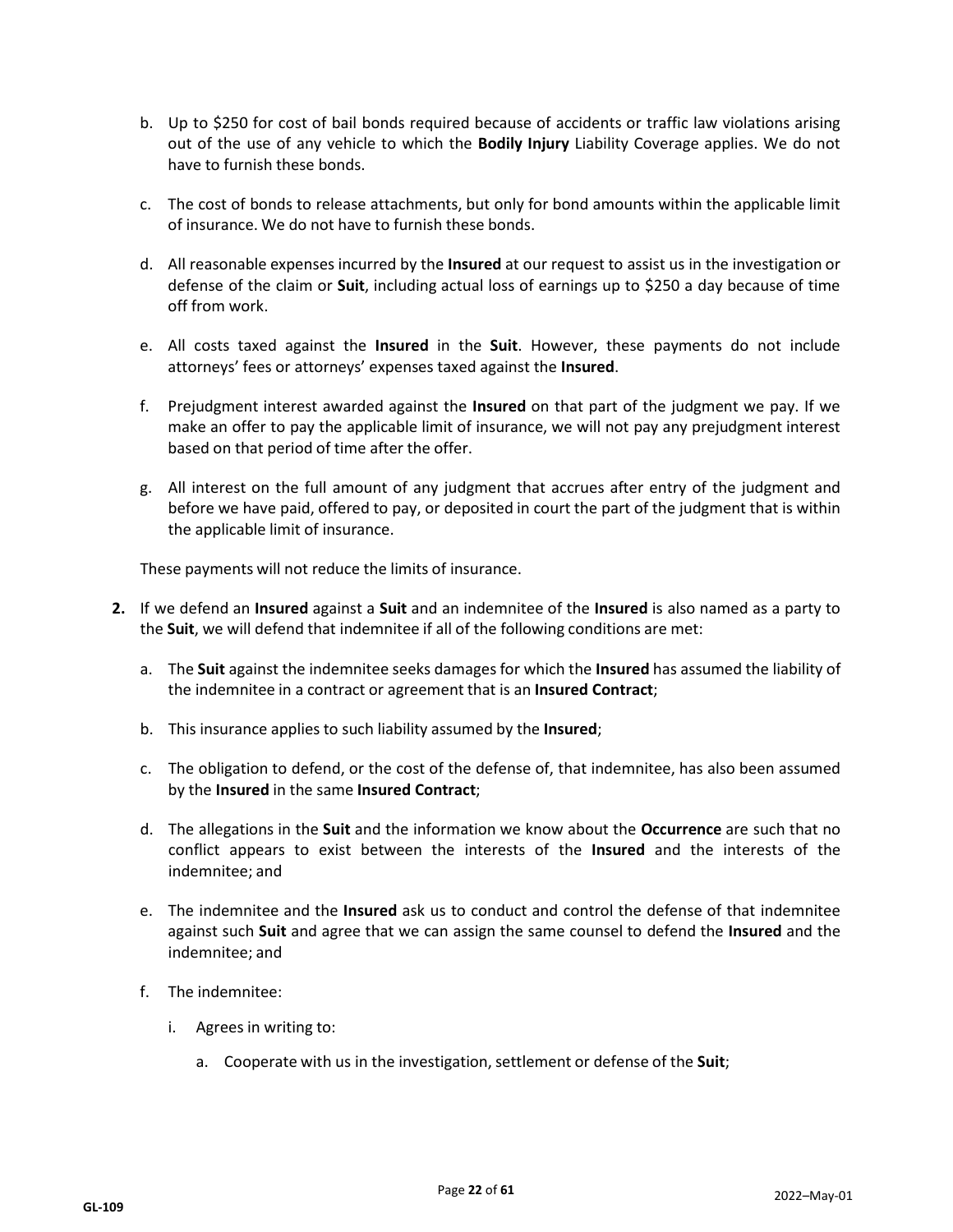- b. Up to \$250 for cost of bail bonds required because of accidents or traffic law violations arising out of the use of any vehicle to which the **Bodily Injury** Liability Coverage applies. We do not have to furnish these bonds.
- c. The cost of bonds to release attachments, but only for bond amounts within the applicable limit of insurance. We do not have to furnish these bonds.
- d. All reasonable expenses incurred by the **Insured** at our request to assist us in the investigation or defense of the claim or **Suit**, including actual loss of earnings up to \$250 a day because of time off from work.
- e. All costs taxed against the **Insured** in the **Suit**. However, these payments do not include attorneys' fees or attorneys' expenses taxed against the **Insured**.
- f. Prejudgment interest awarded against the **Insured** on that part of the judgment we pay. If we make an offer to pay the applicable limit of insurance, we will not pay any prejudgment interest based on that period of time after the offer.
- g. All interest on the full amount of any judgment that accrues after entry of the judgment and before we have paid, offered to pay, or deposited in court the part of the judgment that is within the applicable limit of insurance.

These payments will not reduce the limits of insurance.

- **2.** If we defend an **Insured** against a **Suit** and an indemnitee of the **Insured** is also named as a party to the **Suit**, we will defend that indemnitee if all of the following conditions are met:
	- a. The **Suit** against the indemnitee seeks damages for which the **Insured** has assumed the liability of the indemnitee in a contract or agreement that is an **Insured Contract**;
	- b. This insurance applies to such liability assumed by the **Insured**;
	- c. The obligation to defend, or the cost of the defense of, that indemnitee, has also been assumed by the **Insured** in the same **Insured Contract**;
	- d. The allegations in the **Suit** and the information we know about the **Occurrence** are such that no conflict appears to exist between the interests of the **Insured** and the interests of the indemnitee; and
	- e. The indemnitee and the **Insured** ask us to conduct and control the defense of that indemnitee against such **Suit** and agree that we can assign the same counsel to defend the **Insured** and the indemnitee; and
	- f. The indemnitee:
		- i. Agrees in writing to:
			- a. Cooperate with us in the investigation, settlement or defense of the **Suit**;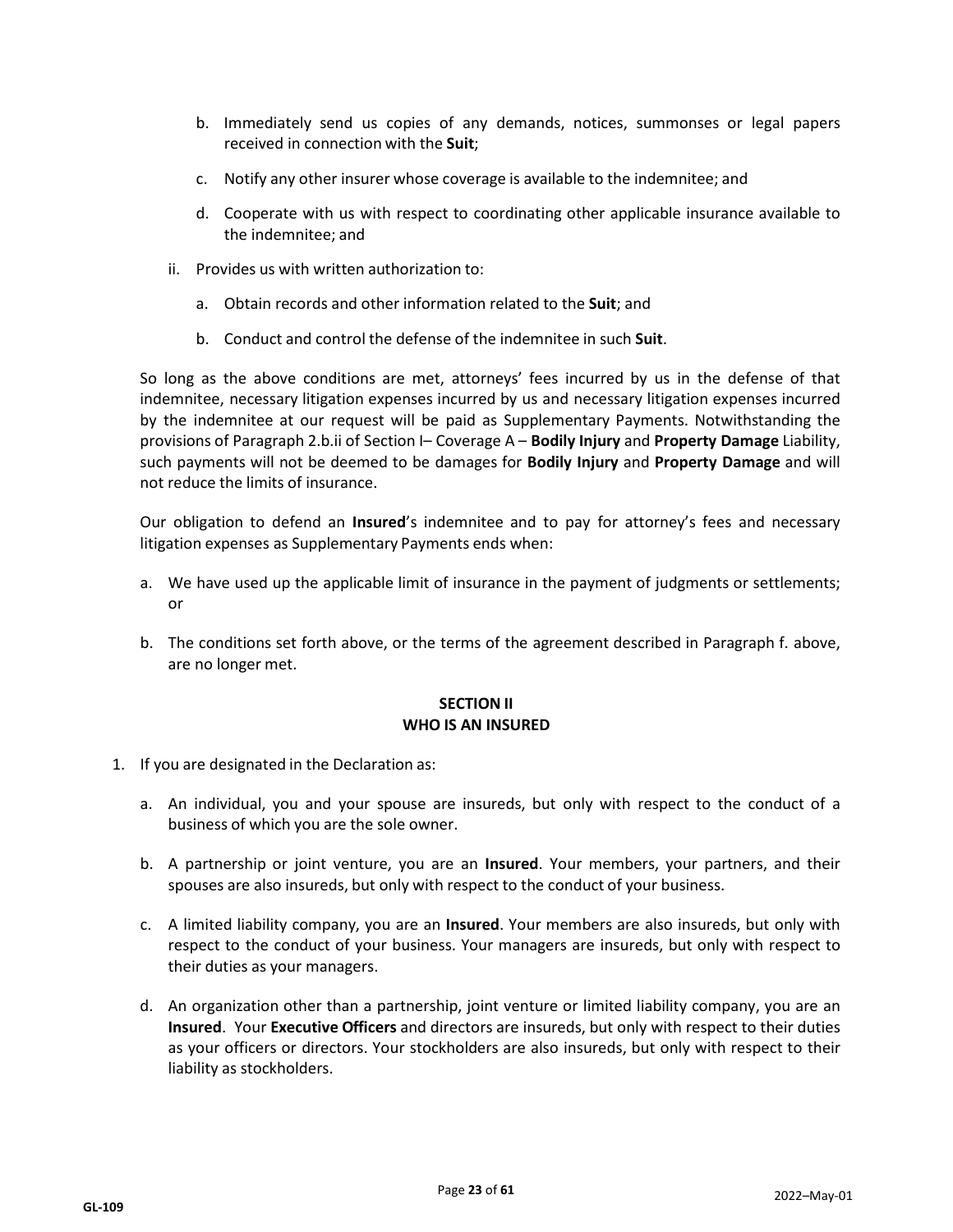- b. Immediately send us copies of any demands, notices, summonses or legal papers received in connection with the **Suit**;
- c. Notify any other insurer whose coverage is available to the indemnitee; and
- d. Cooperate with us with respect to coordinating other applicable insurance available to the indemnitee; and
- ii. Provides us with written authorization to:
	- a. Obtain records and other information related to the **Suit**; and
	- b. Conduct and control the defense of the indemnitee in such **Suit**.

So long as the above conditions are met, attorneys' fees incurred by us in the defense of that indemnitee, necessary litigation expenses incurred by us and necessary litigation expenses incurred by the indemnitee at our request will be paid as Supplementary Payments. Notwithstanding the provisions of Paragraph 2.b.ii of Section I– Coverage A – **Bodily Injury** and **Property Damage** Liability, such payments will not be deemed to be damages for **Bodily Injury** and **Property Damage** and will not reduce the limits of insurance.

Our obligation to defend an **Insured**'s indemnitee and to pay for attorney's fees and necessary litigation expenses as Supplementary Payments ends when:

- a. We have used up the applicable limit of insurance in the payment of judgments or settlements; or
- b. The conditions set forth above, or the terms of the agreement described in Paragraph f. above, are no longer met.

## **SECTION II WHO IS AN INSURED**

- 1. If you are designated in the Declaration as:
	- a. An individual, you and your spouse are insureds, but only with respect to the conduct of a business of which you are the sole owner.
	- b. A partnership or joint venture, you are an **Insured**. Your members, your partners, and their spouses are also insureds, but only with respect to the conduct of your business.
	- c. A limited liability company, you are an **Insured**. Your members are also insureds, but only with respect to the conduct of your business. Your managers are insureds, but only with respect to their duties as your managers.
	- d. An organization other than a partnership, joint venture or limited liability company, you are an **Insured**. Your **Executive Officers** and directors are insureds, but only with respect to their duties as your officers or directors. Your stockholders are also insureds, but only with respect to their liability as stockholders.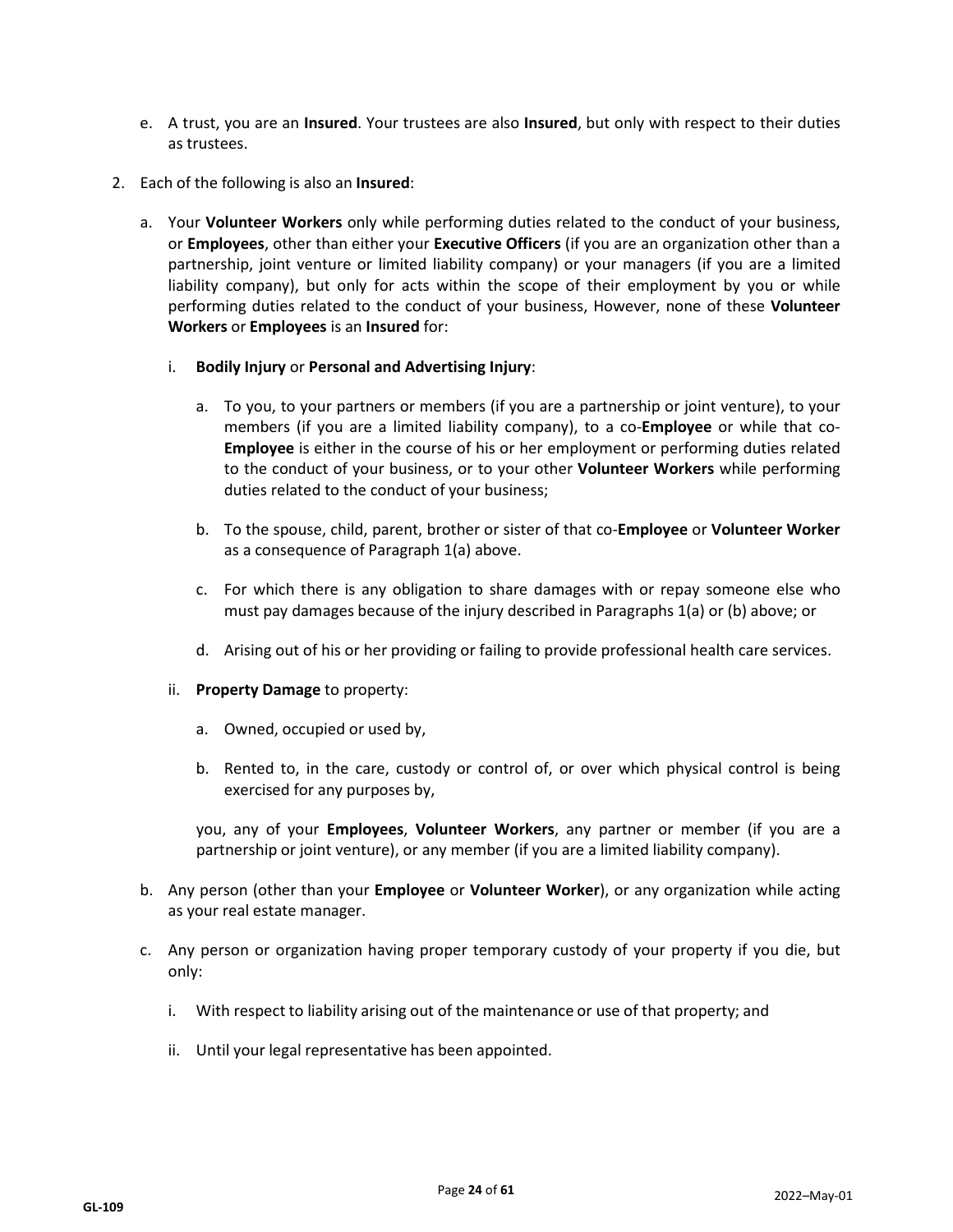- e. A trust, you are an **Insured**. Your trustees are also **Insured**, but only with respect to their duties as trustees.
- 2. Each of the following is also an **Insured**:
	- a. Your **Volunteer Workers** only while performing duties related to the conduct of your business, or **Employees**, other than either your **Executive Officers** (if you are an organization other than a partnership, joint venture or limited liability company) or your managers (if you are a limited liability company), but only for acts within the scope of their employment by you or while performing duties related to the conduct of your business, However, none of these **Volunteer Workers** or **Employees** is an **Insured** for:
		- i. **Bodily Injury** or **Personal and Advertising Injury**:
			- a. To you, to your partners or members (if you are a partnership or joint venture), to your members (if you are a limited liability company), to a co-**Employee** or while that co-**Employee** is either in the course of his or her employment or performing duties related to the conduct of your business, or to your other **Volunteer Workers** while performing duties related to the conduct of your business;
			- b. To the spouse, child, parent, brother or sister of that co-**Employee** or **Volunteer Worker**  as a consequence of Paragraph 1(a) above.
			- c. For which there is any obligation to share damages with or repay someone else who must pay damages because of the injury described in Paragraphs 1(a) or (b) above; or
			- d. Arising out of his or her providing or failing to provide professional health care services.
		- ii. **Property Damage** to property:
			- a. Owned, occupied or used by,
			- b. Rented to, in the care, custody or control of, or over which physical control is being exercised for any purposes by,

you, any of your **Employees**, **Volunteer Workers**, any partner or member (if you are a partnership or joint venture), or any member (if you are a limited liability company).

- b. Any person (other than your **Employee** or **Volunteer Worker**), or any organization while acting as your real estate manager.
- c. Any person or organization having proper temporary custody of your property if you die, but only:
	- i. With respect to liability arising out of the maintenance or use of that property; and
	- ii. Until your legal representative has been appointed.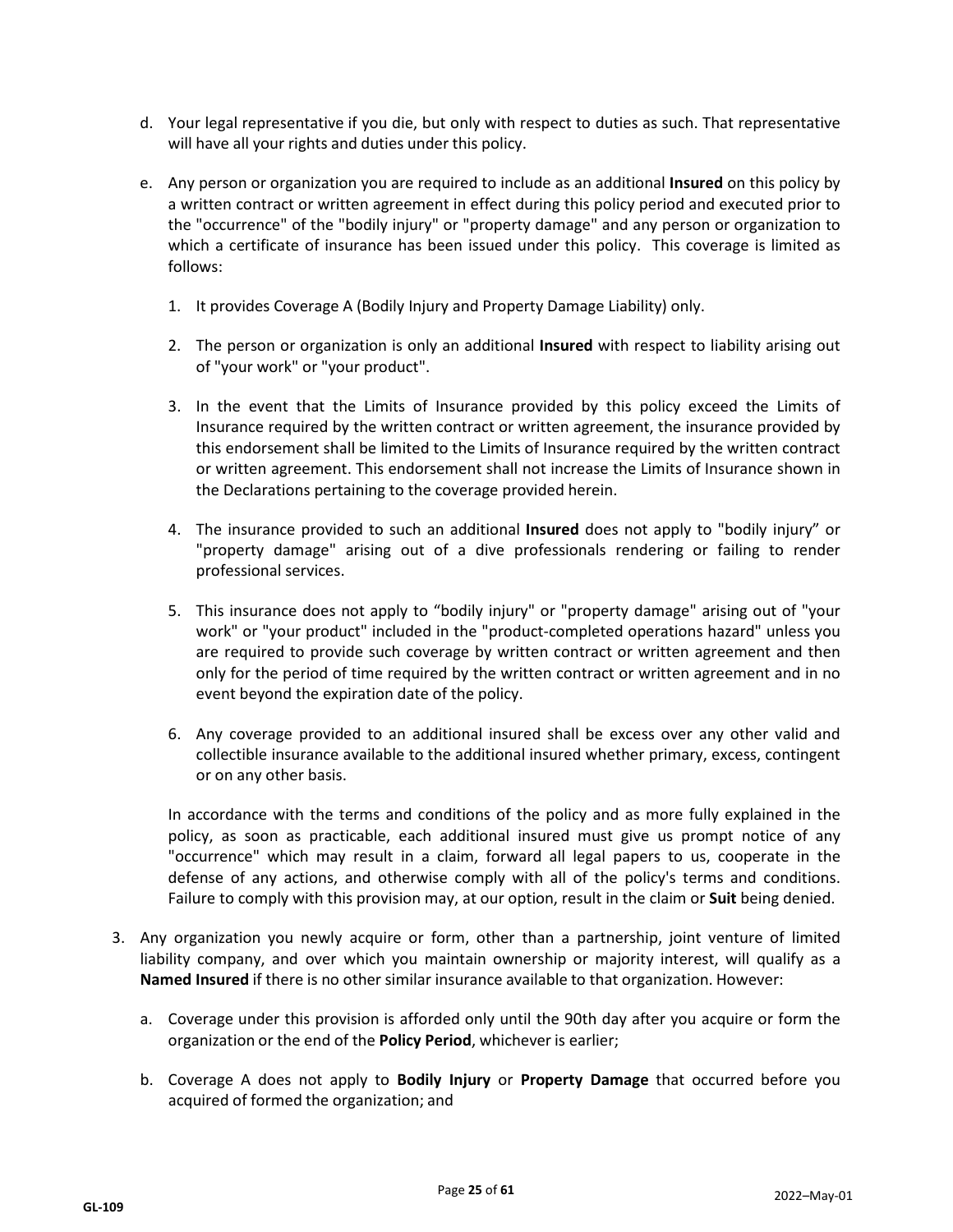- d. Your legal representative if you die, but only with respect to duties as such. That representative will have all your rights and duties under this policy.
- e. Any person or organization you are required to include as an additional **Insured** on this policy by a written contract or written agreement in effect during this policy period and executed prior to the "occurrence" of the "bodily injury" or "property damage" and any person or organization to which a certificate of insurance has been issued under this policy. This coverage is limited as follows:
	- 1. It provides Coverage A (Bodily Injury and Property Damage Liability) only.
	- 2. The person or organization is only an additional **Insured** with respect to liability arising out of "your work" or "your product".
	- 3. In the event that the Limits of Insurance provided by this policy exceed the Limits of Insurance required by the written contract or written agreement, the insurance provided by this endorsement shall be limited to the Limits of Insurance required by the written contract or written agreement. This endorsement shall not increase the Limits of Insurance shown in the Declarations pertaining to the coverage provided herein.
	- 4. The insurance provided to such an additional **Insured** does not apply to "bodily injury" or "property damage" arising out of a dive professionals rendering or failing to render professional services.
	- 5. This insurance does not apply to "bodily injury" or "property damage" arising out of "your work" or "your product" included in the "product-completed operations hazard" unless you are required to provide such coverage by written contract or written agreement and then only for the period of time required by the written contract or written agreement and in no event beyond the expiration date of the policy.
	- 6. Any coverage provided to an additional insured shall be excess over any other valid and collectible insurance available to the additional insured whether primary, excess, contingent or on any other basis.

In accordance with the terms and conditions of the policy and as more fully explained in the policy, as soon as practicable, each additional insured must give us prompt notice of any "occurrence" which may result in a claim, forward all legal papers to us, cooperate in the defense of any actions, and otherwise comply with all of the policy's terms and conditions. Failure to comply with this provision may, at our option, result in the claim or **Suit** being denied.

- 3. Any organization you newly acquire or form, other than a partnership, joint venture of limited liability company, and over which you maintain ownership or majority interest, will qualify as a **Named Insured** if there is no other similar insurance available to that organization. However:
	- a. Coverage under this provision is afforded only until the 90th day after you acquire or form the organization or the end of the **Policy Period**, whichever is earlier;
	- b. Coverage A does not apply to **Bodily Injury** or **Property Damage** that occurred before you acquired of formed the organization; and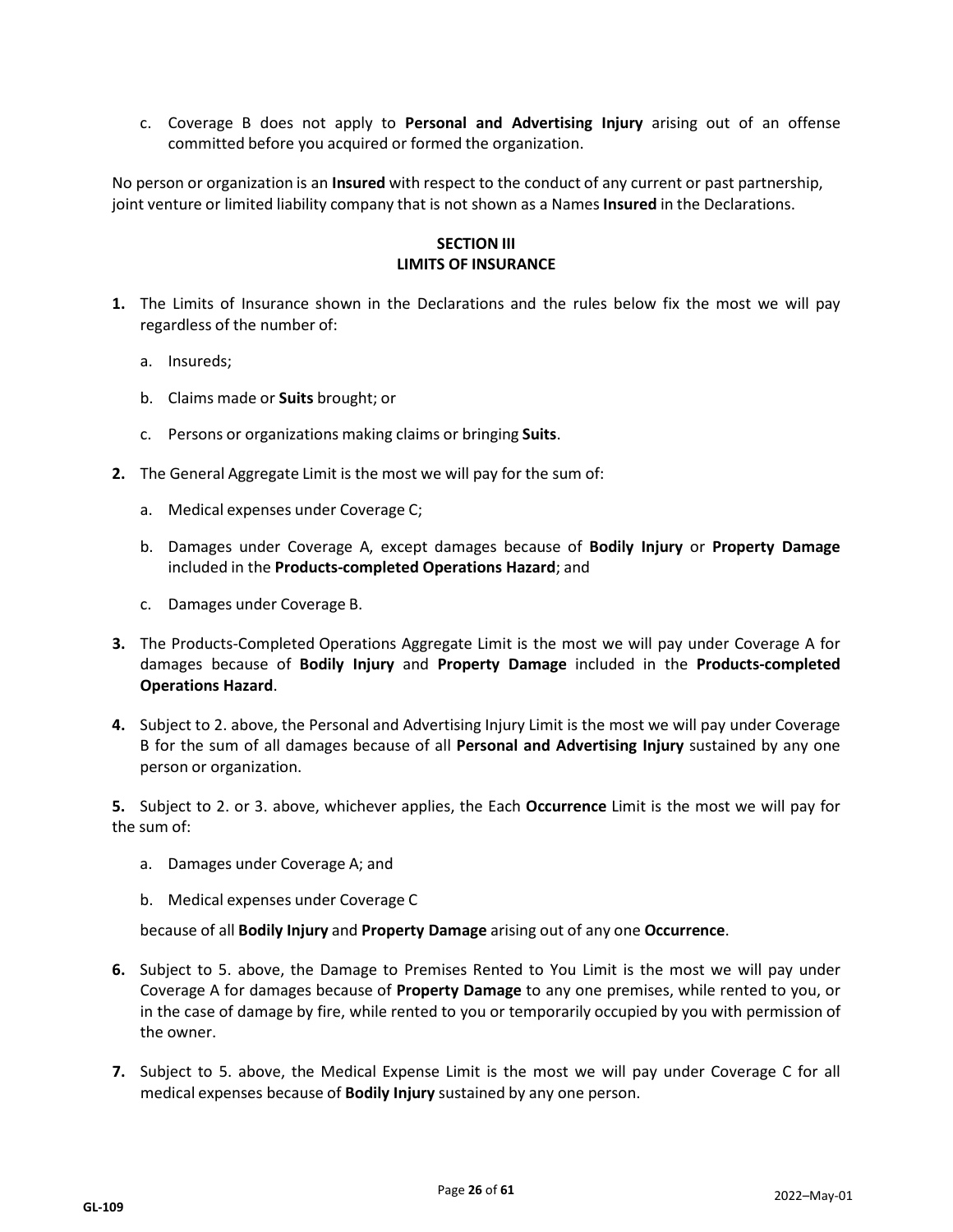c. Coverage B does not apply to **Personal and Advertising Injury** arising out of an offense committed before you acquired or formed the organization.

No person or organization is an **Insured** with respect to the conduct of any current or past partnership, joint venture or limited liability company that is not shown as a Names **Insured** in the Declarations.

## **SECTION III LIMITS OF INSURANCE**

- **1.** The Limits of Insurance shown in the Declarations and the rules below fix the most we will pay regardless of the number of:
	- a. Insureds;
	- b. Claims made or **Suits** brought; or
	- c. Persons or organizations making claims or bringing **Suits**.
- **2.** The General Aggregate Limit is the most we will pay for the sum of:
	- a. Medical expenses under Coverage C;
	- b. Damages under Coverage A, except damages because of **Bodily Injury** or **Property Damage** included in the **Products-completed Operations Hazard**; and
	- c. Damages under Coverage B.
- **3.** The Products-Completed Operations Aggregate Limit is the most we will pay under Coverage A for damages because of **Bodily Injury** and **Property Damage** included in the **Products-completed Operations Hazard**.
- **4.** Subject to 2. above, the Personal and Advertising Injury Limit is the most we will pay under Coverage B for the sum of all damages because of all **Personal and Advertising Injury** sustained by any one person or organization.

**5.** Subject to 2. or 3. above, whichever applies, the Each **Occurrence** Limit is the most we will pay for the sum of:

- a. Damages under Coverage A; and
- b. Medical expenses under Coverage C

because of all **Bodily Injury** and **Property Damage** arising out of any one **Occurrence**.

- **6.** Subject to 5. above, the Damage to Premises Rented to You Limit is the most we will pay under Coverage A for damages because of **Property Damage** to any one premises, while rented to you, or in the case of damage by fire, while rented to you or temporarily occupied by you with permission of the owner.
- **7.** Subject to 5. above, the Medical Expense Limit is the most we will pay under Coverage C for all medical expenses because of **Bodily Injury** sustained by any one person.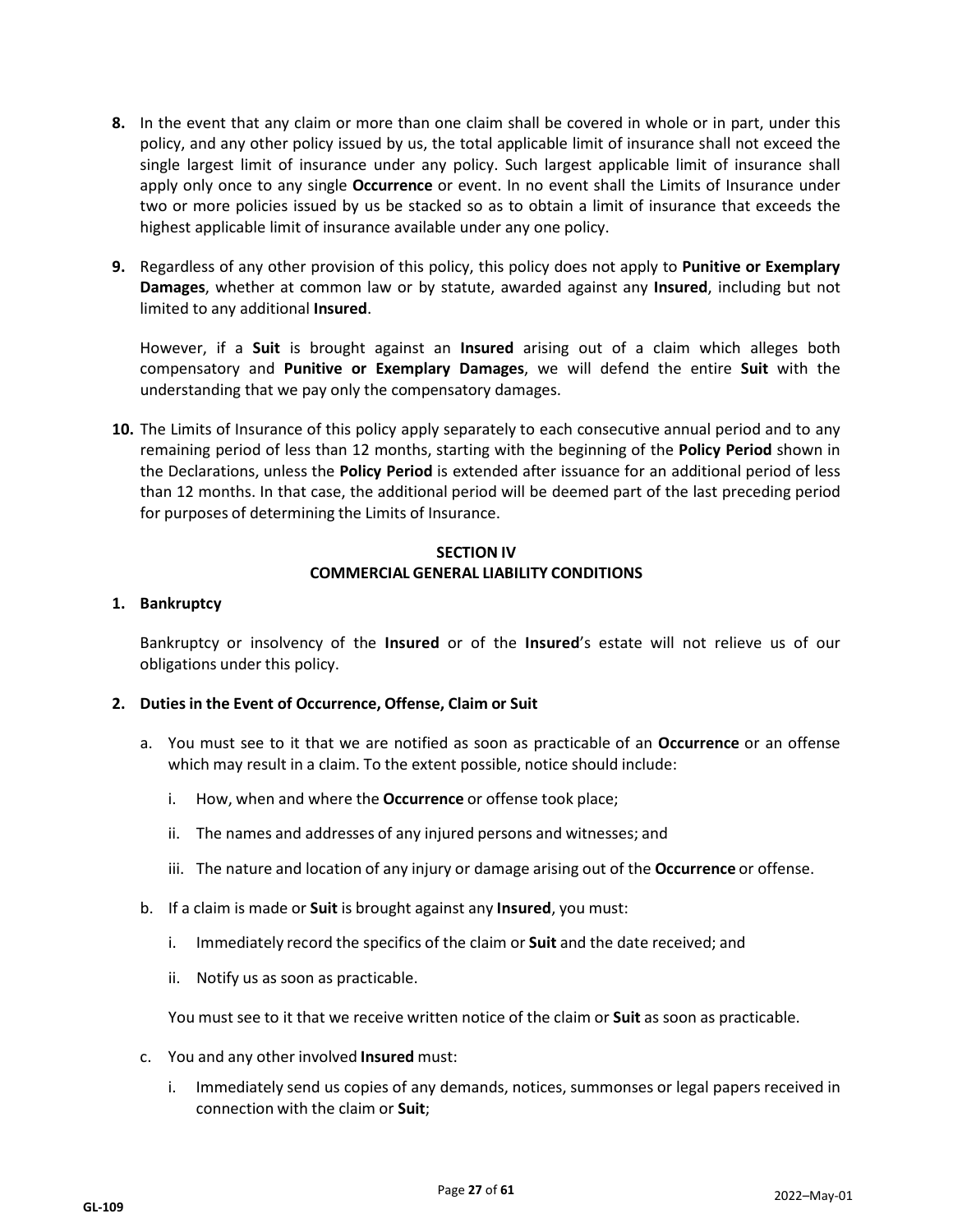- **8.** In the event that any claim or more than one claim shall be covered in whole or in part, under this policy, and any other policy issued by us, the total applicable limit of insurance shall not exceed the single largest limit of insurance under any policy. Such largest applicable limit of insurance shall apply only once to any single **Occurrence** or event. In no event shall the Limits of Insurance under two or more policies issued by us be stacked so as to obtain a limit of insurance that exceeds the highest applicable limit of insurance available under any one policy.
- **9.** Regardless of any other provision of this policy, this policy does not apply to **Punitive or Exemplary Damages**, whether at common law or by statute, awarded against any **Insured**, including but not limited to any additional **Insured**.

However, if a **Suit** is brought against an **Insured** arising out of a claim which alleges both compensatory and **Punitive or Exemplary Damages**, we will defend the entire **Suit** with the understanding that we pay only the compensatory damages.

**10.** The Limits of Insurance of this policy apply separately to each consecutive annual period and to any remaining period of less than 12 months, starting with the beginning of the **Policy Period** shown in the Declarations, unless the **Policy Period** is extended after issuance for an additional period of less than 12 months. In that case, the additional period will be deemed part of the last preceding period for purposes of determining the Limits of Insurance.

## **SECTION IV COMMERCIAL GENERAL LIABILITY CONDITIONS**

## **1. Bankruptcy**

Bankruptcy or insolvency of the **Insured** or of the **Insured**'s estate will not relieve us of our obligations under this policy.

## **2. Duties in the Event of Occurrence, Offense, Claim or Suit**

- a. You must see to it that we are notified as soon as practicable of an **Occurrence** or an offense which may result in a claim. To the extent possible, notice should include:
	- i. How, when and where the **Occurrence** or offense took place;
	- ii. The names and addresses of any injured persons and witnesses; and
	- iii. The nature and location of any injury or damage arising out of the **Occurrence** or offense.
- b. If a claim is made or **Suit** is brought against any **Insured**, you must:
	- i. Immediately record the specifics of the claim or **Suit** and the date received; and
	- ii. Notify us as soon as practicable.

You must see to it that we receive written notice of the claim or **Suit** as soon as practicable.

- c. You and any other involved **Insured** must:
	- i. Immediately send us copies of any demands, notices, summonses or legal papers received in connection with the claim or **Suit**;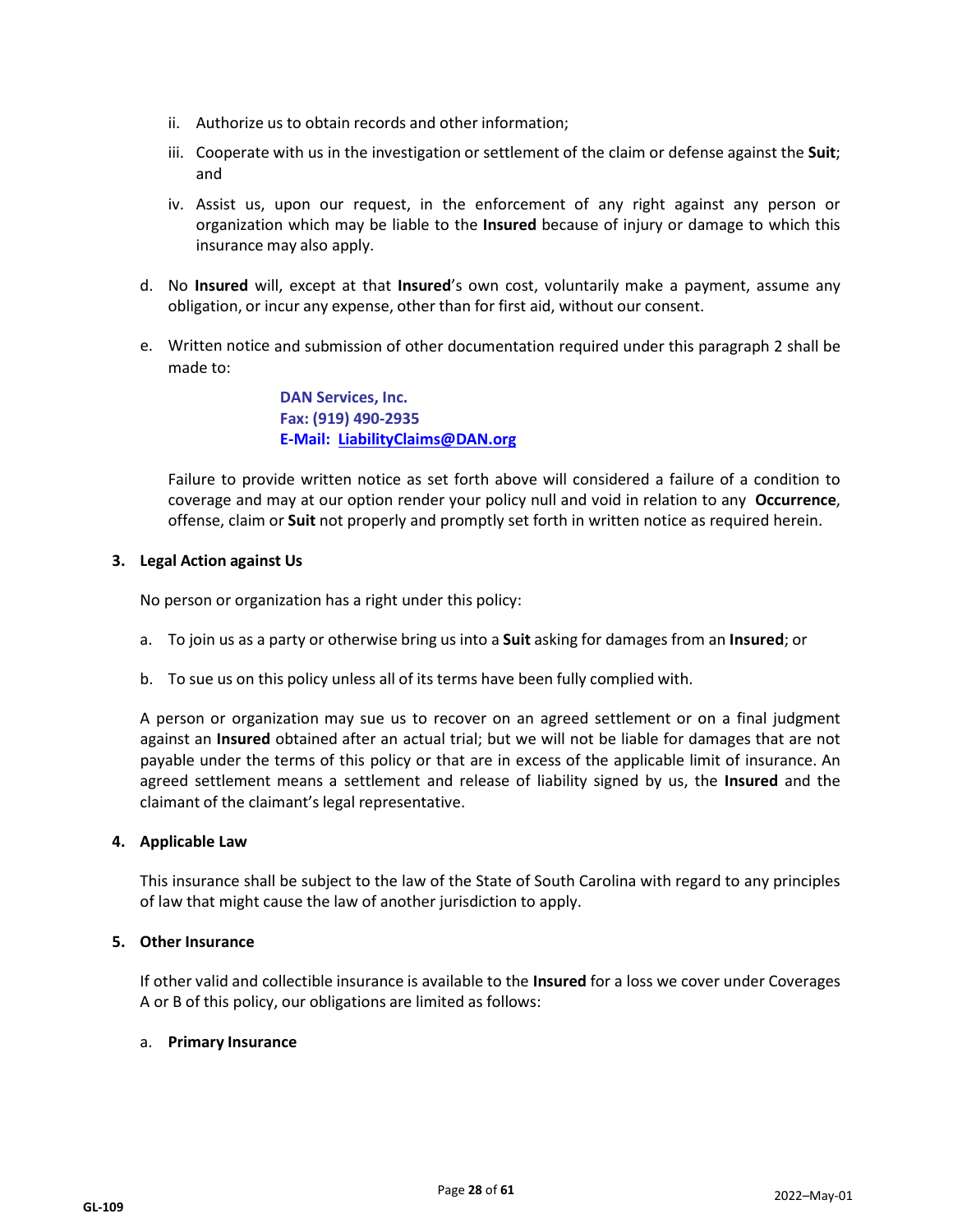- ii. Authorize us to obtain records and other information;
- iii. Cooperate with us in the investigation or settlement of the claim or defense against the **Suit**; and
- iv. Assist us, upon our request, in the enforcement of any right against any person or organization which may be liable to the **Insured** because of injury or damage to which this insurance may also apply.
- d. No **Insured** will, except at that **Insured**'s own cost, voluntarily make a payment, assume any obligation, or incur any expense, other than for first aid, without our consent.
- e. Written notice and submission of other documentation required under this paragraph 2 shall be made to:

**DAN Services, Inc. Fax: (919) 490-2935 E-Mail: [LiabilityClaims@DAN.org](mailto:LiabilityClaims@DAN.org)**

Failure to provide written notice as set forth above will considered a failure of a condition to coverage and may at our option render your policy null and void in relation to any **Occurrence**, offense, claim or **Suit** not properly and promptly set forth in written notice as required herein.

## **3. Legal Action against Us**

No person or organization has a right under this policy:

- a. To join us as a party or otherwise bring us into a **Suit** asking for damages from an **Insured**; or
- b. To sue us on this policy unless all of its terms have been fully complied with.

A person or organization may sue us to recover on an agreed settlement or on a final judgment against an **Insured** obtained after an actual trial; but we will not be liable for damages that are not payable under the terms of this policy or that are in excess of the applicable limit of insurance. An agreed settlement means a settlement and release of liability signed by us, the **Insured** and the claimant of the claimant's legal representative.

#### **4. Applicable Law**

This insurance shall be subject to the law of the State of South Carolina with regard to any principles of law that might cause the law of another jurisdiction to apply.

#### **5. Other Insurance**

If other valid and collectible insurance is available to the **Insured** for a loss we cover under Coverages A or B of this policy, our obligations are limited as follows:

#### a. **Primary Insurance**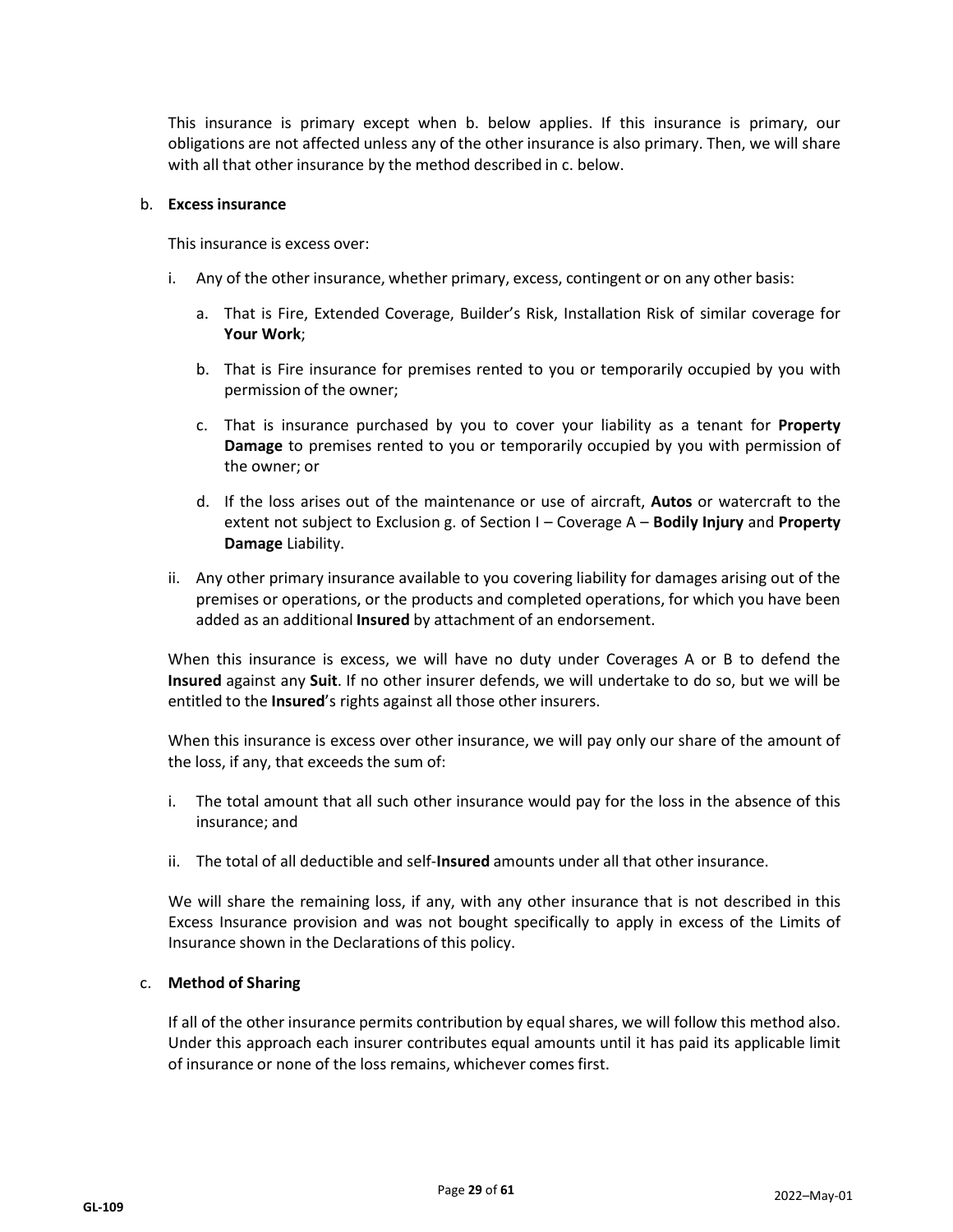This insurance is primary except when b. below applies. If this insurance is primary, our obligations are not affected unless any of the other insurance is also primary. Then, we will share with all that other insurance by the method described in c. below.

#### b. **Excessinsurance**

This insurance is excess over:

- i. Any of the other insurance, whether primary, excess, contingent or on any other basis:
	- a. That is Fire, Extended Coverage, Builder's Risk, Installation Risk of similar coverage for **Your Work**;
	- b. That is Fire insurance for premises rented to you or temporarily occupied by you with permission of the owner;
	- c. That is insurance purchased by you to cover your liability as a tenant for **Property Damage** to premises rented to you or temporarily occupied by you with permission of the owner; or
	- d. If the loss arises out of the maintenance or use of aircraft, **Autos** or watercraft to the extent not subject to Exclusion g. of Section I – Coverage A – **Bodily Injury** and **Property Damage** Liability.
- ii. Any other primary insurance available to you covering liability for damages arising out of the premises or operations, or the products and completed operations, for which you have been added as an additional **Insured** by attachment of an endorsement.

When this insurance is excess, we will have no duty under Coverages A or B to defend the **Insured** against any **Suit**. If no other insurer defends, we will undertake to do so, but we will be entitled to the **Insured**'s rights against all those other insurers.

When this insurance is excess over other insurance, we will pay only our share of the amount of the loss, if any, that exceeds the sum of:

- i. The total amount that all such other insurance would pay for the loss in the absence of this insurance; and
- ii. The total of all deductible and self-**Insured** amounts under all that other insurance.

We will share the remaining loss, if any, with any other insurance that is not described in this Excess Insurance provision and was not bought specifically to apply in excess of the Limits of Insurance shown in the Declarations of this policy.

#### c. **Method of Sharing**

If all of the other insurance permits contribution by equal shares, we will follow this method also. Under this approach each insurer contributes equal amounts until it has paid its applicable limit of insurance or none of the loss remains, whichever comes first.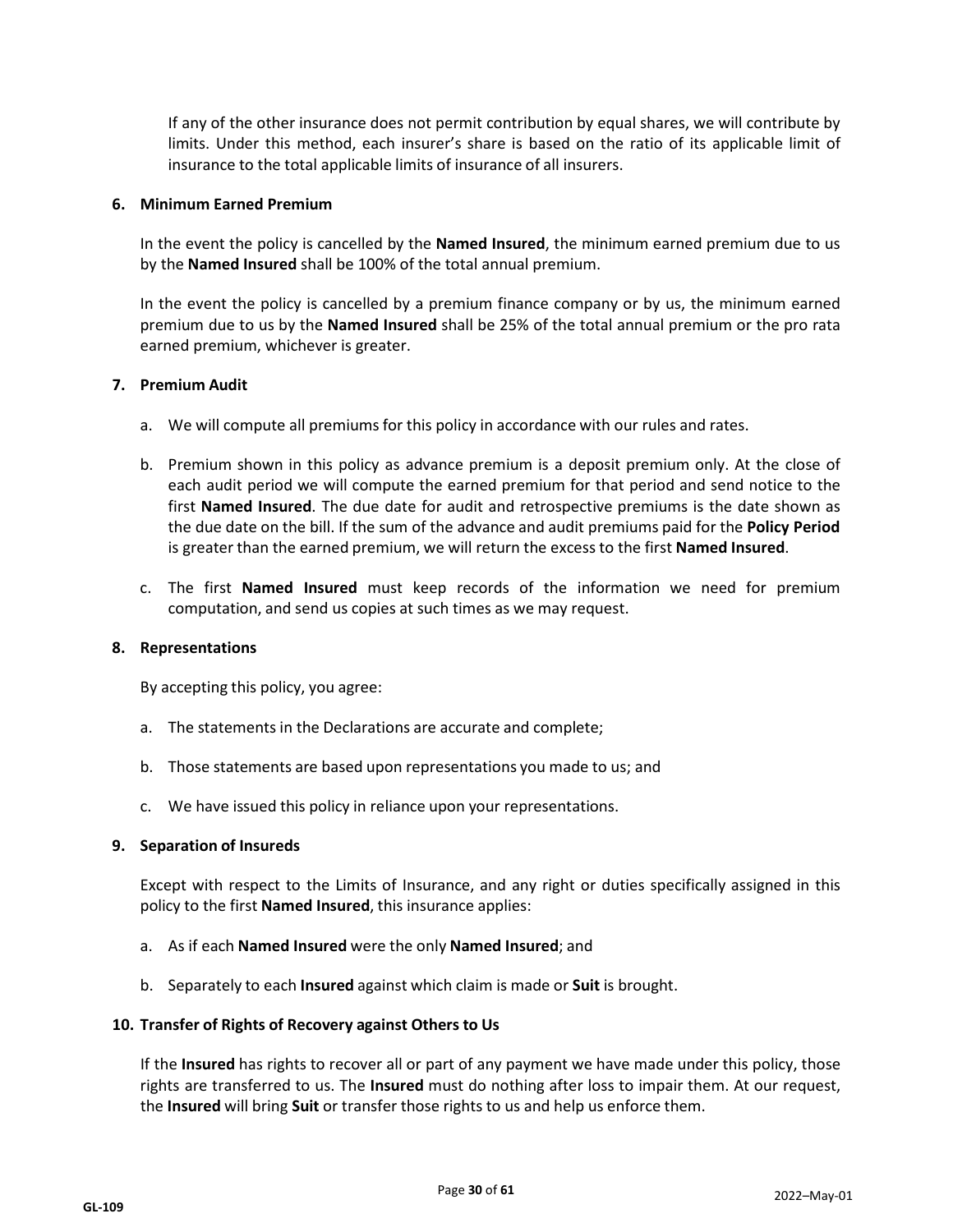If any of the other insurance does not permit contribution by equal shares, we will contribute by limits. Under this method, each insurer's share is based on the ratio of its applicable limit of insurance to the total applicable limits of insurance of all insurers.

#### **6. Minimum Earned Premium**

In the event the policy is cancelled by the **Named Insured**, the minimum earned premium due to us by the **Named Insured** shall be 100% of the total annual premium.

In the event the policy is cancelled by a premium finance company or by us, the minimum earned premium due to us by the **Named Insured** shall be 25% of the total annual premium or the pro rata earned premium, whichever is greater.

#### **7. Premium Audit**

- a. We will compute all premiums for this policy in accordance with our rules and rates.
- b. Premium shown in this policy as advance premium is a deposit premium only. At the close of each audit period we will compute the earned premium for that period and send notice to the first **Named Insured**. The due date for audit and retrospective premiums is the date shown as the due date on the bill. If the sum of the advance and audit premiums paid for the **Policy Period** is greater than the earned premium, we will return the excess to the first **Named Insured**.
- c. The first **Named Insured** must keep records of the information we need for premium computation, and send us copies at such times as we may request.

#### **8. Representations**

By accepting this policy, you agree:

- a. The statements in the Declarations are accurate and complete;
- b. Those statements are based upon representations you made to us; and
- c. We have issued this policy in reliance upon your representations.

#### **9. Separation of Insureds**

Except with respect to the Limits of Insurance, and any right or duties specifically assigned in this policy to the first **Named Insured**, this insurance applies:

- a. As if each **Named Insured** were the only **Named Insured**; and
- b. Separately to each **Insured** against which claim is made or **Suit** is brought.

#### **10. Transfer of Rights of Recovery against Others to Us**

If the **Insured** has rights to recover all or part of any payment we have made under this policy, those rights are transferred to us. The **Insured** must do nothing after loss to impair them. At our request, the **Insured** will bring **Suit** or transfer those rights to us and help us enforce them.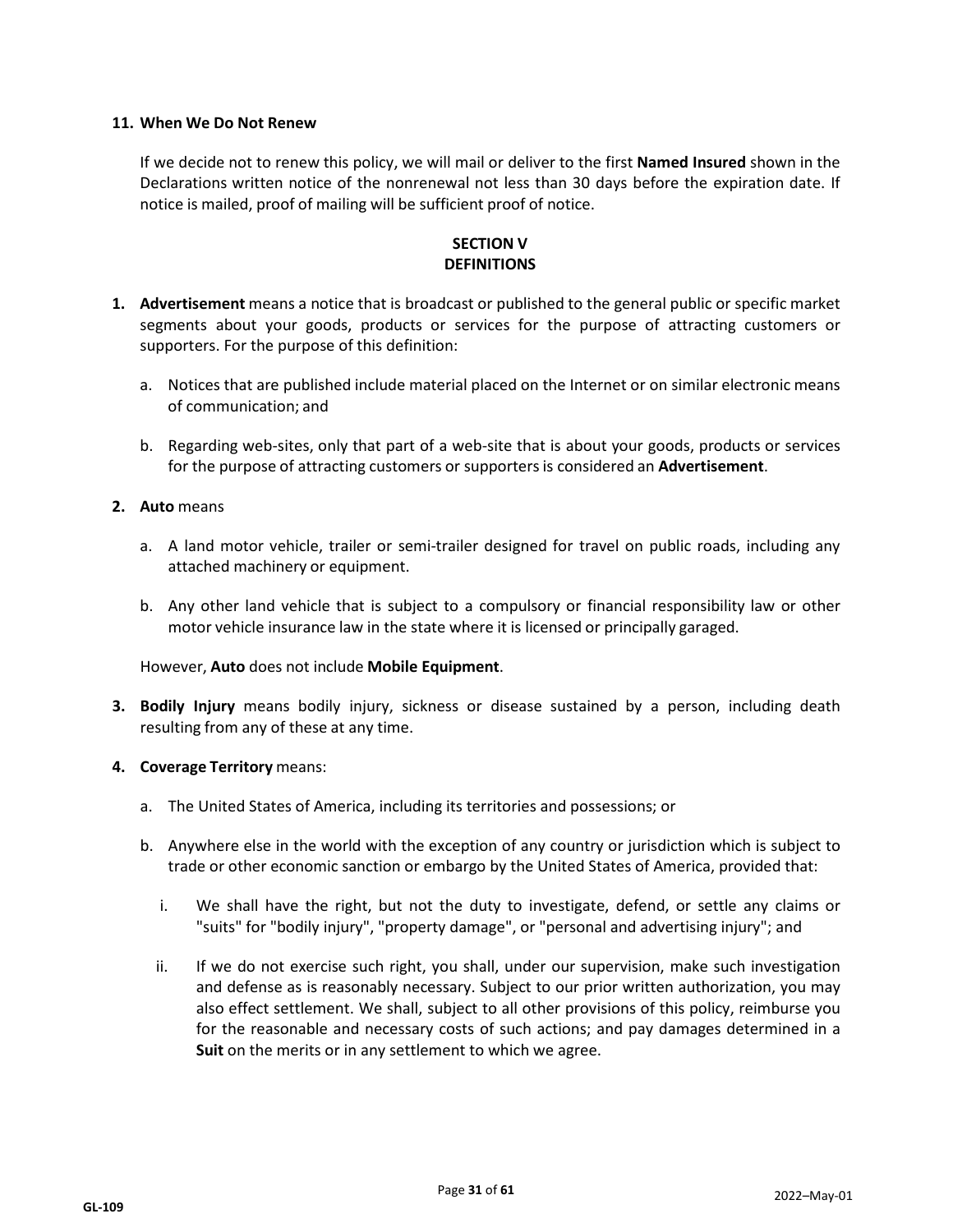## **11. When We Do Not Renew**

If we decide not to renew this policy, we will mail or deliver to the first **Named Insured** shown in the Declarations written notice of the nonrenewal not less than 30 days before the expiration date. If notice is mailed, proof of mailing will be sufficient proof of notice.

## **SECTION V DEFINITIONS**

- **1. Advertisement** means a notice that is broadcast or published to the general public or specific market segments about your goods, products or services for the purpose of attracting customers or supporters. For the purpose of this definition:
	- a. Notices that are published include material placed on the Internet or on similar electronic means of communication; and
	- b. Regarding web-sites, only that part of a web-site that is about your goods, products or services for the purpose of attracting customers or supportersis considered an **Advertisement**.

#### **2. Auto** means

- a. A land motor vehicle, trailer or semi-trailer designed for travel on public roads, including any attached machinery or equipment.
- b. Any other land vehicle that is subject to a compulsory or financial responsibility law or other motor vehicle insurance law in the state where it is licensed or principally garaged.

#### However, **Auto** does not include **Mobile Equipment**.

- **3. Bodily Injury** means bodily injury, sickness or disease sustained by a person, including death resulting from any of these at any time.
- **4. Coverage Territory** means:
	- a. The United States of America, including its territories and possessions; or
	- b. Anywhere else in the world with the exception of any country or jurisdiction which is subject to trade or other economic sanction or embargo by the United States of America, provided that:
		- i. We shall have the right, but not the duty to investigate, defend, or settle any claims or "suits" for "bodily injury", "property damage", or "personal and advertising injury"; and
		- ii. If we do not exercise such right, you shall, under our supervision, make such investigation and defense as is reasonably necessary. Subject to our prior written authorization, you may also effect settlement. We shall, subject to all other provisions of this policy, reimburse you for the reasonable and necessary costs of such actions; and pay damages determined in a **Suit** on the merits or in any settlement to which we agree.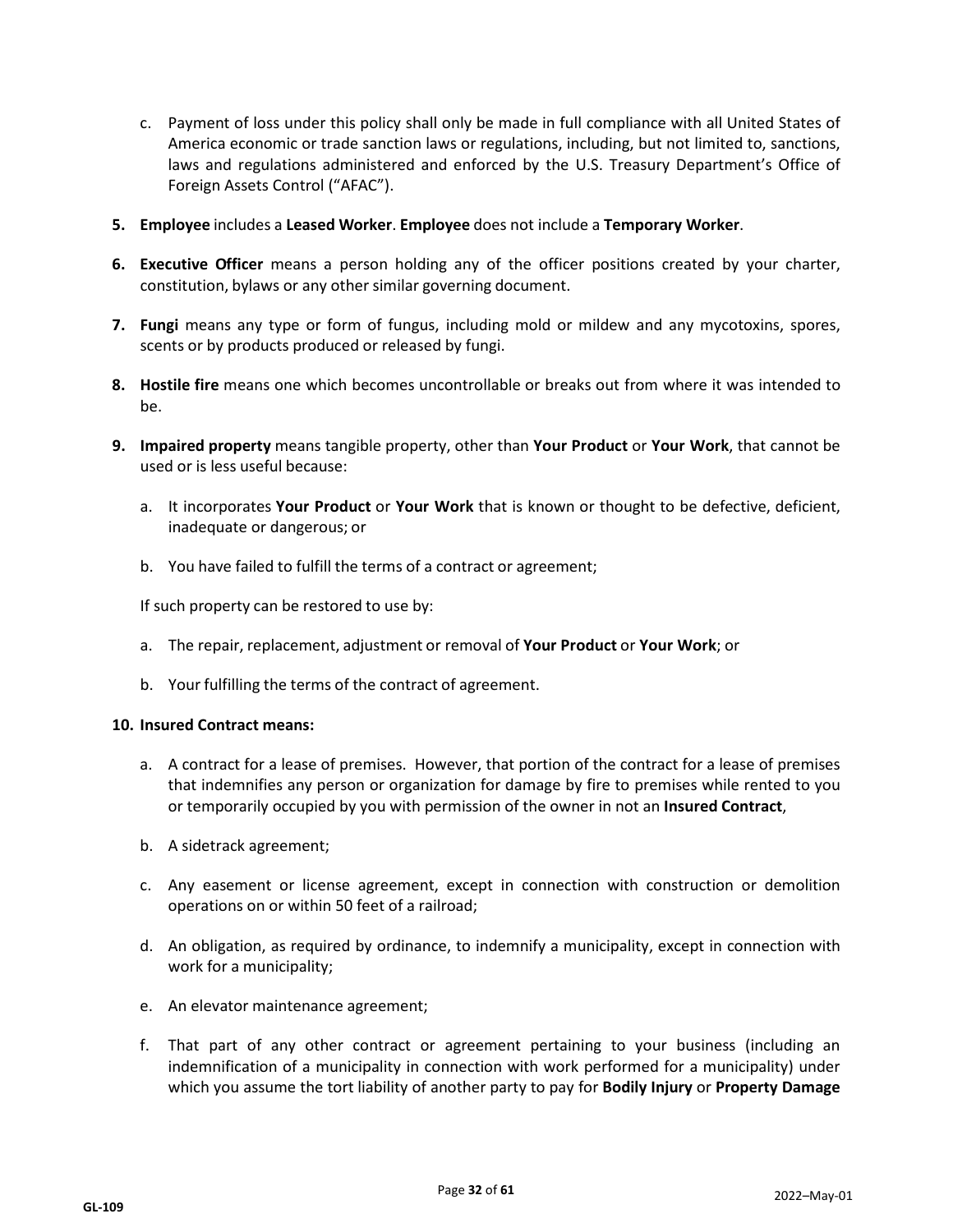- c. Payment of loss under this policy shall only be made in full compliance with all United States of America economic or trade sanction laws or regulations, including, but not limited to, sanctions, laws and regulations administered and enforced by the U.S. Treasury Department's Office of Foreign Assets Control ("AFAC").
- **5. Employee** includes a **Leased Worker**. **Employee** does not include a **Temporary Worker**.
- **6. Executive Officer** means a person holding any of the officer positions created by your charter, constitution, bylaws or any other similar governing document.
- **7. Fungi** means any type or form of fungus, including mold or mildew and any mycotoxins, spores, scents or by products produced or released by fungi.
- **8. Hostile fire** means one which becomes uncontrollable or breaks out from where it was intended to be.
- **9. Impaired property** means tangible property, other than **Your Product** or **Your Work**, that cannot be used or is less useful because:
	- a. It incorporates **Your Product** or **Your Work** that is known or thought to be defective, deficient, inadequate or dangerous; or
	- b. You have failed to fulfill the terms of a contract or agreement;

If such property can be restored to use by:

- a. The repair, replacement, adjustment or removal of **Your Product** or **Your Work**; or
- b. Your fulfilling the terms of the contract of agreement.

#### **10. Insured Contract means:**

- a. A contract for a lease of premises. However, that portion of the contract for a lease of premises that indemnifies any person or organization for damage by fire to premises while rented to you or temporarily occupied by you with permission of the owner in not an **Insured Contract**,
- b. A sidetrack agreement;
- c. Any easement or license agreement, except in connection with construction or demolition operations on or within 50 feet of a railroad;
- d. An obligation, as required by ordinance, to indemnify a municipality, except in connection with work for a municipality;
- e. An elevator maintenance agreement;
- f. That part of any other contract or agreement pertaining to your business (including an indemnification of a municipality in connection with work performed for a municipality) under which you assume the tort liability of another party to pay for **Bodily Injury** or **Property Damage**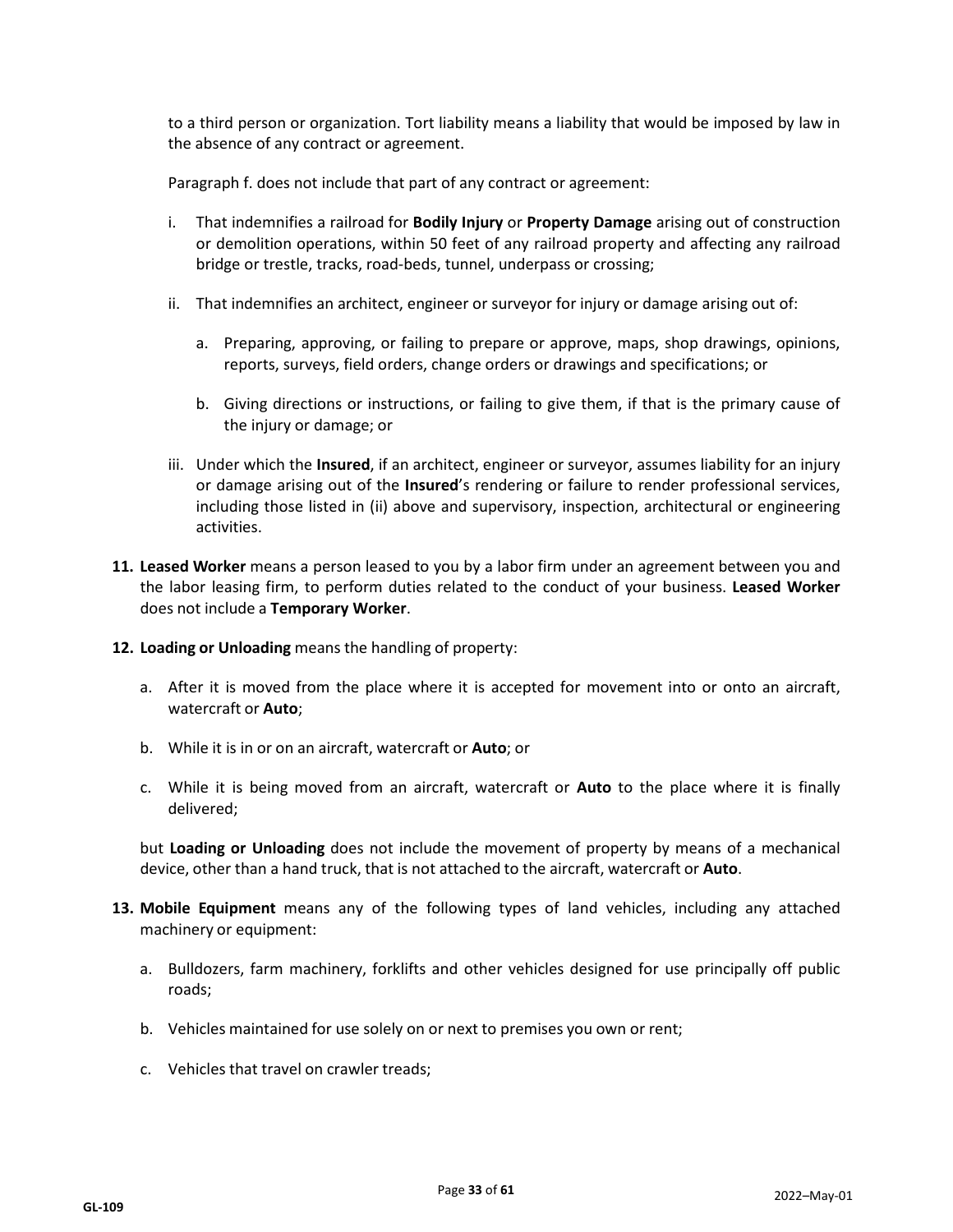to a third person or organization. Tort liability means a liability that would be imposed by law in the absence of any contract or agreement.

Paragraph f. does not include that part of any contract or agreement:

- i. That indemnifies a railroad for **Bodily Injury** or **Property Damage** arising out of construction or demolition operations, within 50 feet of any railroad property and affecting any railroad bridge or trestle, tracks, road-beds, tunnel, underpass or crossing;
- ii. That indemnifies an architect, engineer or surveyor for injury or damage arising out of:
	- a. Preparing, approving, or failing to prepare or approve, maps, shop drawings, opinions, reports, surveys, field orders, change orders or drawings and specifications; or
	- b. Giving directions or instructions, or failing to give them, if that is the primary cause of the injury or damage; or
- iii. Under which the **Insured**, if an architect, engineer or surveyor, assumes liability for an injury or damage arising out of the **Insured**'s rendering or failure to render professional services, including those listed in (ii) above and supervisory, inspection, architectural or engineering activities.
- **11. Leased Worker** means a person leased to you by a labor firm under an agreement between you and the labor leasing firm, to perform duties related to the conduct of your business. **Leased Worker** does not include a **Temporary Worker**.
- **12. Loading or Unloading** means the handling of property:
	- a. After it is moved from the place where it is accepted for movement into or onto an aircraft, watercraft or **Auto**;
	- b. While it is in or on an aircraft, watercraft or **Auto**; or
	- c. While it is being moved from an aircraft, watercraft or **Auto** to the place where it is finally delivered;

but **Loading or Unloading** does not include the movement of property by means of a mechanical device, other than a hand truck, that is not attached to the aircraft, watercraft or **Auto**.

- **13. Mobile Equipment** means any of the following types of land vehicles, including any attached machinery or equipment:
	- a. Bulldozers, farm machinery, forklifts and other vehicles designed for use principally off public roads;
	- b. Vehicles maintained for use solely on or next to premises you own or rent;
	- c. Vehicles that travel on crawler treads;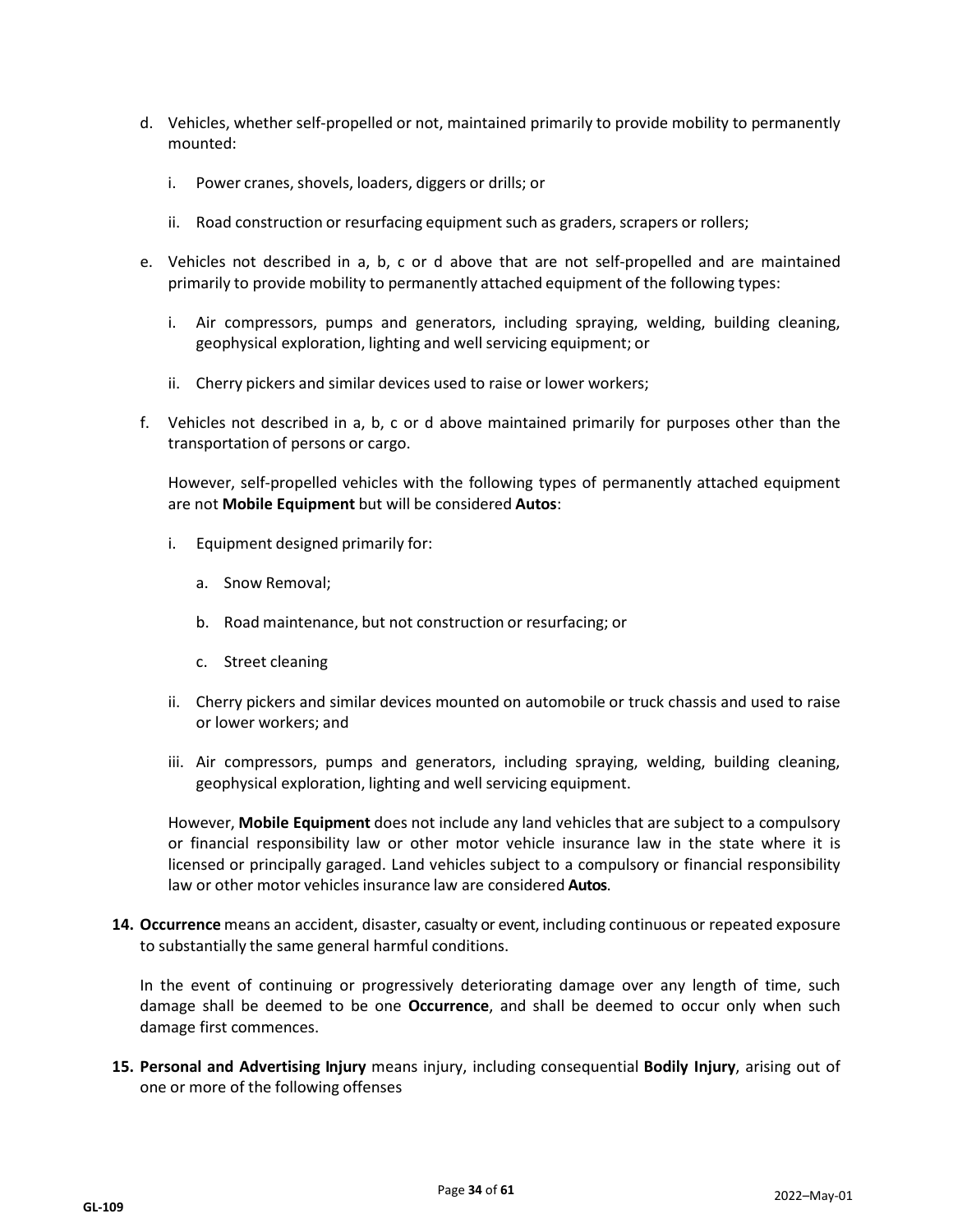- d. Vehicles, whether self-propelled or not, maintained primarily to provide mobility to permanently mounted:
	- i. Power cranes, shovels, loaders, diggers or drills; or
	- ii. Road construction or resurfacing equipment such as graders, scrapers or rollers;
- e. Vehicles not described in a, b, c or d above that are not self-propelled and are maintained primarily to provide mobility to permanently attached equipment of the following types:
	- i. Air compressors, pumps and generators, including spraying, welding, building cleaning, geophysical exploration, lighting and well servicing equipment; or
	- ii. Cherry pickers and similar devices used to raise or lower workers;
- f. Vehicles not described in a, b, c or d above maintained primarily for purposes other than the transportation of persons or cargo.

However, self-propelled vehicles with the following types of permanently attached equipment are not **Mobile Equipment** but will be considered **Autos**:

- i. Equipment designed primarily for:
	- a. Snow Removal;
	- b. Road maintenance, but not construction or resurfacing; or
	- c. Street cleaning
- ii. Cherry pickers and similar devices mounted on automobile or truck chassis and used to raise or lower workers; and
- iii. Air compressors, pumps and generators, including spraying, welding, building cleaning, geophysical exploration, lighting and well servicing equipment.

However, **Mobile Equipment** does not include any land vehicles that are subject to a compulsory or financial responsibility law or other motor vehicle insurance law in the state where it is licensed or principally garaged. Land vehicles subject to a compulsory or financial responsibility law or other motor vehicles insurance law are considered **Autos**.

**14. Occurrence** means an accident, disaster, casualty or event, including continuous or repeated exposure to substantially the same general harmful conditions.

In the event of continuing or progressively deteriorating damage over any length of time, such damage shall be deemed to be one **Occurrence**, and shall be deemed to occur only when such damage first commences.

**15. Personal and Advertising Injury** means injury, including consequential **Bodily Injury**, arising out of one or more of the following offenses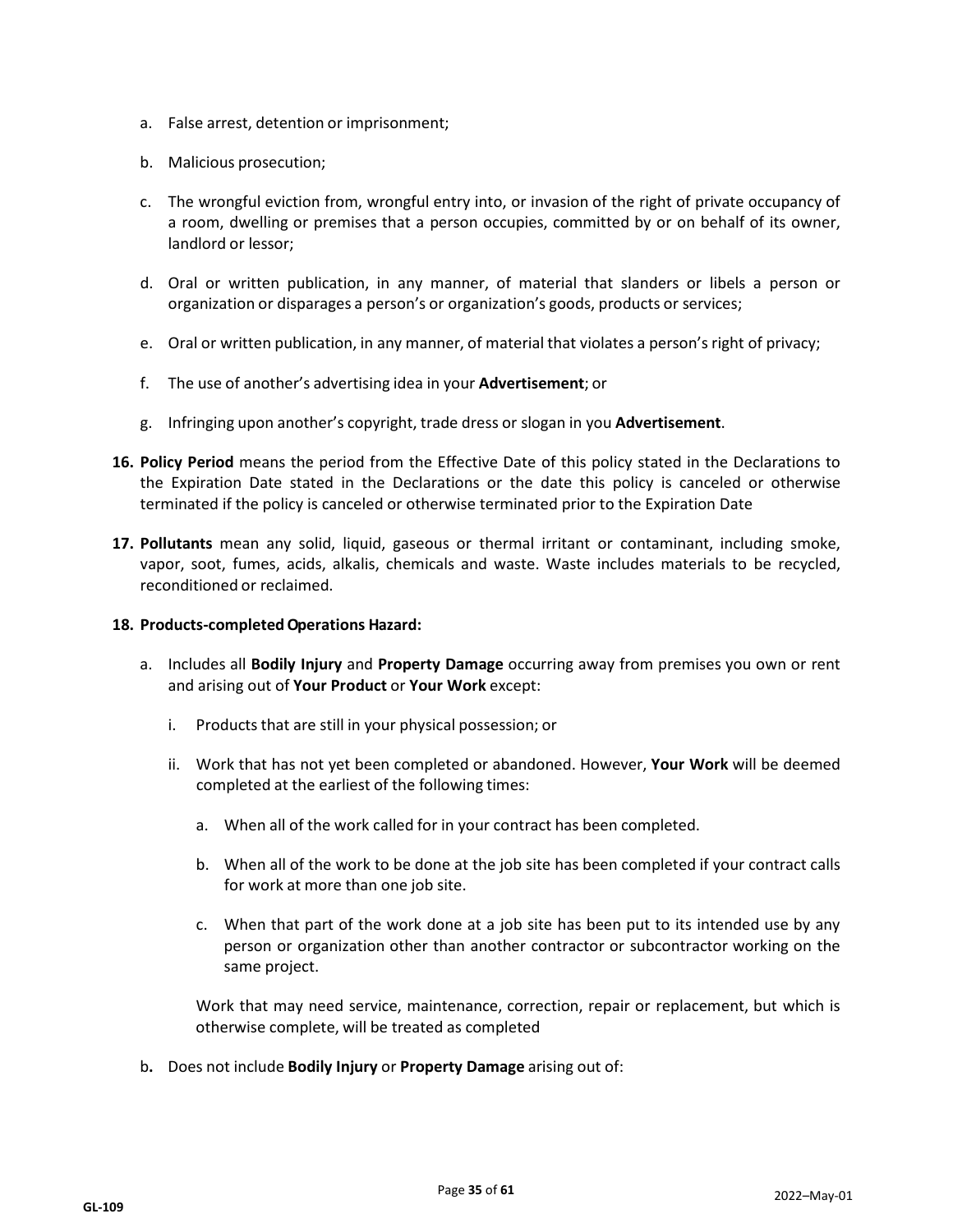- a. False arrest, detention or imprisonment;
- b. Malicious prosecution;
- c. The wrongful eviction from, wrongful entry into, or invasion of the right of private occupancy of a room, dwelling or premises that a person occupies, committed by or on behalf of its owner, landlord or lessor;
- d. Oral or written publication, in any manner, of material that slanders or libels a person or organization or disparages a person's or organization's goods, products or services;
- e. Oral or written publication, in any manner, of material that violates a person's right of privacy;
- f. The use of another's advertising idea in your **Advertisement**; or
- g. Infringing upon another's copyright, trade dress or slogan in you **Advertisement**.
- **16. Policy Period** means the period from the Effective Date of this policy stated in the Declarations to the Expiration Date stated in the Declarations or the date this policy is canceled or otherwise terminated if the policy is canceled or otherwise terminated prior to the Expiration Date
- **17. Pollutants** mean any solid, liquid, gaseous or thermal irritant or contaminant, including smoke, vapor, soot, fumes, acids, alkalis, chemicals and waste. Waste includes materials to be recycled, reconditioned or reclaimed.

## **18. Products-completedOperations Hazard:**

- a. Includes all **Bodily Injury** and **Property Damage** occurring away from premises you own or rent and arising out of **Your Product** or **Your Work** except:
	- i. Products that are still in your physical possession; or
	- ii. Work that has not yet been completed or abandoned. However, **Your Work** will be deemed completed at the earliest of the following times:
		- a. When all of the work called for in your contract has been completed.
		- b. When all of the work to be done at the job site has been completed if your contract calls for work at more than one job site.
		- c. When that part of the work done at a job site has been put to its intended use by any person or organization other than another contractor or subcontractor working on the same project.

Work that may need service, maintenance, correction, repair or replacement, but which is otherwise complete, will be treated as completed

b**.** Does not include **Bodily Injury** or **Property Damage** arising out of: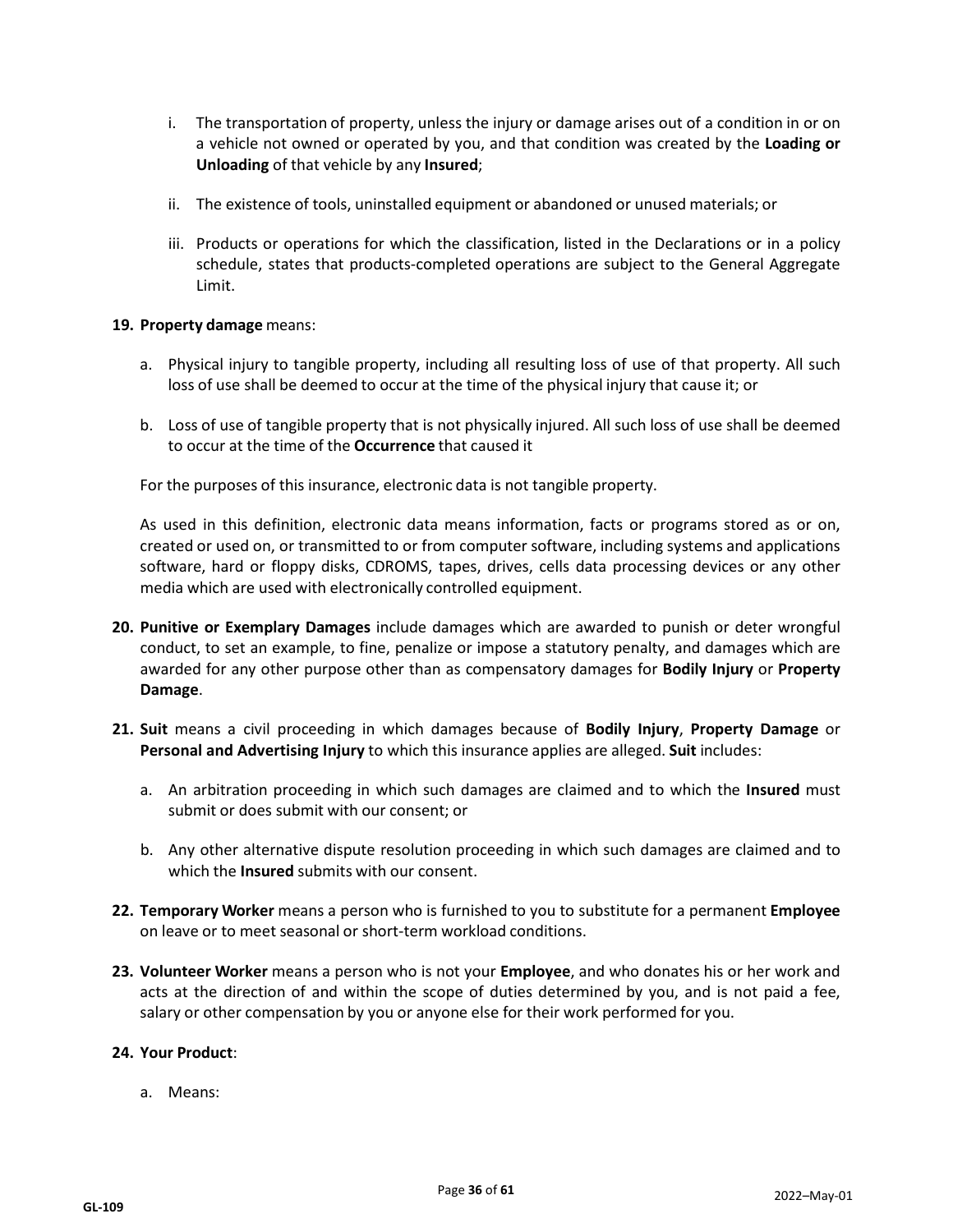- i. The transportation of property, unless the injury or damage arises out of a condition in or on a vehicle not owned or operated by you, and that condition was created by the **Loading or Unloading** of that vehicle by any **Insured**;
- ii. The existence of tools, uninstalled equipment or abandoned or unused materials; or
- iii. Products or operations for which the classification, listed in the Declarations or in a policy schedule, states that products-completed operations are subject to the General Aggregate Limit.

#### **19. Property damage** means:

- a. Physical injury to tangible property, including all resulting loss of use of that property. All such loss of use shall be deemed to occur at the time of the physical injury that cause it; or
- b. Loss of use of tangible property that is not physically injured. All such loss of use shall be deemed to occur at the time of the **Occurrence** that caused it

For the purposes of this insurance, electronic data is not tangible property.

As used in this definition, electronic data means information, facts or programs stored as or on, created or used on, or transmitted to or from computer software, including systems and applications software, hard or floppy disks, CDROMS, tapes, drives, cells data processing devices or any other media which are used with electronically controlled equipment.

- **20. Punitive or Exemplary Damages** include damages which are awarded to punish or deter wrongful conduct, to set an example, to fine, penalize or impose a statutory penalty, and damages which are awarded for any other purpose other than as compensatory damages for **Bodily Injury** or **Property Damage**.
- **21. Suit** means a civil proceeding in which damages because of **Bodily Injury**, **Property Damage** or **Personal and Advertising Injury** to which this insurance applies are alleged. **Suit** includes:
	- a. An arbitration proceeding in which such damages are claimed and to which the **Insured** must submit or does submit with our consent; or
	- b. Any other alternative dispute resolution proceeding in which such damages are claimed and to which the **Insured** submits with our consent.
- **22. Temporary Worker** means a person who is furnished to you to substitute for a permanent **Employee** on leave or to meet seasonal or short-term workload conditions.
- **23. Volunteer Worker** means a person who is not your **Employee**, and who donates his or her work and acts at the direction of and within the scope of duties determined by you, and is not paid a fee, salary or other compensation by you or anyone else for their work performed for you.

#### **24. Your Product**:

a. Means: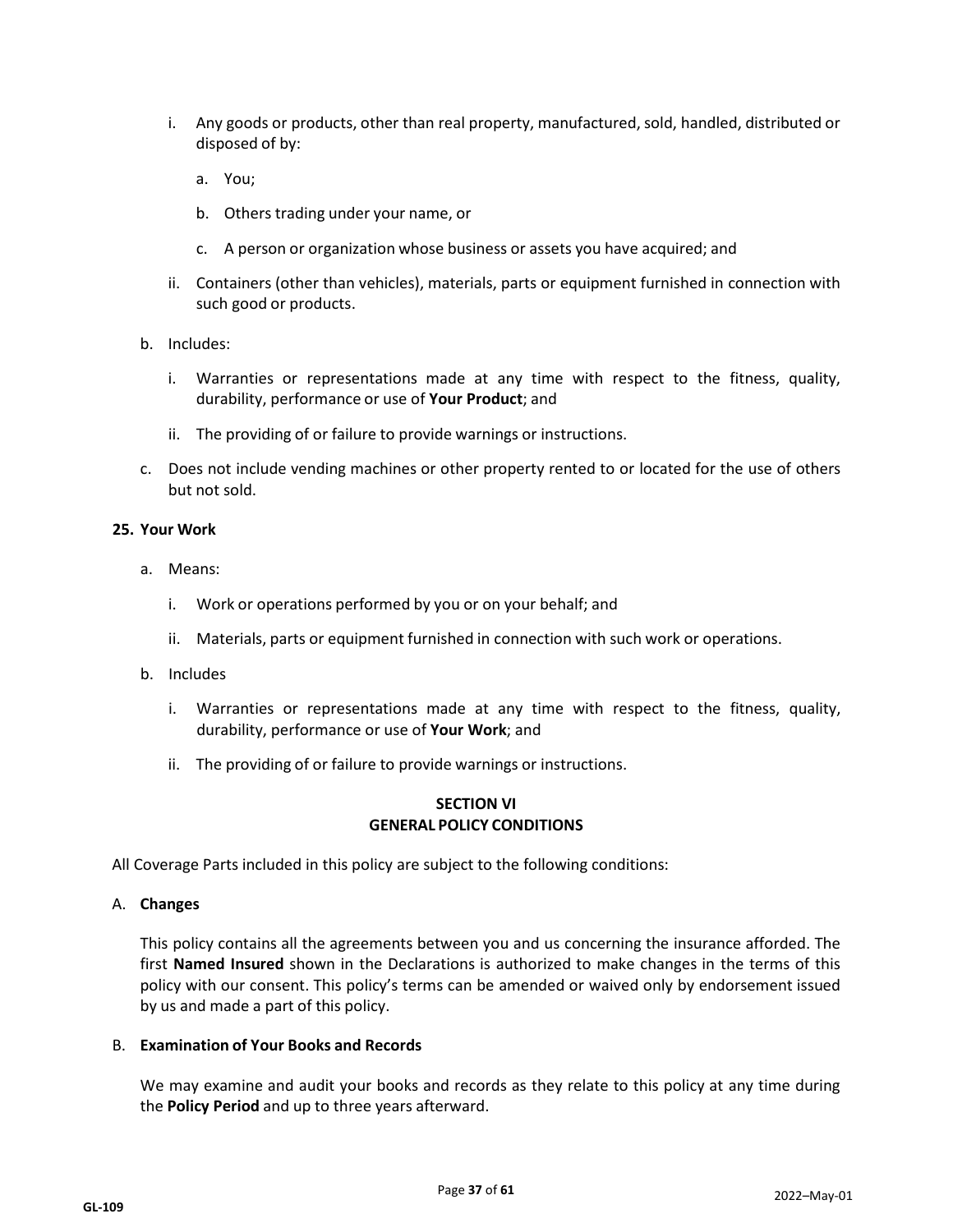- i. Any goods or products, other than real property, manufactured, sold, handled, distributed or disposed of by:
	- a. You;
	- b. Others trading under your name, or
	- c. A person or organization whose business or assets you have acquired; and
- ii. Containers (other than vehicles), materials, parts or equipment furnished in connection with such good or products.
- b. Includes:
	- i. Warranties or representations made at any time with respect to the fitness, quality, durability, performance or use of **Your Product**; and
	- ii. The providing of or failure to provide warnings or instructions.
- c. Does not include vending machines or other property rented to or located for the use of others but not sold.

#### **25. Your Work**

- a. Means:
	- i. Work or operations performed by you or on your behalf; and
	- ii. Materials, parts or equipment furnished in connection with such work or operations.
- b. Includes
	- i. Warranties or representations made at any time with respect to the fitness, quality, durability, performance or use of **Your Work**; and
	- ii. The providing of or failure to provide warnings or instructions.

#### **SECTION VI GENERAL POLICY CONDITIONS**

All Coverage Parts included in this policy are subject to the following conditions:

#### A. **Changes**

This policy contains all the agreements between you and us concerning the insurance afforded. The first **Named Insured** shown in the Declarations is authorized to make changes in the terms of this policy with our consent. This policy's terms can be amended or waived only by endorsement issued by us and made a part of this policy.

## B. **Examination of Your Books and Records**

We may examine and audit your books and records as they relate to this policy at any time during the **Policy Period** and up to three years afterward.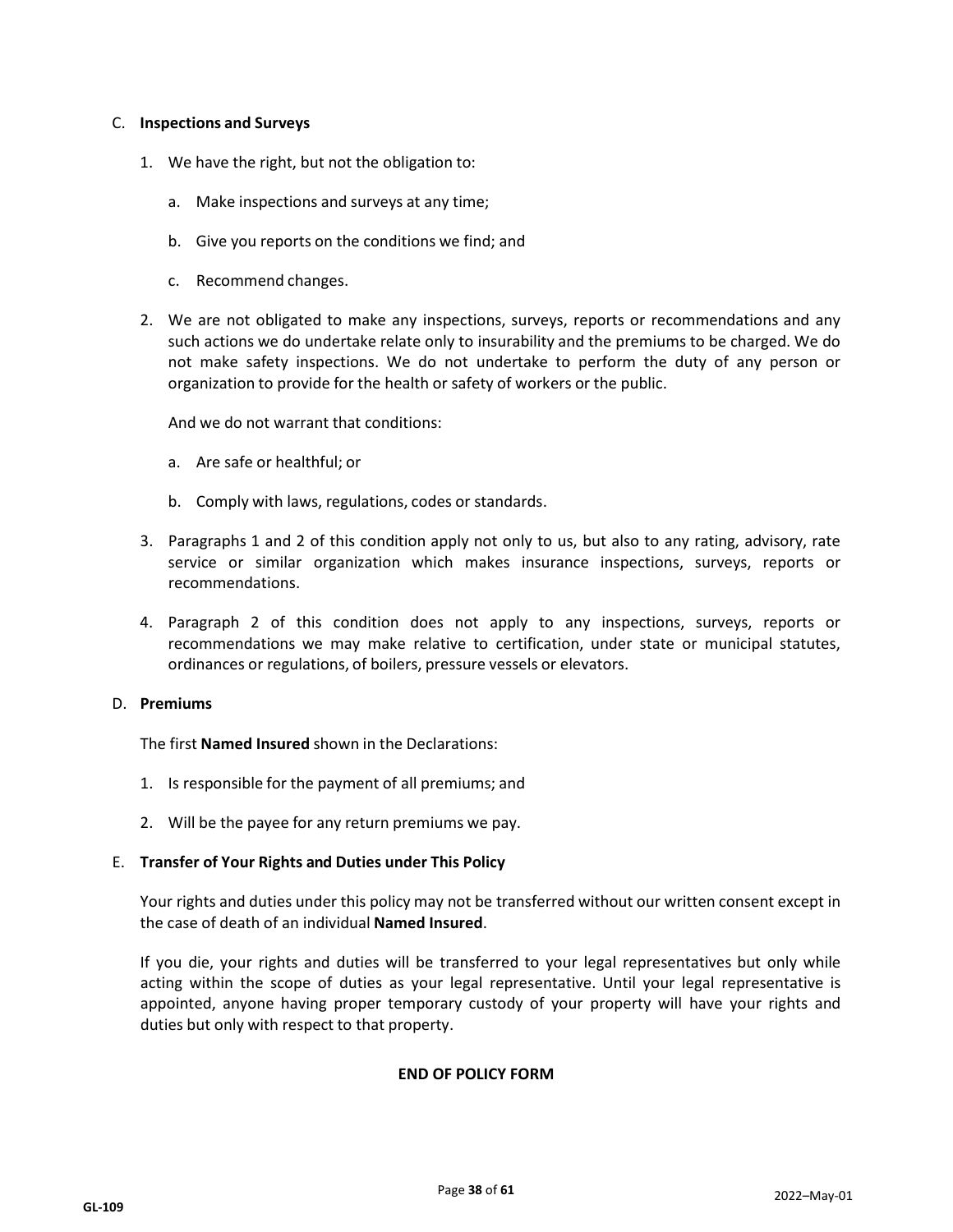#### C. **Inspections and Surveys**

- 1. We have the right, but not the obligation to:
	- a. Make inspections and surveys at any time;
	- b. Give you reports on the conditions we find; and
	- c. Recommend changes.
- 2. We are not obligated to make any inspections, surveys, reports or recommendations and any such actions we do undertake relate only to insurability and the premiums to be charged. We do not make safety inspections. We do not undertake to perform the duty of any person or organization to provide for the health or safety of workers or the public.

And we do not warrant that conditions:

- a. Are safe or healthful; or
- b. Comply with laws, regulations, codes or standards.
- 3. Paragraphs 1 and 2 of this condition apply not only to us, but also to any rating, advisory, rate service or similar organization which makes insurance inspections, surveys, reports or recommendations.
- 4. Paragraph 2 of this condition does not apply to any inspections, surveys, reports or recommendations we may make relative to certification, under state or municipal statutes, ordinances or regulations, of boilers, pressure vessels or elevators.

#### D. **Premiums**

The first **Named Insured** shown in the Declarations:

- 1. Is responsible for the payment of all premiums; and
- 2. Will be the payee for any return premiums we pay.

#### E. **Transfer of Your Rights and Duties under This Policy**

Your rights and duties under this policy may not be transferred without our written consent except in the case of death of an individual **Named Insured**.

If you die, your rights and duties will be transferred to your legal representatives but only while acting within the scope of duties as your legal representative. Until your legal representative is appointed, anyone having proper temporary custody of your property will have your rights and duties but only with respect to that property.

## **END OF POLICY FORM**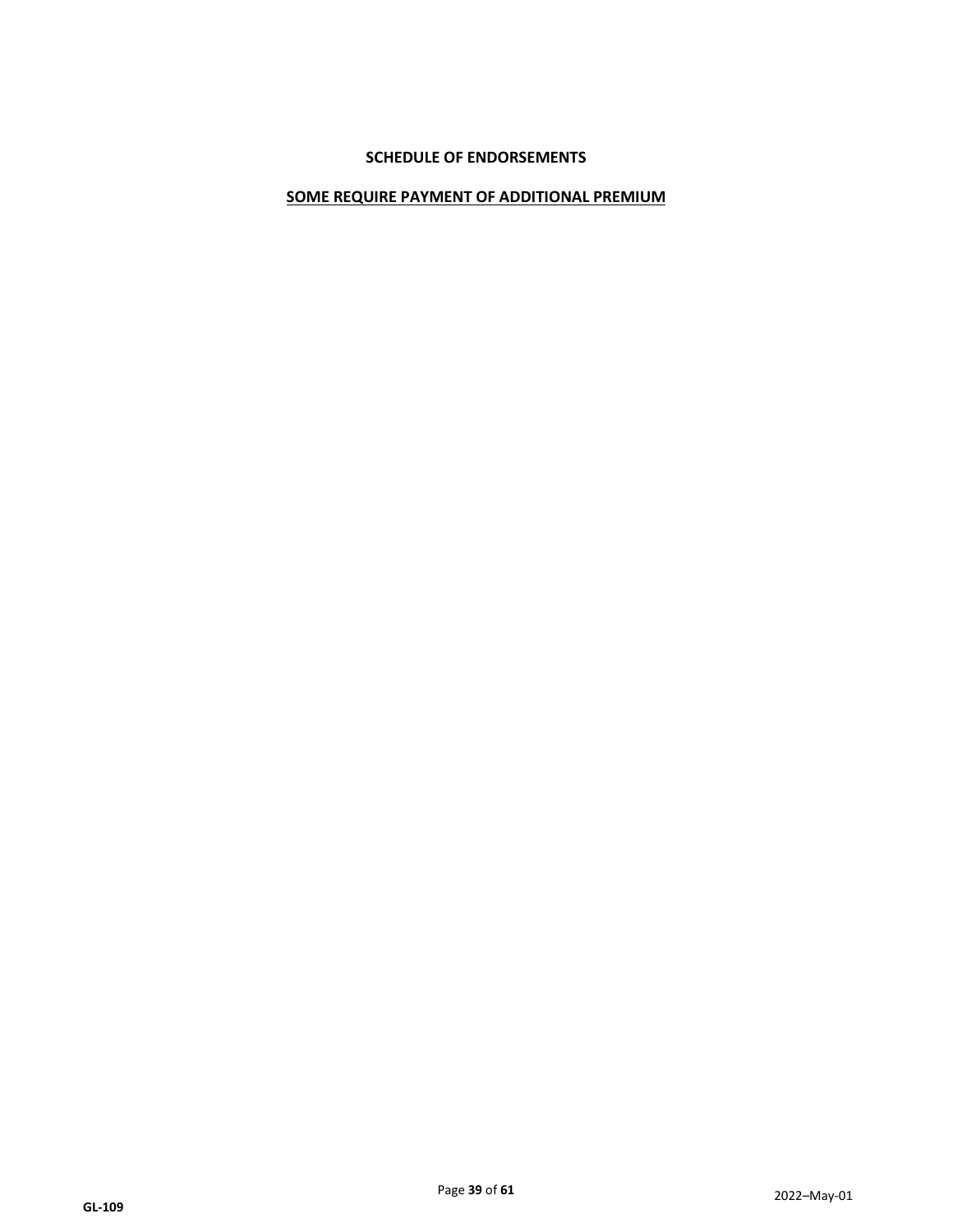## **SCHEDULE OF ENDORSEMENTS**

#### **SOME REQUIRE PAYMENT OF ADDITIONAL PREMIUM**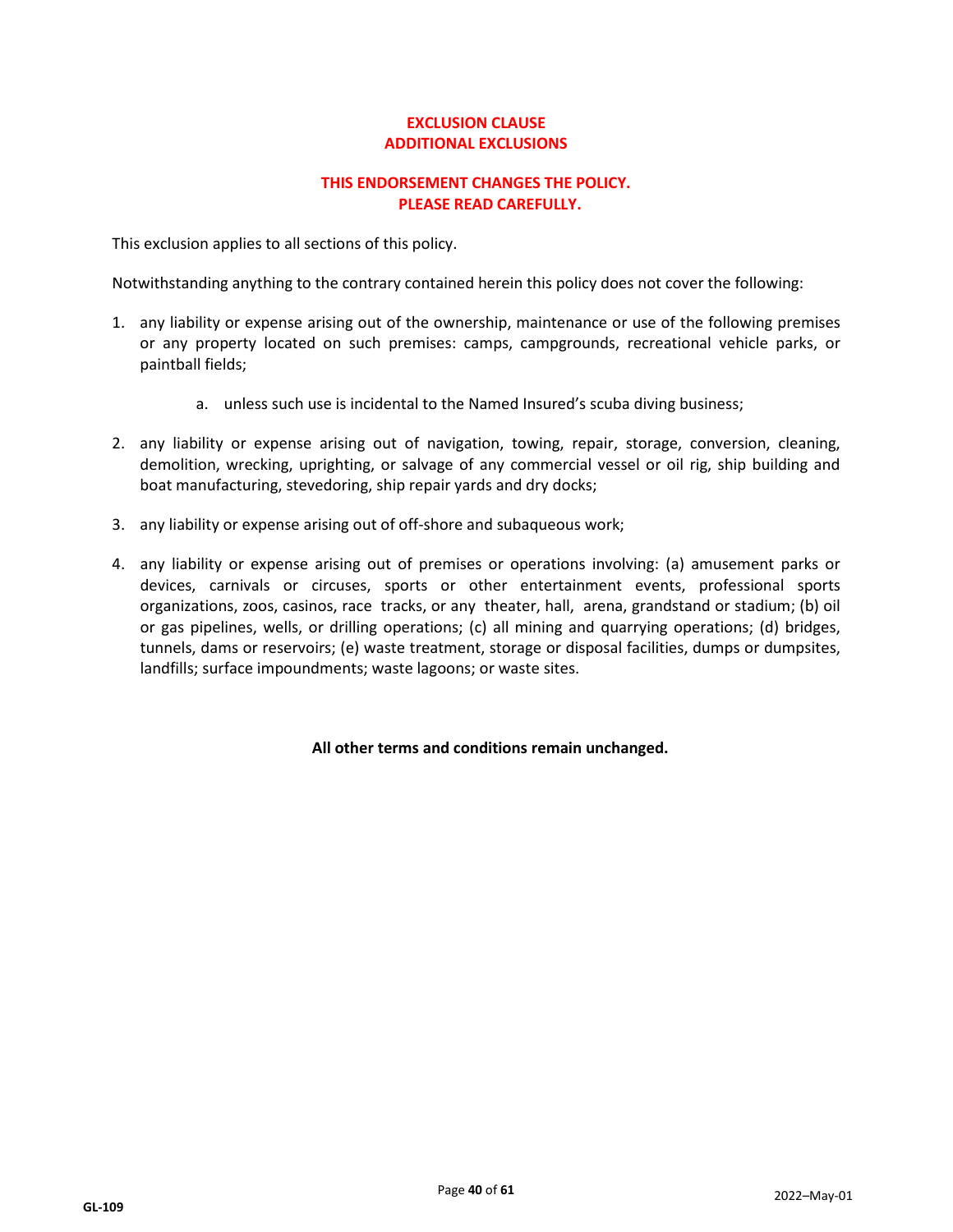## **EXCLUSION CLAUSE ADDITIONAL EXCLUSIONS**

## **THIS ENDORSEMENT CHANGES THE POLICY. PLEASE READ CAREFULLY.**

This exclusion applies to all sections of this policy.

Notwithstanding anything to the contrary contained herein this policy does not cover the following:

- 1. any liability or expense arising out of the ownership, maintenance or use of the following premises or any property located on such premises: camps, campgrounds, recreational vehicle parks, or paintball fields;
	- a. unless such use is incidental to the Named Insured's scuba diving business;
- 2. any liability or expense arising out of navigation, towing, repair, storage, conversion, cleaning, demolition, wrecking, uprighting, or salvage of any commercial vessel or oil rig, ship building and boat manufacturing, stevedoring, ship repair yards and dry docks;
- 3. any liability or expense arising out of off-shore and subaqueous work;
- 4. any liability or expense arising out of premises or operations involving: (a) amusement parks or devices, carnivals or circuses, sports or other entertainment events, professional sports organizations, zoos, casinos, race tracks, or any theater, hall, arena, grandstand or stadium; (b) oil or gas pipelines, wells, or drilling operations; (c) all mining and quarrying operations; (d) bridges, tunnels, dams or reservoirs; (e) waste treatment, storage or disposal facilities, dumps or dumpsites, landfills; surface impoundments; waste lagoons; or waste sites.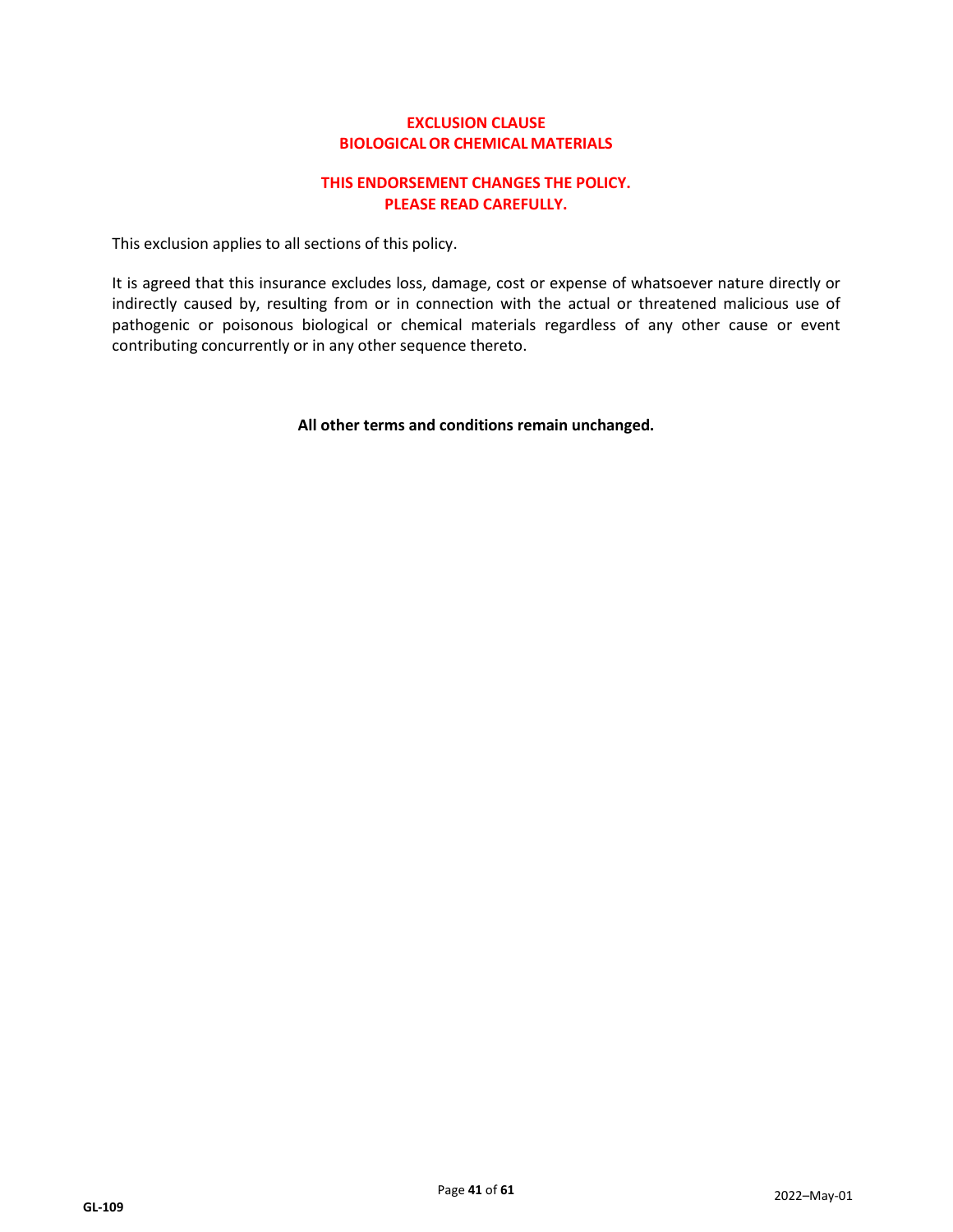## **EXCLUSION CLAUSE BIOLOGICALOR CHEMICAL MATERIALS**

## **THIS ENDORSEMENT CHANGES THE POLICY. PLEASE READ CAREFULLY.**

This exclusion applies to all sections of this policy.

It is agreed that this insurance excludes loss, damage, cost or expense of whatsoever nature directly or indirectly caused by, resulting from or in connection with the actual or threatened malicious use of pathogenic or poisonous biological or chemical materials regardless of any other cause or event contributing concurrently or in any other sequence thereto.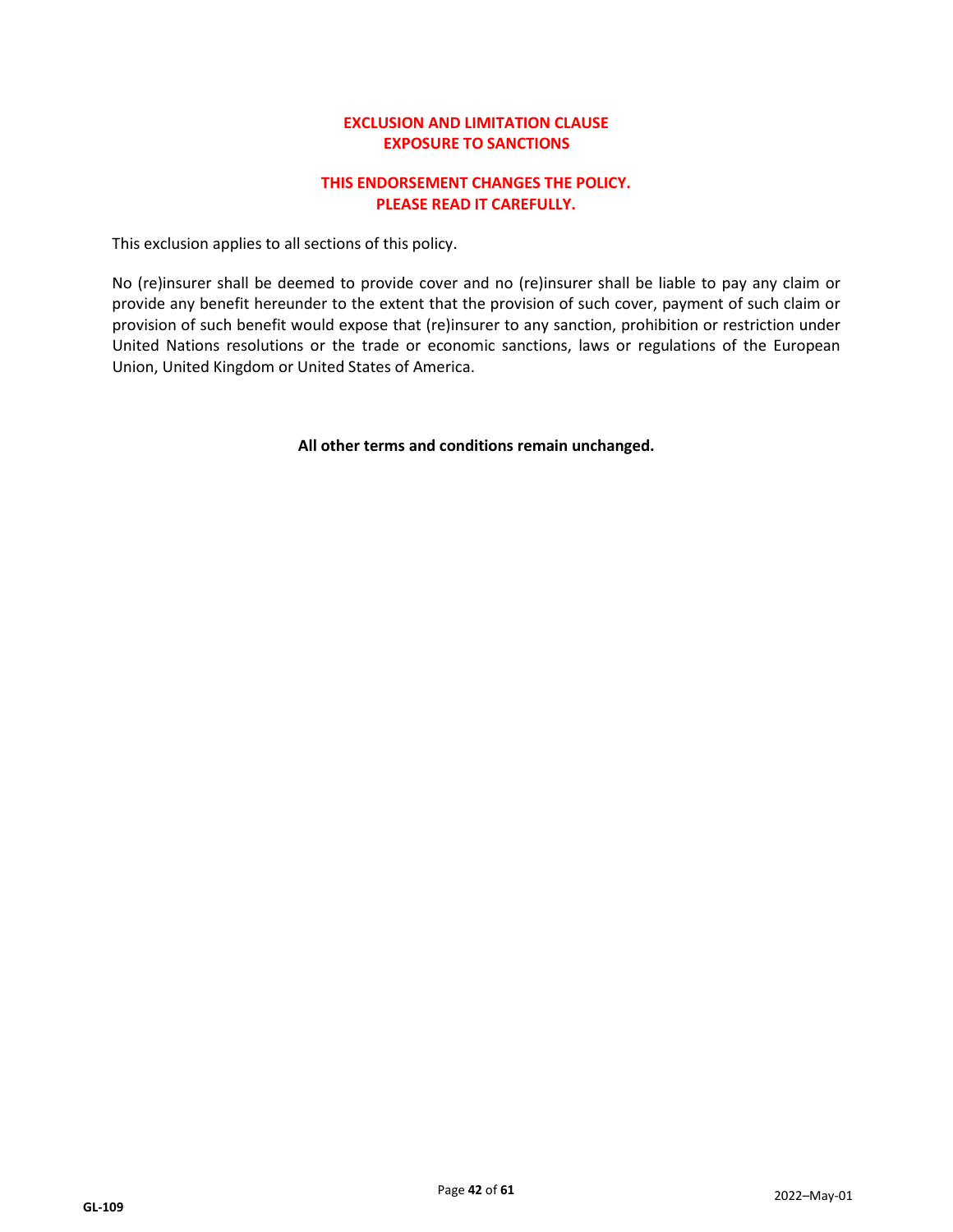## **EXCLUSION AND LIMITATION CLAUSE EXPOSURE TO SANCTIONS**

## **THIS ENDORSEMENT CHANGES THE POLICY. PLEASE READ IT CAREFULLY.**

This exclusion applies to all sections of this policy.

No (re)insurer shall be deemed to provide cover and no (re)insurer shall be liable to pay any claim or provide any benefit hereunder to the extent that the provision of such cover, payment of such claim or provision of such benefit would expose that (re)insurer to any sanction, prohibition or restriction under United Nations resolutions or the trade or economic sanctions, laws or regulations of the European Union, United Kingdom or United States of America.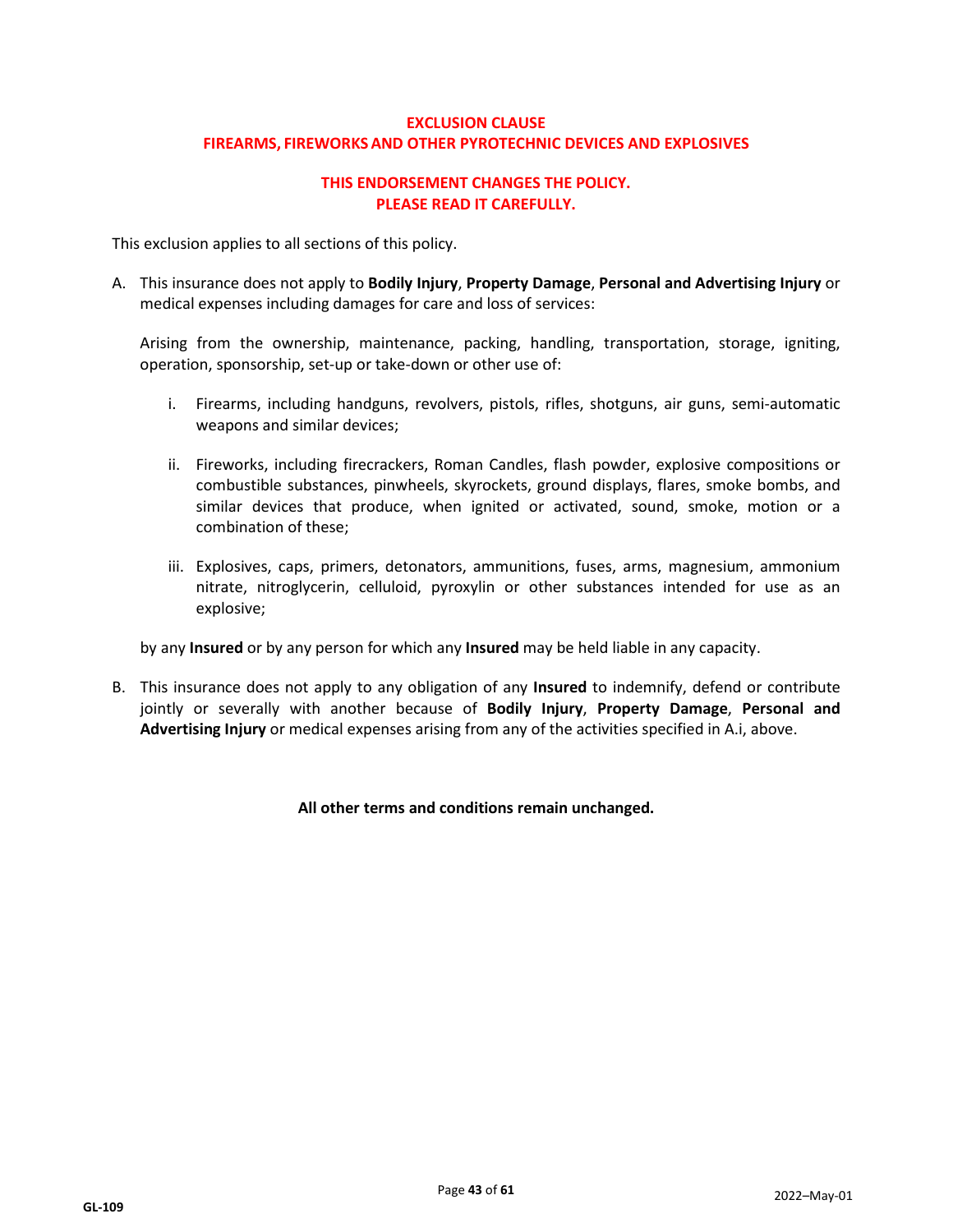## **EXCLUSION CLAUSE FIREARMS, FIREWORKSAND OTHER PYROTECHNIC DEVICES AND EXPLOSIVES**

## **THIS ENDORSEMENT CHANGES THE POLICY. PLEASE READ IT CAREFULLY.**

This exclusion applies to all sections of this policy.

A. This insurance does not apply to **Bodily Injury**, **Property Damage**, **Personal and Advertising Injury** or medical expenses including damages for care and loss of services:

Arising from the ownership, maintenance, packing, handling, transportation, storage, igniting, operation, sponsorship, set-up or take-down or other use of:

- i. Firearms, including handguns, revolvers, pistols, rifles, shotguns, air guns, semi-automatic weapons and similar devices;
- ii. Fireworks, including firecrackers, Roman Candles, flash powder, explosive compositions or combustible substances, pinwheels, skyrockets, ground displays, flares, smoke bombs, and similar devices that produce, when ignited or activated, sound, smoke, motion or a combination of these;
- iii. Explosives, caps, primers, detonators, ammunitions, fuses, arms, magnesium, ammonium nitrate, nitroglycerin, celluloid, pyroxylin or other substances intended for use as an explosive;

by any **Insured** or by any person for which any **Insured** may be held liable in any capacity.

B. This insurance does not apply to any obligation of any **Insured** to indemnify, defend or contribute jointly or severally with another because of **Bodily Injury**, **Property Damage**, **Personal and Advertising Injury** or medical expenses arising from any of the activities specified in A.i, above.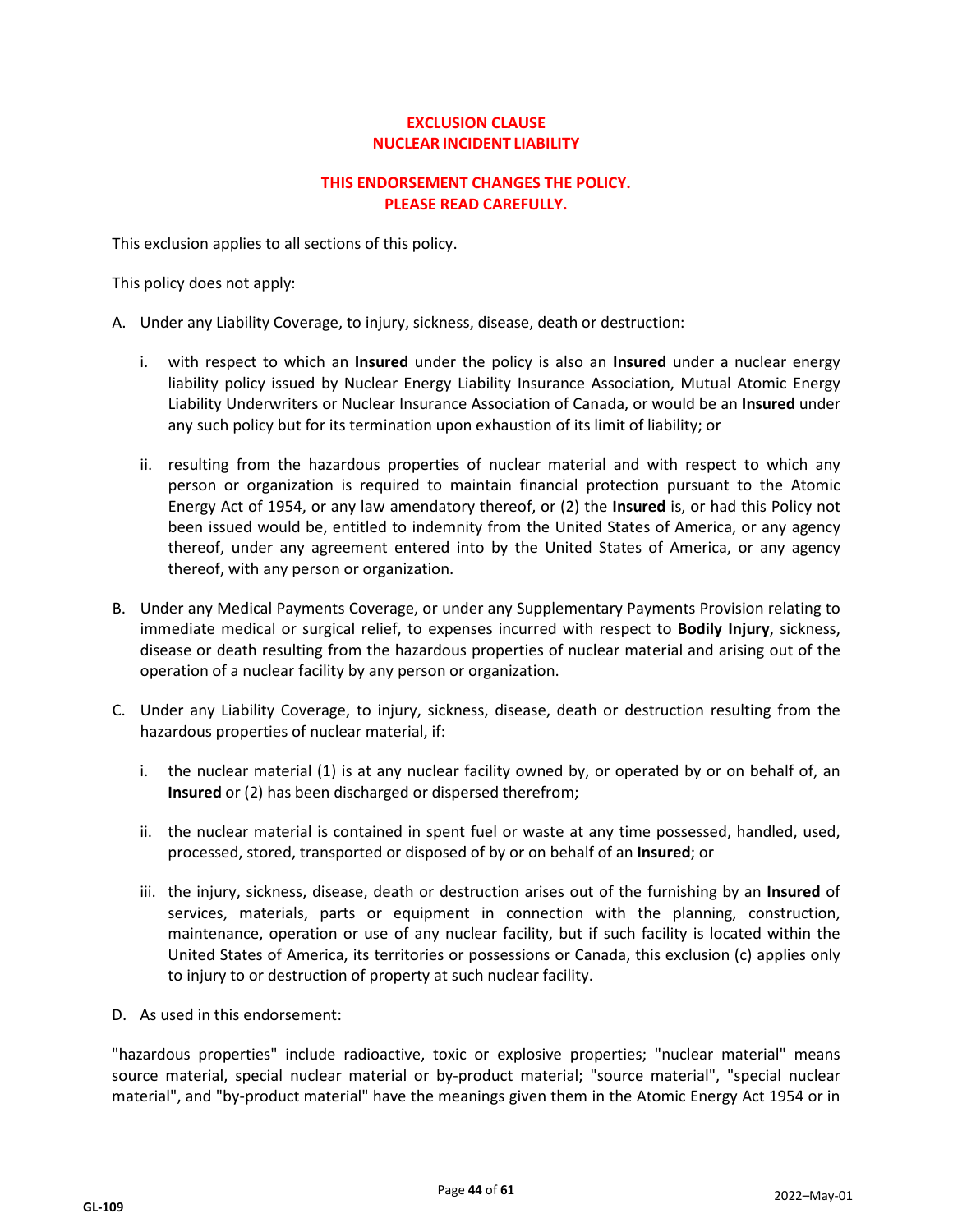## **EXCLUSION CLAUSE NUCLEAR INCIDENT LIABILITY**

## **THIS ENDORSEMENT CHANGES THE POLICY. PLEASE READ CAREFULLY.**

This exclusion applies to all sections of this policy.

This policy does not apply:

- A. Under any Liability Coverage, to injury, sickness, disease, death or destruction:
	- i. with respect to which an **Insured** under the policy is also an **Insured** under a nuclear energy liability policy issued by Nuclear Energy Liability Insurance Association, Mutual Atomic Energy Liability Underwriters or Nuclear Insurance Association of Canada, or would be an **Insured** under any such policy but for its termination upon exhaustion of its limit of liability; or
	- ii. resulting from the hazardous properties of nuclear material and with respect to which any person or organization is required to maintain financial protection pursuant to the Atomic Energy Act of 1954, or any law amendatory thereof, or (2) the **Insured** is, or had this Policy not been issued would be, entitled to indemnity from the United States of America, or any agency thereof, under any agreement entered into by the United States of America, or any agency thereof, with any person or organization.
- B. Under any Medical Payments Coverage, or under any Supplementary Payments Provision relating to immediate medical or surgical relief, to expenses incurred with respect to **Bodily Injury**, sickness, disease or death resulting from the hazardous properties of nuclear material and arising out of the operation of a nuclear facility by any person or organization.
- C. Under any Liability Coverage, to injury, sickness, disease, death or destruction resulting from the hazardous properties of nuclear material, if:
	- i. the nuclear material (1) is at any nuclear facility owned by, or operated by or on behalf of, an **Insured** or (2) has been discharged or dispersed therefrom;
	- ii. the nuclear material is contained in spent fuel or waste at any time possessed, handled, used, processed, stored, transported or disposed of by or on behalf of an **Insured**; or
	- iii. the injury, sickness, disease, death or destruction arises out of the furnishing by an **Insured** of services, materials, parts or equipment in connection with the planning, construction, maintenance, operation or use of any nuclear facility, but if such facility is located within the United States of America, its territories or possessions or Canada, this exclusion (c) applies only to injury to or destruction of property at such nuclear facility.
- D. As used in this endorsement:

"hazardous properties" include radioactive, toxic or explosive properties; "nuclear material" means source material, special nuclear material or by-product material; "source material", "special nuclear material", and "by-product material" have the meanings given them in the Atomic Energy Act 1954 or in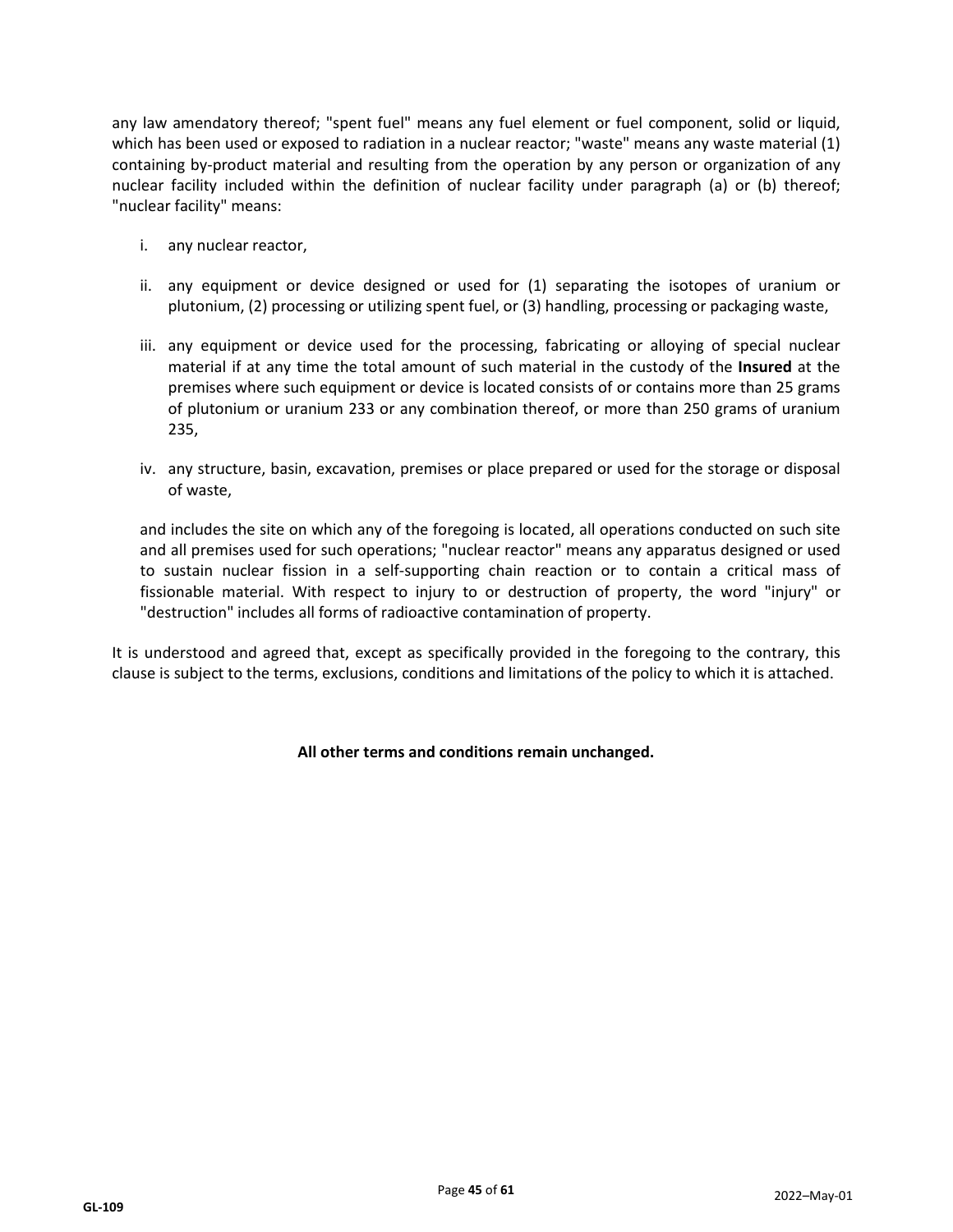any law amendatory thereof; "spent fuel" means any fuel element or fuel component, solid or liquid, which has been used or exposed to radiation in a nuclear reactor; "waste" means any waste material (1) containing by-product material and resulting from the operation by any person or organization of any nuclear facility included within the definition of nuclear facility under paragraph (a) or (b) thereof; "nuclear facility" means:

- i. any nuclear reactor,
- ii. any equipment or device designed or used for (1) separating the isotopes of uranium or plutonium, (2) processing or utilizing spent fuel, or (3) handling, processing or packaging waste,
- iii. any equipment or device used for the processing, fabricating or alloying of special nuclear material if at any time the total amount of such material in the custody of the **Insured** at the premises where such equipment or device is located consists of or contains more than 25 grams of plutonium or uranium 233 or any combination thereof, or more than 250 grams of uranium 235,
- iv. any structure, basin, excavation, premises or place prepared or used for the storage or disposal of waste,

and includes the site on which any of the foregoing is located, all operations conducted on such site and all premises used for such operations; "nuclear reactor" means any apparatus designed or used to sustain nuclear fission in a self-supporting chain reaction or to contain a critical mass of fissionable material. With respect to injury to or destruction of property, the word "injury" or "destruction" includes all forms of radioactive contamination of property.

It is understood and agreed that, except as specifically provided in the foregoing to the contrary, this clause is subject to the terms, exclusions, conditions and limitations of the policy to which it is attached.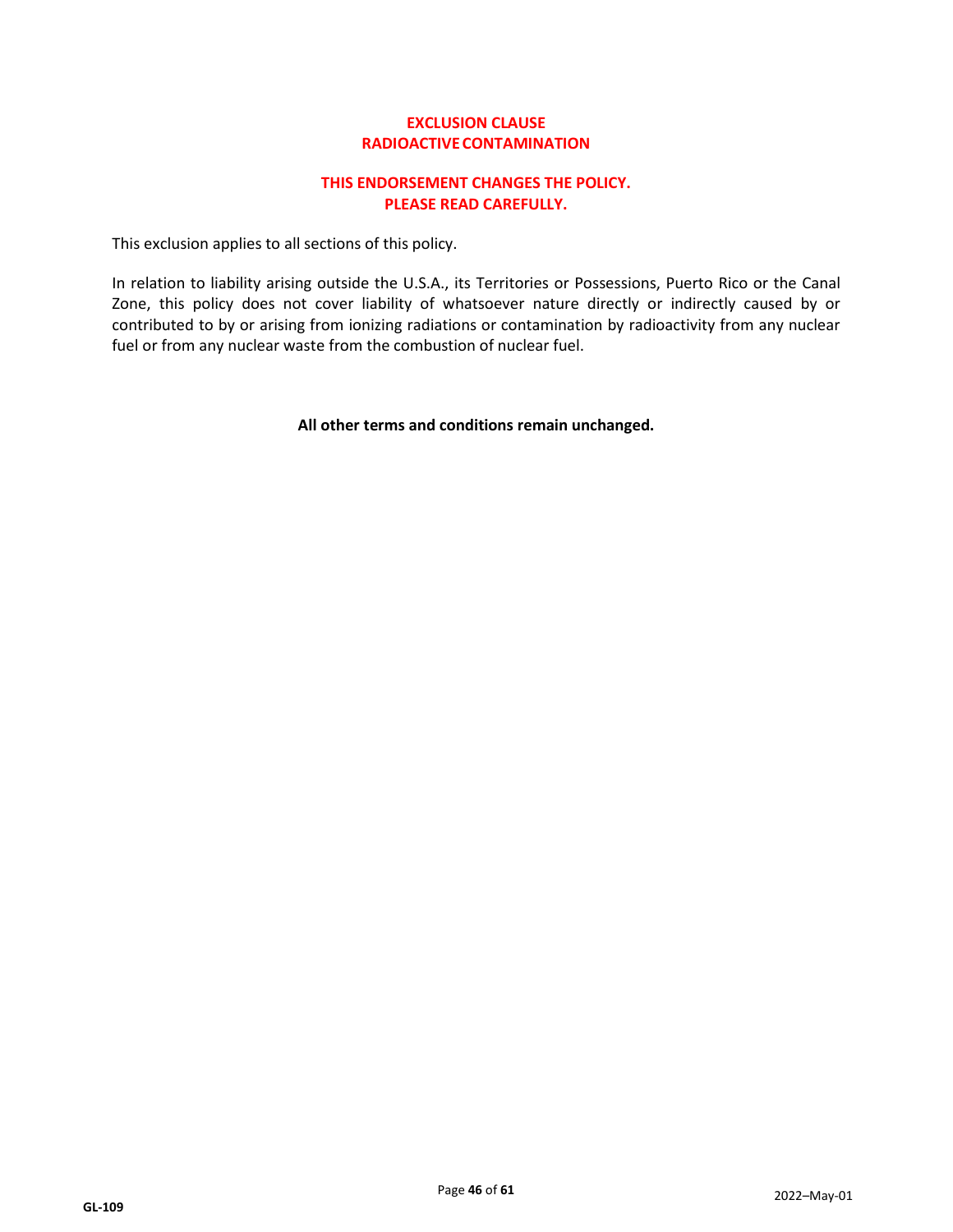## **EXCLUSION CLAUSE RADIOACTIVECONTAMINATION**

## **THIS ENDORSEMENT CHANGES THE POLICY. PLEASE READ CAREFULLY.**

This exclusion applies to all sections of this policy.

In relation to liability arising outside the U.S.A., its Territories or Possessions, Puerto Rico or the Canal Zone, this policy does not cover liability of whatsoever nature directly or indirectly caused by or contributed to by or arising from ionizing radiations or contamination by radioactivity from any nuclear fuel or from any nuclear waste from the combustion of nuclear fuel.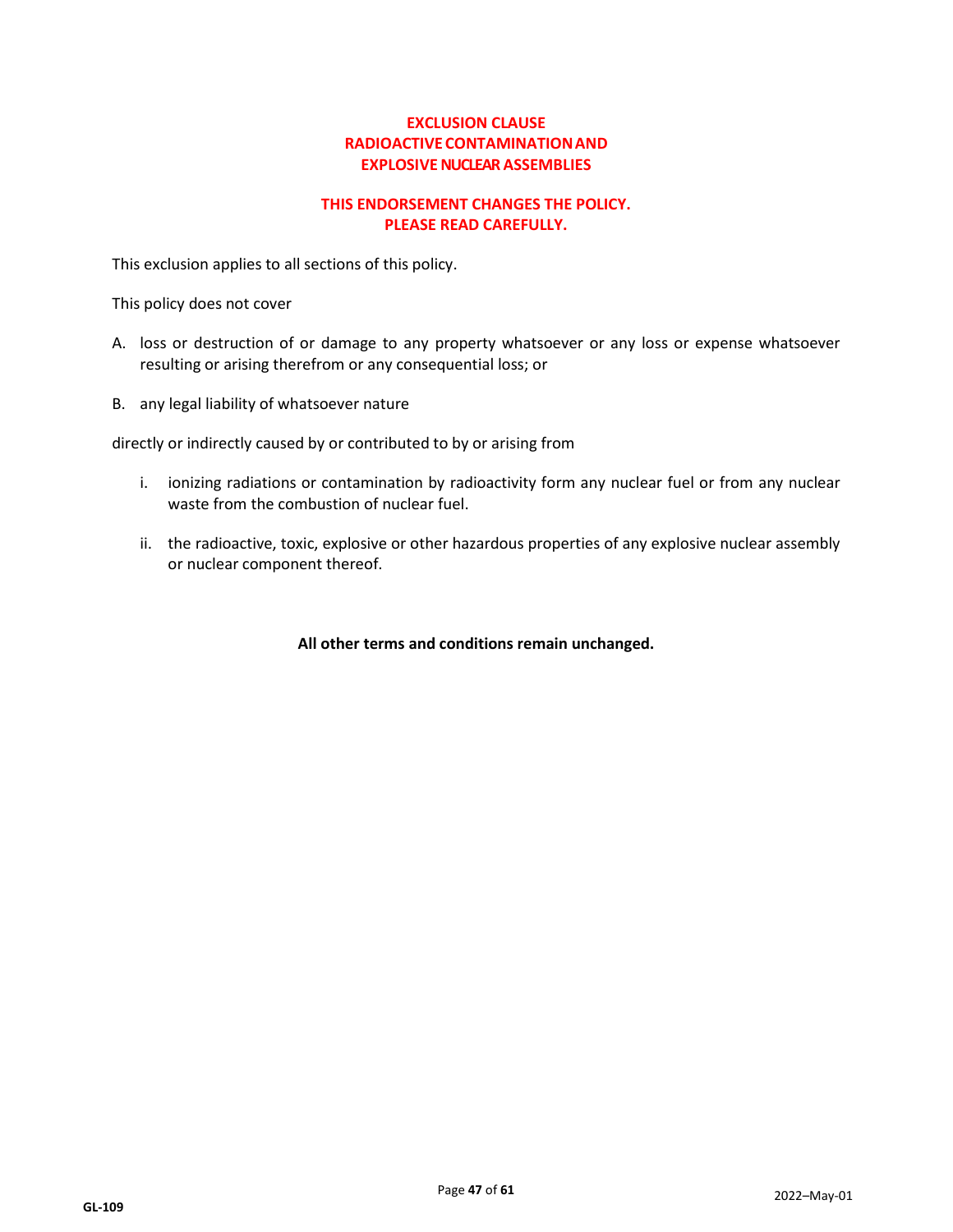## **EXCLUSION CLAUSE RADIOACTIVECONTAMINATIONAND EXPLOSIVE NUCLEAR ASSEMBLIES**

## **THIS ENDORSEMENT CHANGES THE POLICY. PLEASE READ CAREFULLY.**

This exclusion applies to all sections of this policy.

This policy does not cover

- A. loss or destruction of or damage to any property whatsoever or any loss or expense whatsoever resulting or arising therefrom or any consequential loss; or
- B. any legal liability of whatsoever nature

directly or indirectly caused by or contributed to by or arising from

- i. ionizing radiations or contamination by radioactivity form any nuclear fuel or from any nuclear waste from the combustion of nuclear fuel.
- ii. the radioactive, toxic, explosive or other hazardous properties of any explosive nuclear assembly or nuclear component thereof.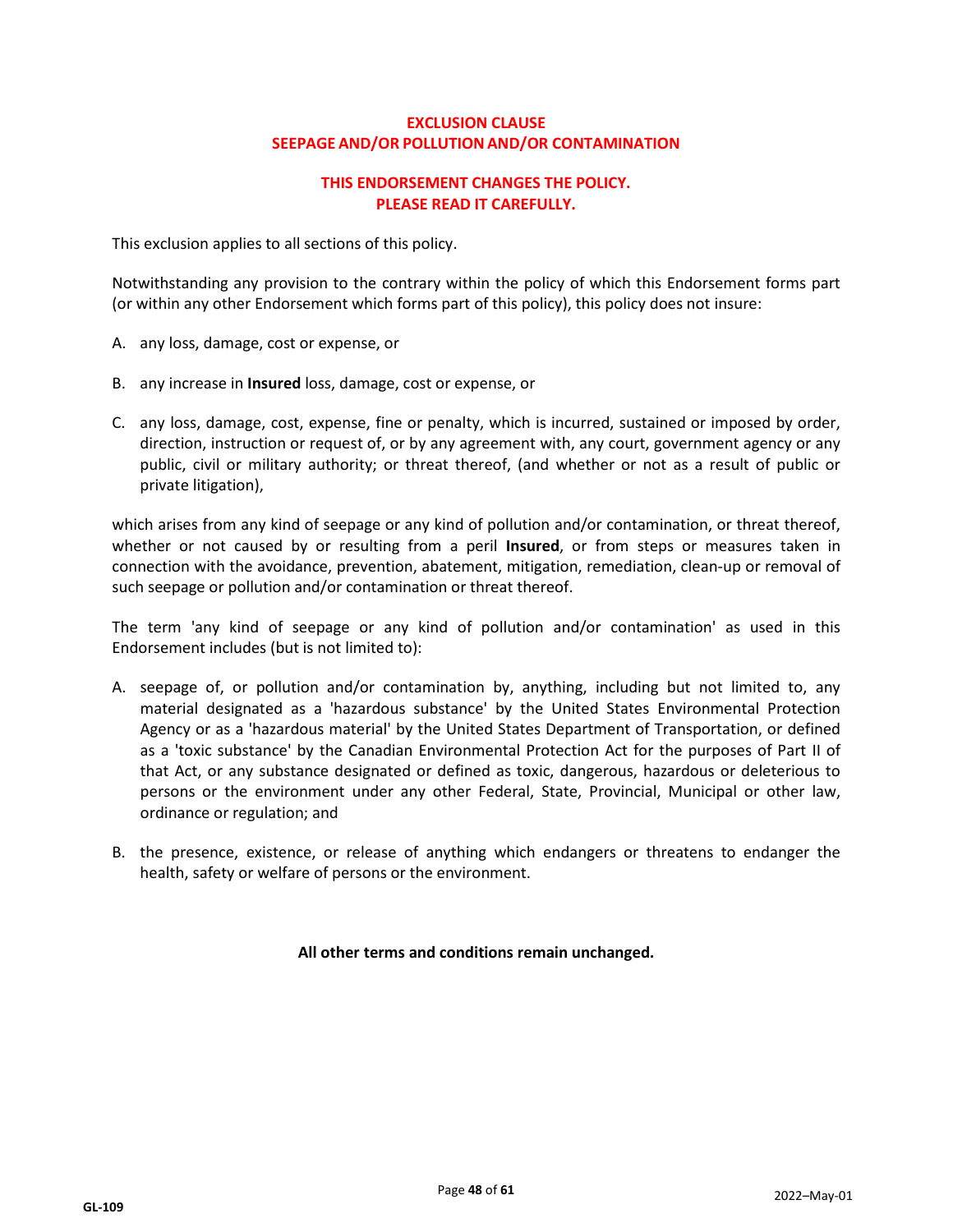## **EXCLUSION CLAUSE SEEPAGE AND/OR POLLUTIONAND/OR CONTAMINATION**

## **THIS ENDORSEMENT CHANGES THE POLICY. PLEASE READ IT CAREFULLY.**

This exclusion applies to all sections of this policy.

Notwithstanding any provision to the contrary within the policy of which this Endorsement forms part (or within any other Endorsement which forms part of this policy), this policy does not insure:

- A. any loss, damage, cost or expense, or
- B. any increase in **Insured** loss, damage, cost or expense, or
- C. any loss, damage, cost, expense, fine or penalty, which is incurred, sustained or imposed by order, direction, instruction or request of, or by any agreement with, any court, government agency or any public, civil or military authority; or threat thereof, (and whether or not as a result of public or private litigation),

which arises from any kind of seepage or any kind of pollution and/or contamination, or threat thereof, whether or not caused by or resulting from a peril **Insured**, or from steps or measures taken in connection with the avoidance, prevention, abatement, mitigation, remediation, clean-up or removal of such seepage or pollution and/or contamination or threat thereof.

The term 'any kind of seepage or any kind of pollution and/or contamination' as used in this Endorsement includes (but is not limited to):

- A. seepage of, or pollution and/or contamination by, anything, including but not limited to, any material designated as a 'hazardous substance' by the United States Environmental Protection Agency or as a 'hazardous material' by the United States Department of Transportation, or defined as a 'toxic substance' by the Canadian Environmental Protection Act for the purposes of Part II of that Act, or any substance designated or defined as toxic, dangerous, hazardous or deleterious to persons or the environment under any other Federal, State, Provincial, Municipal or other law, ordinance or regulation; and
- B. the presence, existence, or release of anything which endangers or threatens to endanger the health, safety or welfare of persons or the environment.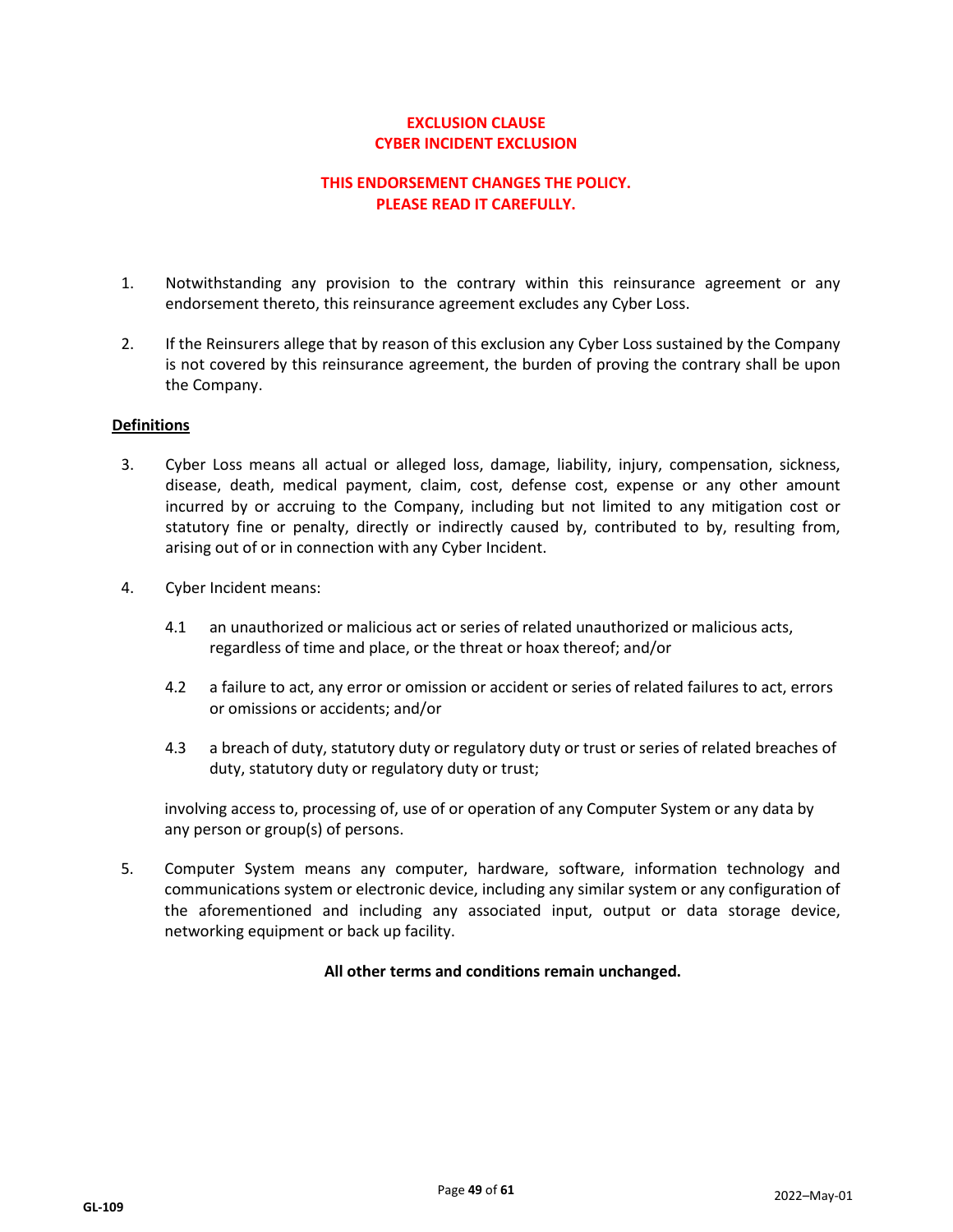## **EXCLUSION CLAUSE CYBER INCIDENT EXCLUSION**

## **THIS ENDORSEMENT CHANGES THE POLICY. PLEASE READ IT CAREFULLY.**

- 1. Notwithstanding any provision to the contrary within this reinsurance agreement or any endorsement thereto, this reinsurance agreement excludes any Cyber Loss.
- 2. If the Reinsurers allege that by reason of this exclusion any Cyber Loss sustained by the Company is not covered by this reinsurance agreement, the burden of proving the contrary shall be upon the Company.

#### **Definitions**

- 3. Cyber Loss means all actual or alleged loss, damage, liability, injury, compensation, sickness, disease, death, medical payment, claim, cost, defense cost, expense or any other amount incurred by or accruing to the Company, including but not limited to any mitigation cost or statutory fine or penalty, directly or indirectly caused by, contributed to by, resulting from, arising out of or in connection with any Cyber Incident.
- 4. Cyber Incident means:
	- 4.1 an unauthorized or malicious act or series of related unauthorized or malicious acts, regardless of time and place, or the threat or hoax thereof; and/or
	- 4.2 a failure to act, any error or omission or accident or series of related failures to act, errors or omissions or accidents; and/or
	- 4.3 a breach of duty, statutory duty or regulatory duty or trust or series of related breaches of duty, statutory duty or regulatory duty or trust;

involving access to, processing of, use of or operation of any Computer System or any data by any person or group(s) of persons.

5. Computer System means any computer, hardware, software, information technology and communications system or electronic device, including any similar system or any configuration of the aforementioned and including any associated input, output or data storage device, networking equipment or back up facility.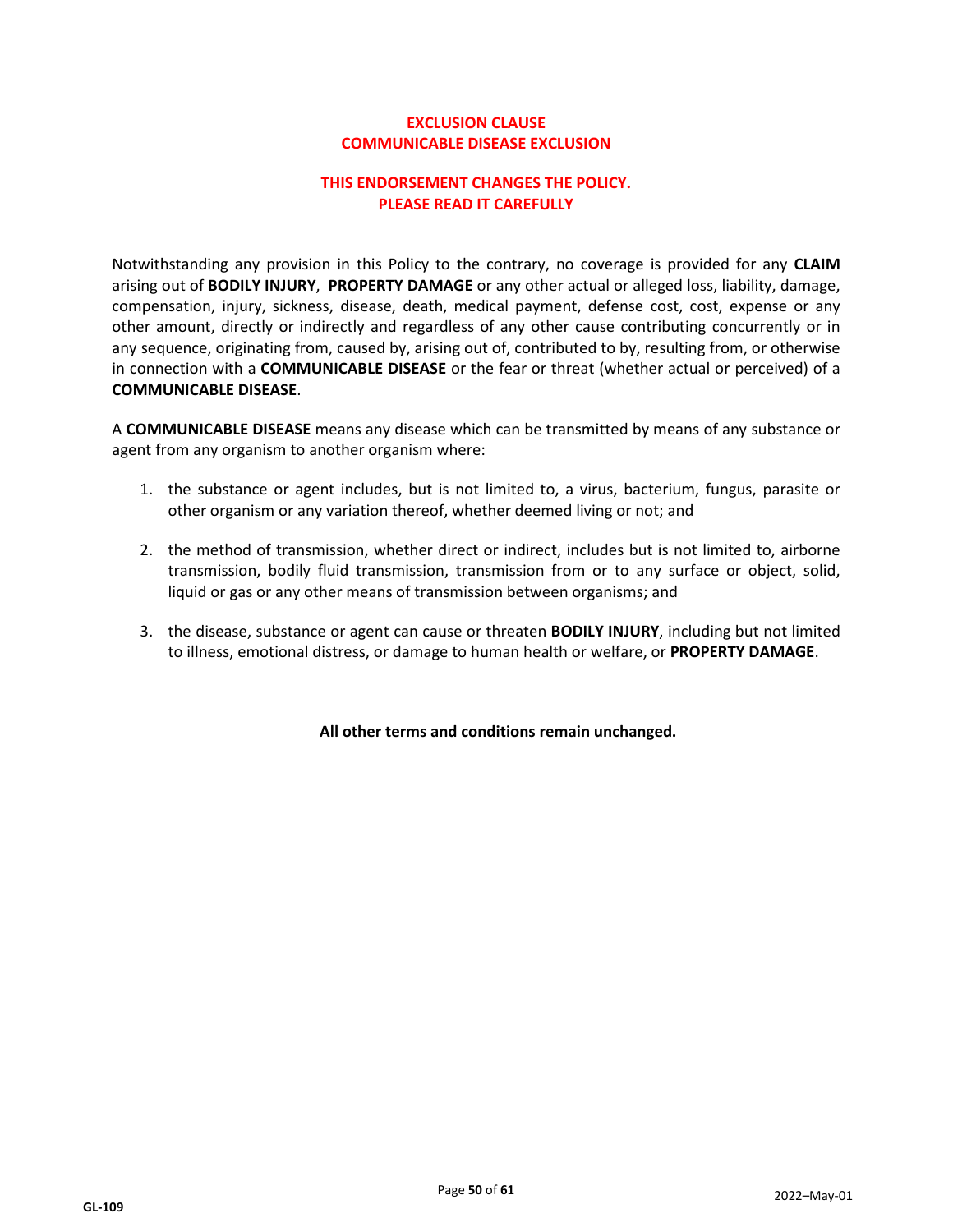## **EXCLUSION CLAUSE COMMUNICABLE DISEASE EXCLUSION**

## **THIS ENDORSEMENT CHANGES THE POLICY. PLEASE READ IT CAREFULLY**

Notwithstanding any provision in this Policy to the contrary, no coverage is provided for any **CLAIM**  arising out of **BODILY INJURY**, **PROPERTY DAMAGE** or any other actual or alleged loss, liability, damage, compensation, injury, sickness, disease, death, medical payment, defense cost, cost, expense or any other amount, directly or indirectly and regardless of any other cause contributing concurrently or in any sequence, originating from, caused by, arising out of, contributed to by, resulting from, or otherwise in connection with a **COMMUNICABLE DISEASE** or the fear or threat (whether actual or perceived) of a **COMMUNICABLE DISEASE**.

A **COMMUNICABLE DISEASE** means any disease which can be transmitted by means of any substance or agent from any organism to another organism where:

- 1. the substance or agent includes, but is not limited to, a virus, bacterium, fungus, parasite or other organism or any variation thereof, whether deemed living or not; and
- 2. the method of transmission, whether direct or indirect, includes but is not limited to, airborne transmission, bodily fluid transmission, transmission from or to any surface or object, solid, liquid or gas or any other means of transmission between organisms; and
- 3. the disease, substance or agent can cause or threaten **BODILY INJURY**, including but not limited to illness, emotional distress, or damage to human health or welfare, or **PROPERTY DAMAGE**.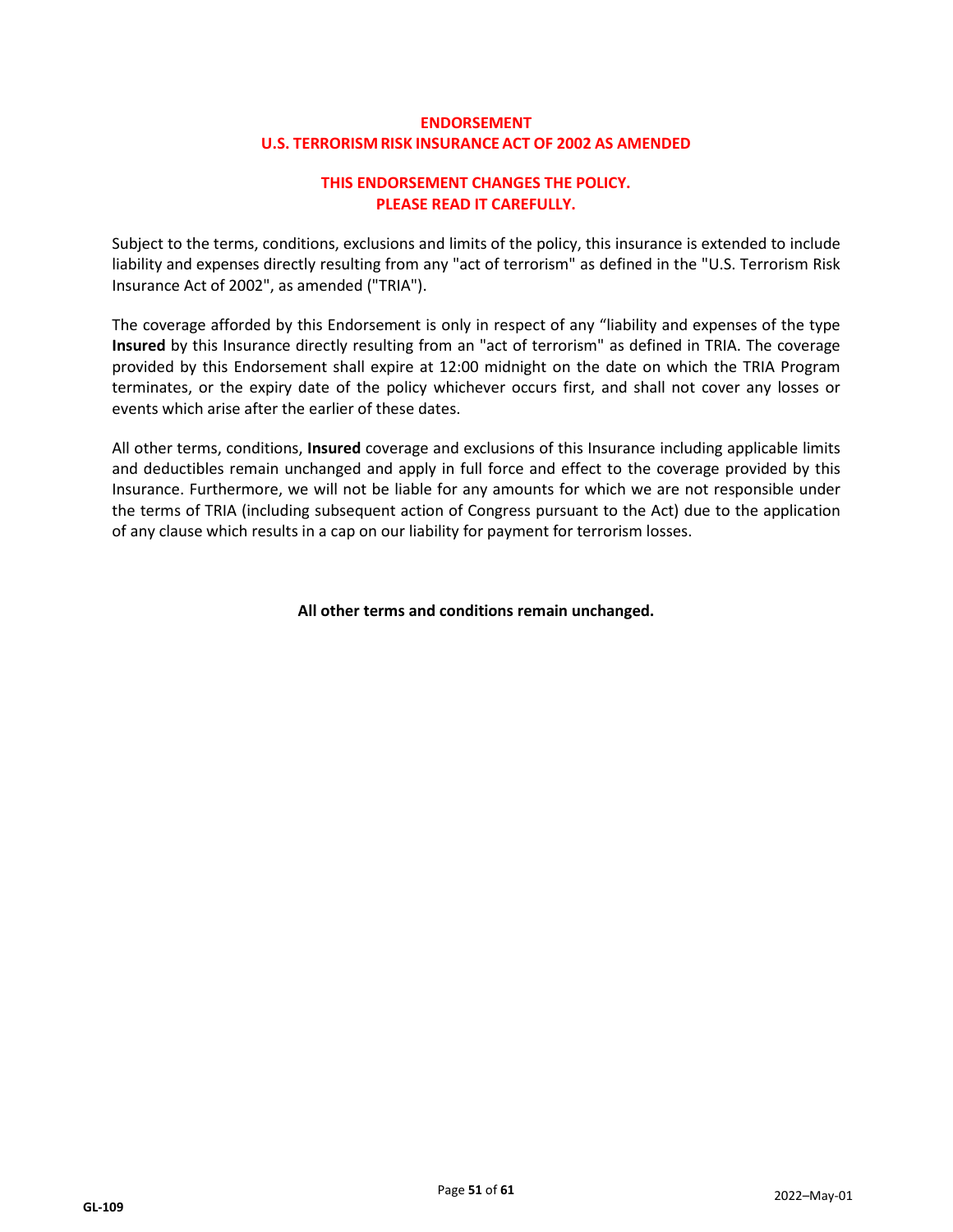## **ENDORSEMENT U.S. TERRORISM RISK INSURANCE ACT OF 2002 AS AMENDED**

## **THIS ENDORSEMENT CHANGES THE POLICY. PLEASE READ IT CAREFULLY.**

Subject to the terms, conditions, exclusions and limits of the policy, this insurance is extended to include liability and expenses directly resulting from any "act of terrorism" as defined in the "U.S. Terrorism Risk Insurance Act of 2002", as amended ("TRIA").

The coverage afforded by this Endorsement is only in respect of any "liability and expenses of the type **Insured** by this Insurance directly resulting from an "act of terrorism" as defined in TRIA. The coverage provided by this Endorsement shall expire at 12:00 midnight on the date on which the TRIA Program terminates, or the expiry date of the policy whichever occurs first, and shall not cover any losses or events which arise after the earlier of these dates.

All other terms, conditions, **Insured** coverage and exclusions of this Insurance including applicable limits and deductibles remain unchanged and apply in full force and effect to the coverage provided by this Insurance. Furthermore, we will not be liable for any amounts for which we are not responsible under the terms of TRIA (including subsequent action of Congress pursuant to the Act) due to the application of any clause which results in a cap on our liability for payment for terrorism losses.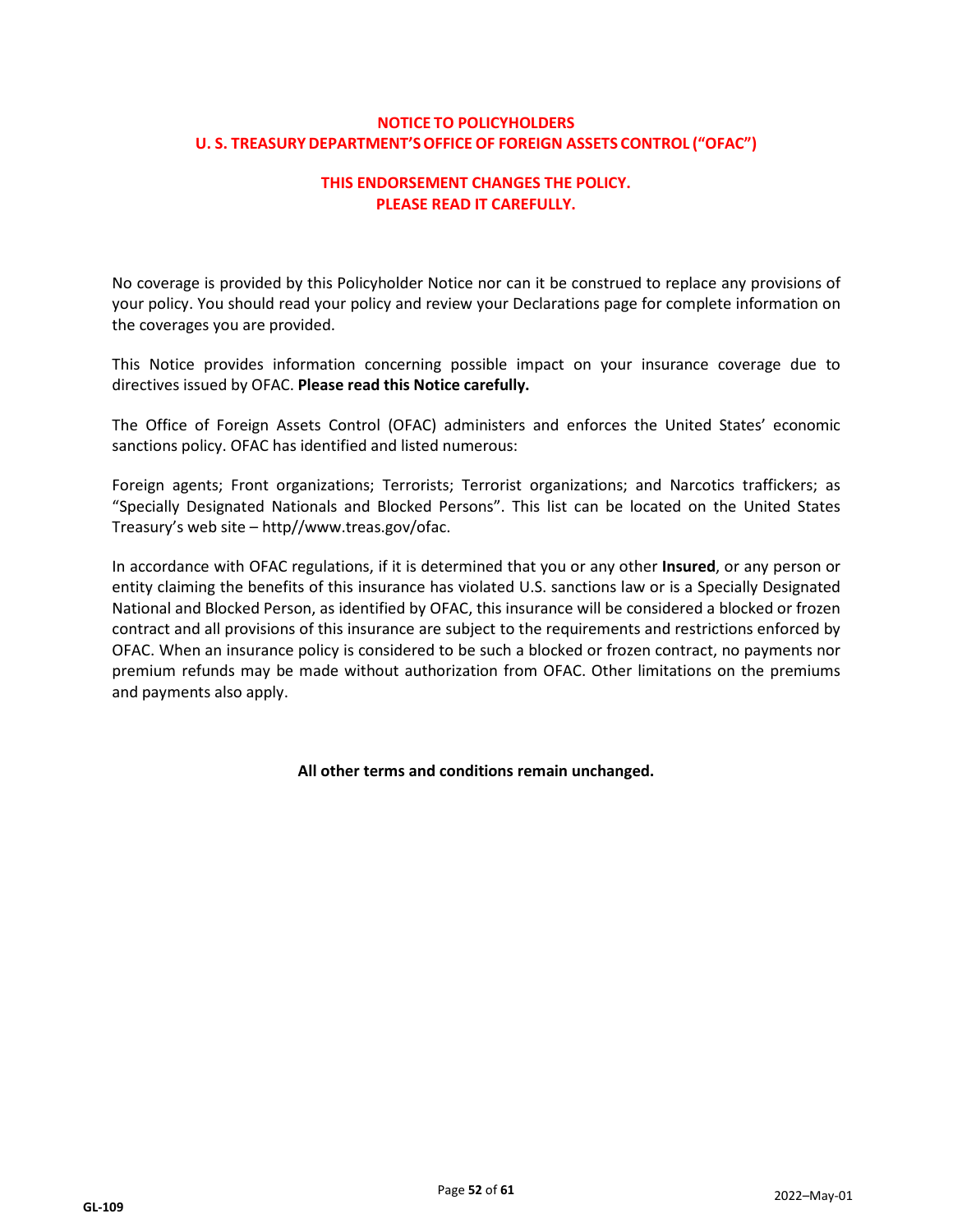## **NOTICE TO POLICYHOLDERS U. S. TREASURYDEPARTMENT'SOFFICE OF FOREIGN ASSETS CONTROL ("OFAC")**

## **THIS ENDORSEMENT CHANGES THE POLICY. PLEASE READ IT CAREFULLY.**

No coverage is provided by this Policyholder Notice nor can it be construed to replace any provisions of your policy. You should read your policy and review your Declarations page for complete information on the coverages you are provided.

This Notice provides information concerning possible impact on your insurance coverage due to directives issued by OFAC. **Please read this Notice carefully.**

The Office of Foreign Assets Control (OFAC) administers and enforces the United States' economic sanctions policy. OFAC has identified and listed numerous:

Foreign agents; Front organizations; Terrorists; Terrorist organizations; and Narcotics traffickers; as "Specially Designated Nationals and Blocked Persons". This list can be located on the United States Treasury's web site – [http//www.treas.gov/ofac.](http://www.treas.gov/ofac)

In accordance with OFAC regulations, if it is determined that you or any other **Insured**, or any person or entity claiming the benefits of this insurance has violated U.S. sanctions law or is a Specially Designated National and Blocked Person, as identified by OFAC, this insurance will be considered a blocked or frozen contract and all provisions of this insurance are subject to the requirements and restrictions enforced by OFAC. When an insurance policy is considered to be such a blocked or frozen contract, no payments nor premium refunds may be made without authorization from OFAC. Other limitations on the premiums and payments also apply.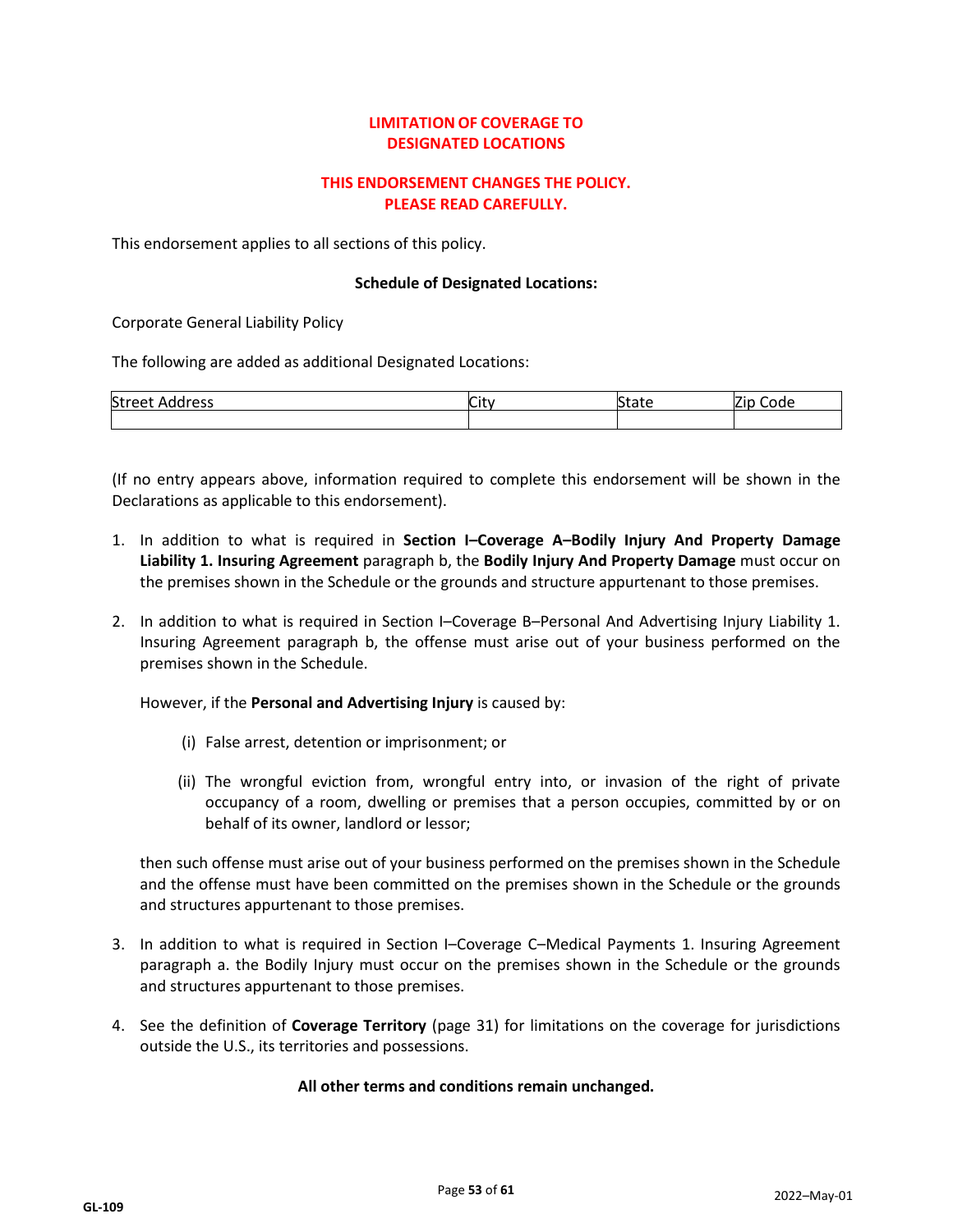## **LIMITATIONOF COVERAGE TO DESIGNATED LOCATIONS**

## **THIS ENDORSEMENT CHANGES THE POLICY. PLEASE READ CAREFULLY.**

This endorsement applies to all sections of this policy.

#### **Schedule of Designated Locations:**

Corporate General Liability Policy

The following are added as additional Designated Locations:

| Street<br>Address<br>. <u>.</u> | $\sim$<br>٦Ħ١.<br>. . | $\sim$<br>$+ - +$<br>plate | $\sim$<br>Code |
|---------------------------------|-----------------------|----------------------------|----------------|
|                                 |                       |                            |                |

(If no entry appears above, information required to complete this endorsement will be shown in the Declarations as applicable to this endorsement).

- 1. In addition to what is required in **Section I–Coverage A–Bodily Injury And Property Damage Liability 1. Insuring Agreement** paragraph b, the **Bodily Injury And Property Damage** must occur on the premises shown in the Schedule or the grounds and structure appurtenant to those premises.
- 2. In addition to what is required in Section I–Coverage B–Personal And Advertising Injury Liability 1. Insuring Agreement paragraph b, the offense must arise out of your business performed on the premises shown in the Schedule.

However, if the **Personal and Advertising Injury** is caused by:

- (i) False arrest, detention or imprisonment; or
- (ii) The wrongful eviction from, wrongful entry into, or invasion of the right of private occupancy of a room, dwelling or premises that a person occupies, committed by or on behalf of its owner, landlord or lessor;

then such offense must arise out of your business performed on the premises shown in the Schedule and the offense must have been committed on the premises shown in the Schedule or the grounds and structures appurtenant to those premises.

- 3. In addition to what is required in Section I–Coverage C–Medical Payments 1. Insuring Agreement paragraph a. the Bodily Injury must occur on the premises shown in the Schedule or the grounds and structures appurtenant to those premises.
- 4. See the definition of **Coverage Territory** (page 31) for limitations on the coverage for jurisdictions outside the U.S., its territories and possessions.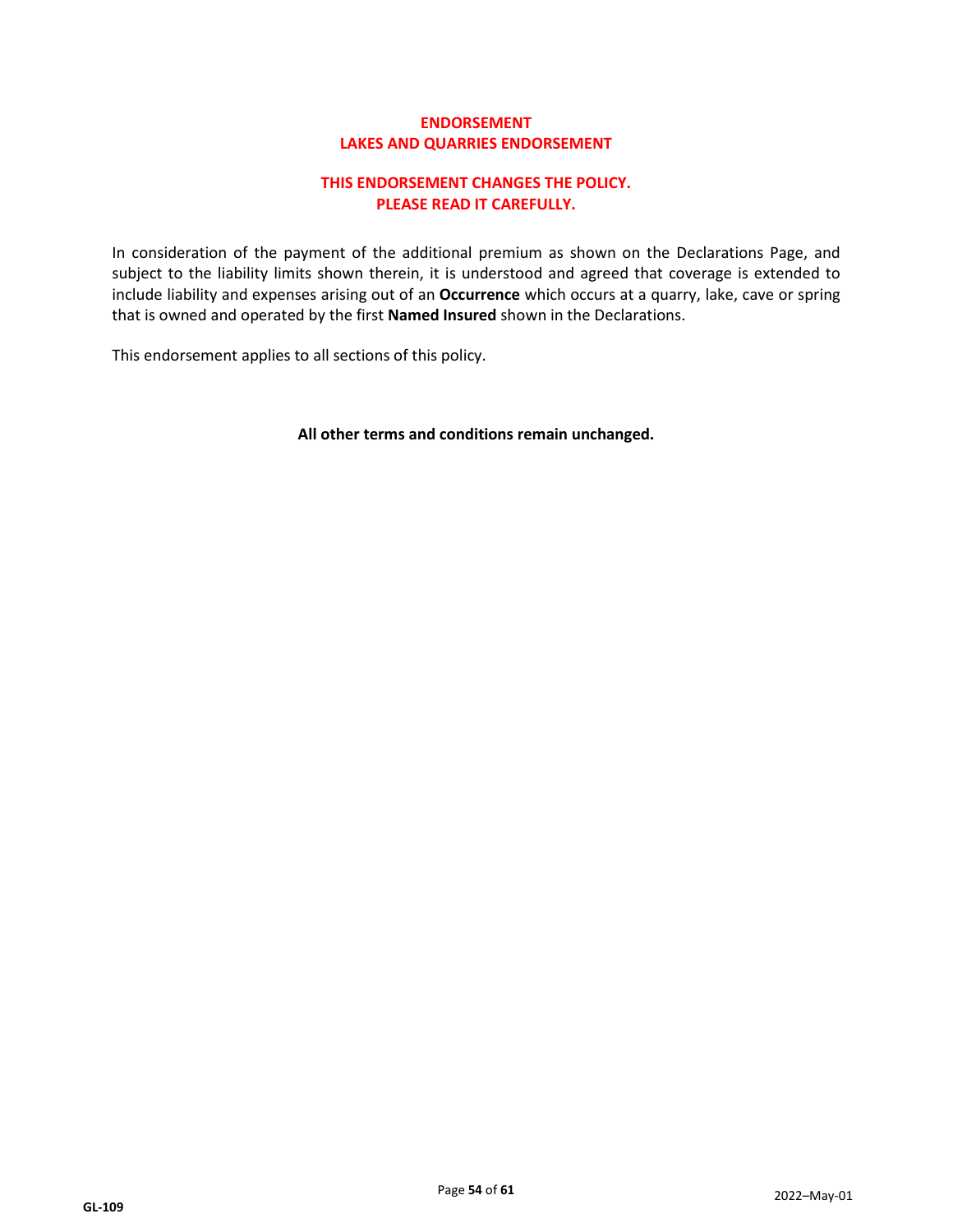## **ENDORSEMENT LAKES AND QUARRIES ENDORSEMENT**

## **THIS ENDORSEMENT CHANGES THE POLICY. PLEASE READ IT CAREFULLY.**

In consideration of the payment of the additional premium as shown on the Declarations Page, and subject to the liability limits shown therein, it is understood and agreed that coverage is extended to include liability and expenses arising out of an **Occurrence** which occurs at a quarry, lake, cave or spring that is owned and operated by the first **Named Insured** shown in the Declarations.

This endorsement applies to all sections of this policy.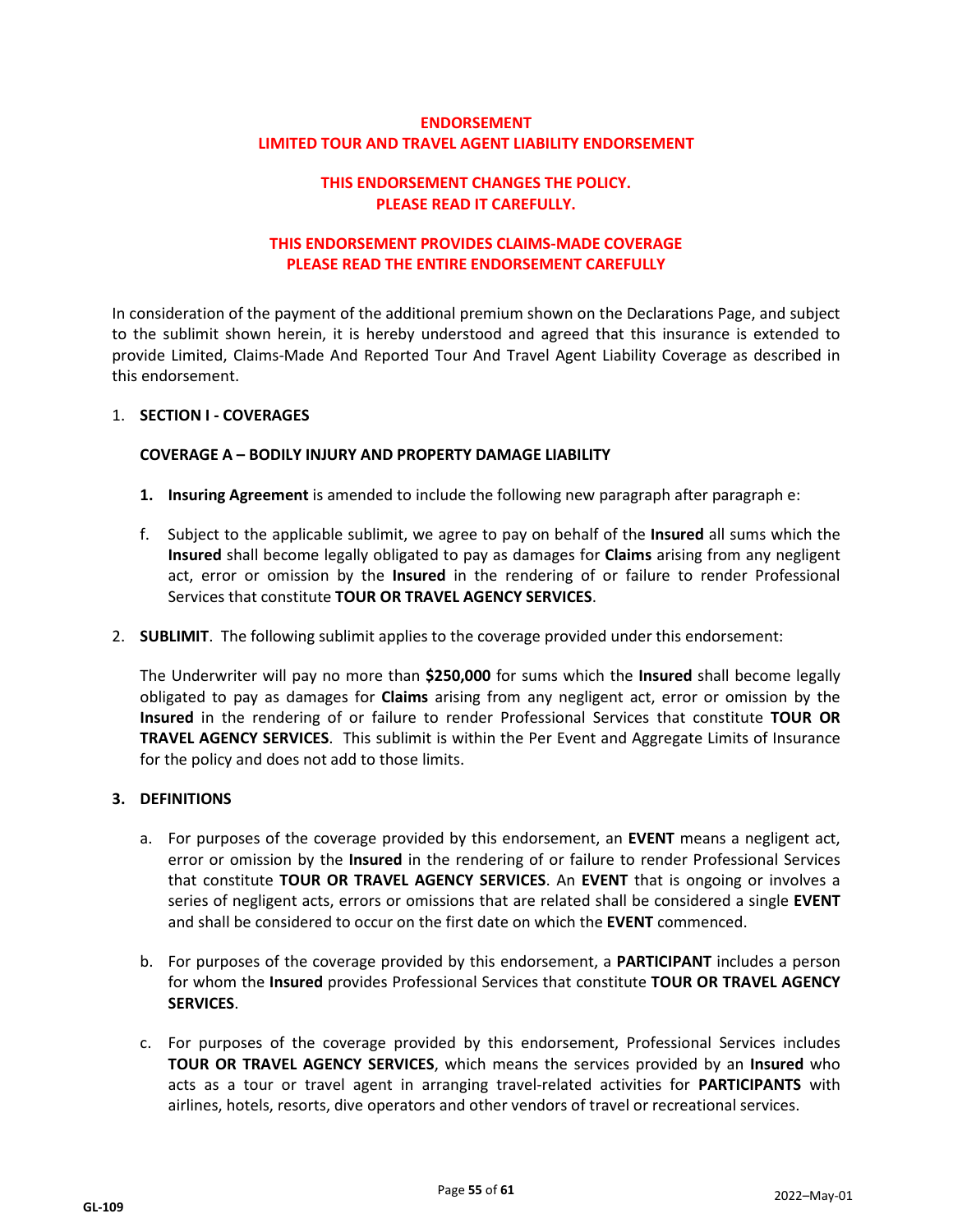## **ENDORSEMENT LIMITED TOUR AND TRAVEL AGENT LIABILITY ENDORSEMENT**

## **THIS ENDORSEMENT CHANGES THE POLICY. PLEASE READ IT CAREFULLY.**

## **THIS ENDORSEMENT PROVIDES CLAIMS-MADE COVERAGE PLEASE READ THE ENTIRE ENDORSEMENT CAREFULLY**

In consideration of the payment of the additional premium shown on the Declarations Page, and subject to the sublimit shown herein, it is hereby understood and agreed that this insurance is extended to provide Limited, Claims-Made And Reported Tour And Travel Agent Liability Coverage as described in this endorsement.

#### 1. **SECTION I - COVERAGES**

#### **COVERAGE A – BODILY INJURY AND PROPERTY DAMAGE LIABILITY**

- **1. Insuring Agreement** is amended to include the following new paragraph after paragraph e:
- f. Subject to the applicable sublimit, we agree to pay on behalf of the **Insured** all sums which the **Insured** shall become legally obligated to pay as damages for **Claims** arising from any negligent act, error or omission by the **Insured** in the rendering of or failure to render Professional Services that constitute **TOUR OR TRAVEL AGENCY SERVICES**.
- 2. **SUBLIMIT**. The following sublimit applies to the coverage provided under this endorsement:

The Underwriter will pay no more than **\$250,000** for sums which the **Insured** shall become legally obligated to pay as damages for **Claims** arising from any negligent act, error or omission by the **Insured** in the rendering of or failure to render Professional Services that constitute **TOUR OR TRAVEL AGENCY SERVICES**. This sublimit is within the Per Event and Aggregate Limits of Insurance for the policy and does not add to those limits.

#### **3. DEFINITIONS**

- a. For purposes of the coverage provided by this endorsement, an **EVENT** means a negligent act, error or omission by the **Insured** in the rendering of or failure to render Professional Services that constitute **TOUR OR TRAVEL AGENCY SERVICES**. An **EVENT** that is ongoing or involves a series of negligent acts, errors or omissions that are related shall be considered a single **EVENT** and shall be considered to occur on the first date on which the **EVENT** commenced.
- b. For purposes of the coverage provided by this endorsement, a **PARTICIPANT** includes a person for whom the **Insured** provides Professional Services that constitute **TOUR OR TRAVEL AGENCY SERVICES**.
- c. For purposes of the coverage provided by this endorsement, Professional Services includes **TOUR OR TRAVEL AGENCY SERVICES**, which means the services provided by an **Insured** who acts as a tour or travel agent in arranging travel-related activities for **PARTICIPANTS** with airlines, hotels, resorts, dive operators and other vendors of travel or recreational services.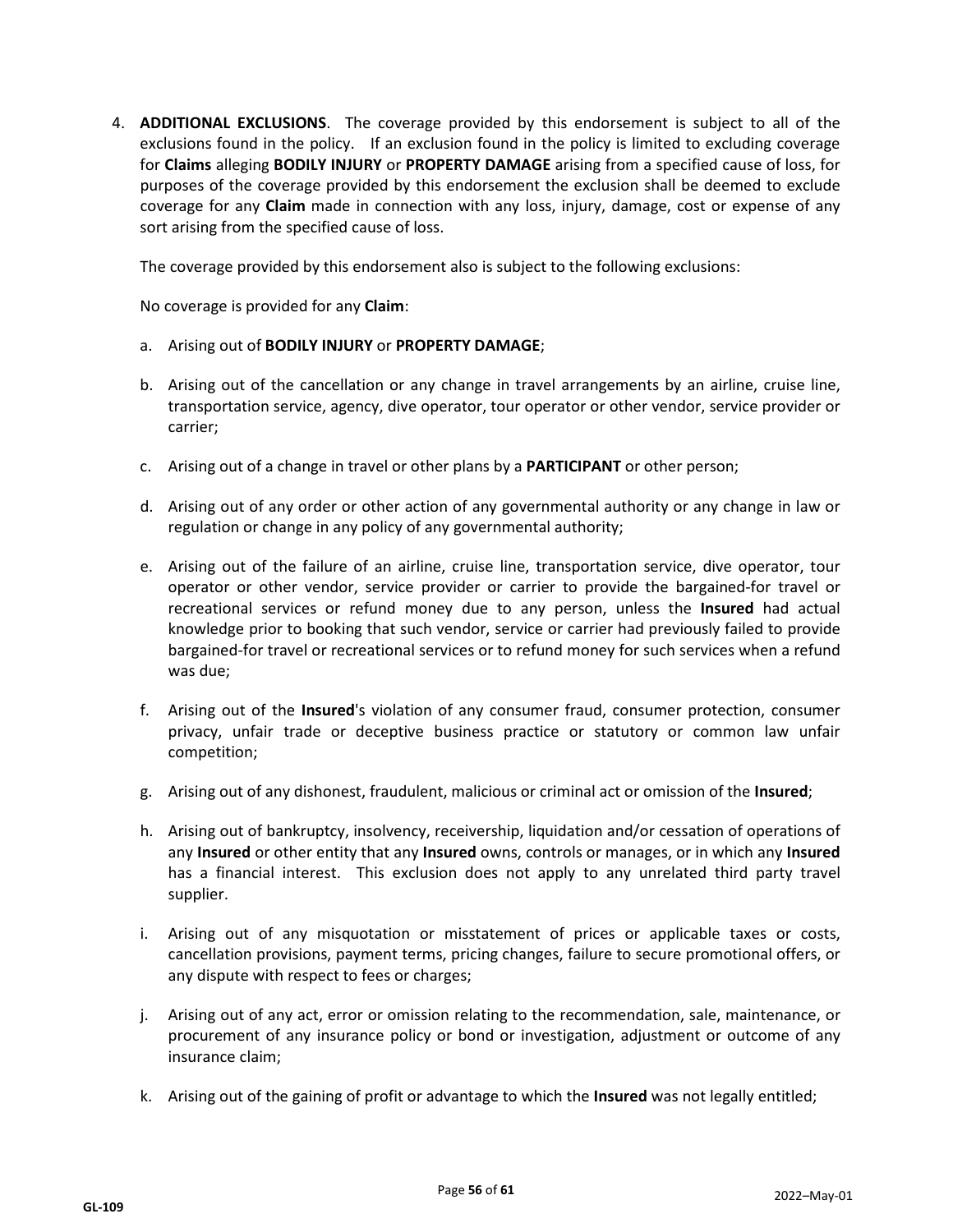4. **ADDITIONAL EXCLUSIONS**. The coverage provided by this endorsement is subject to all of the exclusions found in the policy. If an exclusion found in the policy is limited to excluding coverage for **Claims** alleging **BODILY INJURY** or **PROPERTY DAMAGE** arising from a specified cause of loss, for purposes of the coverage provided by this endorsement the exclusion shall be deemed to exclude coverage for any **Claim** made in connection with any loss, injury, damage, cost or expense of any sort arising from the specified cause of loss.

The coverage provided by this endorsement also is subject to the following exclusions:

No coverage is provided for any **Claim**:

- a. Arising out of **BODILY INJURY** or **PROPERTY DAMAGE**;
- b. Arising out of the cancellation or any change in travel arrangements by an airline, cruise line, transportation service, agency, dive operator, tour operator or other vendor, service provider or carrier;
- c. Arising out of a change in travel or other plans by a **PARTICIPANT** or other person;
- d. Arising out of any order or other action of any governmental authority or any change in law or regulation or change in any policy of any governmental authority;
- e. Arising out of the failure of an airline, cruise line, transportation service, dive operator, tour operator or other vendor, service provider or carrier to provide the bargained-for travel or recreational services or refund money due to any person, unless the **Insured** had actual knowledge prior to booking that such vendor, service or carrier had previously failed to provide bargained-for travel or recreational services or to refund money for such services when a refund was due;
- f. Arising out of the **Insured**'s violation of any consumer fraud, consumer protection, consumer privacy, unfair trade or deceptive business practice or statutory or common law unfair competition;
- g. Arising out of any dishonest, fraudulent, malicious or criminal act or omission of the **Insured**;
- h. Arising out of bankruptcy, insolvency, receivership, liquidation and/or cessation of operations of any **Insured** or other entity that any **Insured** owns, controls or manages, or in which any **Insured** has a financial interest. This exclusion does not apply to any unrelated third party travel supplier.
- i. Arising out of any misquotation or misstatement of prices or applicable taxes or costs, cancellation provisions, payment terms, pricing changes, failure to secure promotional offers, or any dispute with respect to fees or charges;
- j. Arising out of any act, error or omission relating to the recommendation, sale, maintenance, or procurement of any insurance policy or bond or investigation, adjustment or outcome of any insurance claim;
- k. Arising out of the gaining of profit or advantage to which the **Insured** was not legally entitled;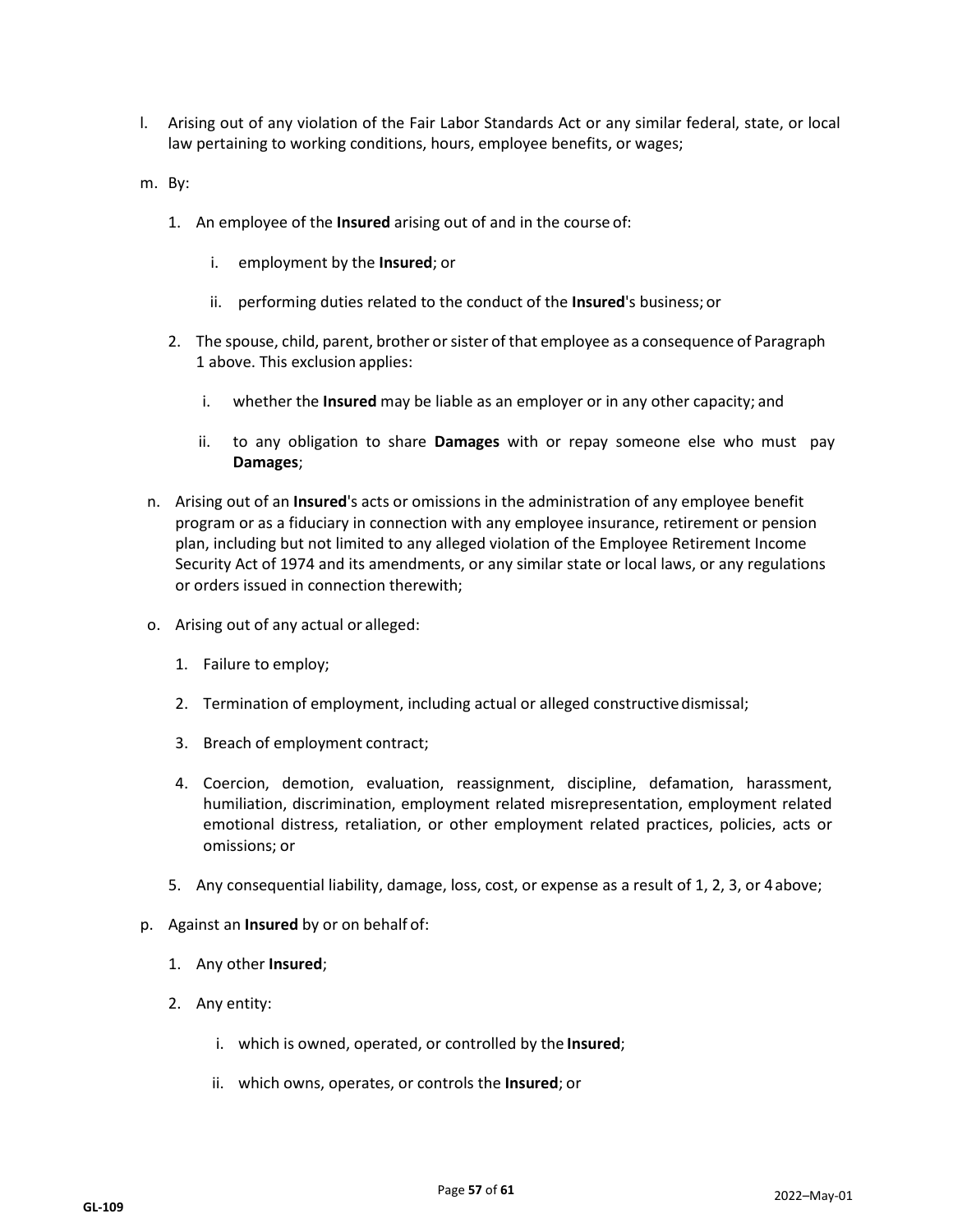- l. Arising out of any violation of the Fair Labor Standards Act or any similar federal, state, or local law pertaining to working conditions, hours, employee benefits, or wages;
- m. By:
	- 1. An employee of the **Insured** arising out of and in the course of:
		- i. employment by the **Insured**; or
		- ii. performing duties related to the conduct of the **Insured**'s business; or
	- 2. The spouse, child, parent, brother or sister of that employee as a consequence of Paragraph 1 above. This exclusion applies:
		- i. whether the **Insured** may be liable as an employer or in any other capacity; and
		- ii. to any obligation to share **Damages** with or repay someone else who must pay **Damages**;
- n. Arising out of an **Insured**'s acts or omissions in the administration of any employee benefit program or as a fiduciary in connection with any employee insurance, retirement or pension plan, including but not limited to any alleged violation of the Employee Retirement Income Security Act of 1974 and its amendments, or any similar state or local laws, or any regulations or orders issued in connection therewith;
- o. Arising out of any actual or alleged:
	- 1. Failure to employ;
	- 2. Termination of employment, including actual or alleged constructivedismissal;
	- 3. Breach of employment contract;
	- 4. Coercion, demotion, evaluation, reassignment, discipline, defamation, harassment, humiliation, discrimination, employment related misrepresentation, employment related emotional distress, retaliation, or other employment related practices, policies, acts or omissions; or
	- 5. Any consequential liability, damage, loss, cost, or expense as a result of 1, 2, 3, or 4above;
- p. Against an **Insured** by or on behalf of:
	- 1. Any other **Insured**;
	- 2. Any entity:
		- i. which is owned, operated, or controlled by the **Insured**;
		- ii. which owns, operates, or controls the **Insured**; or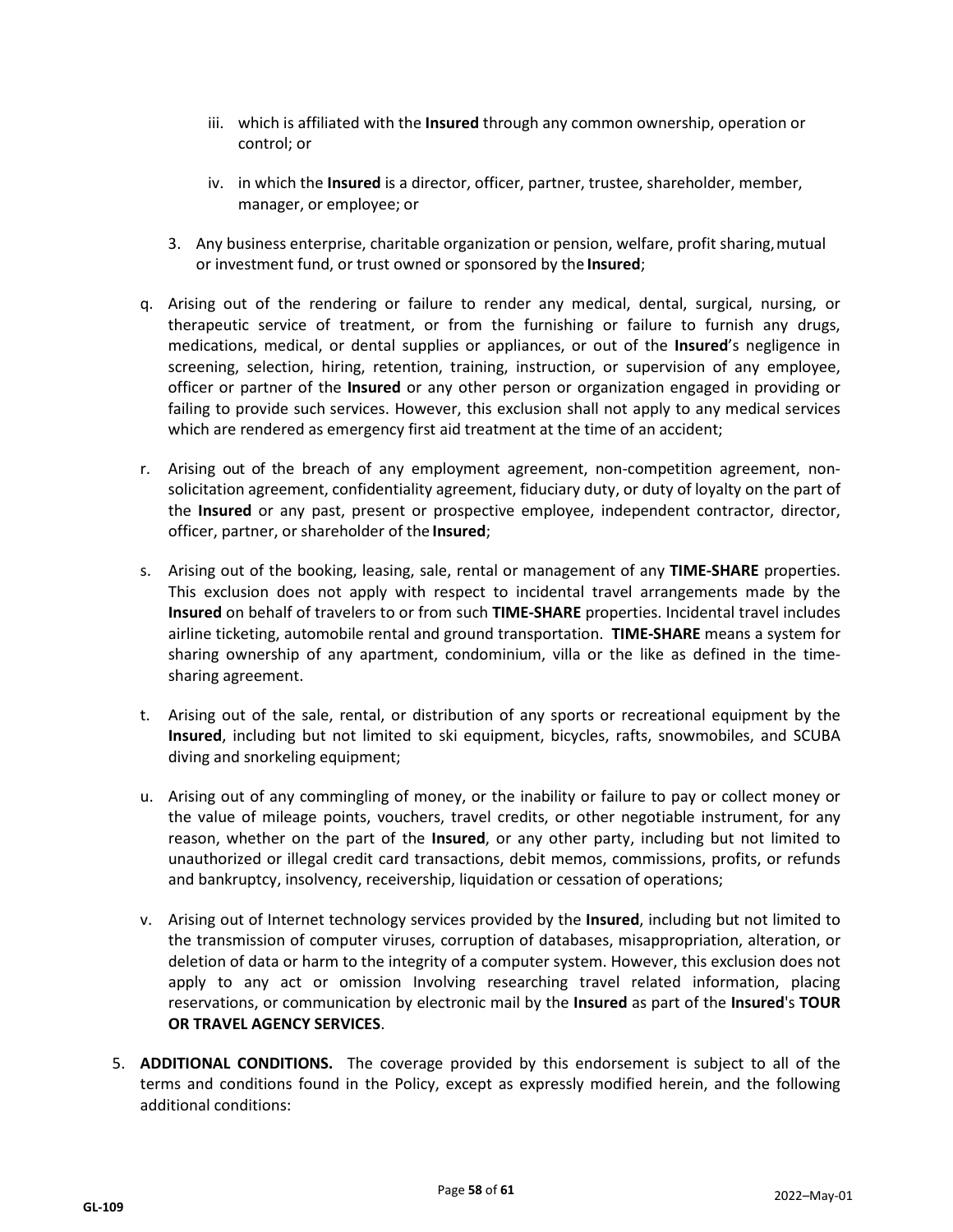- iii. which is affiliated with the **Insured** through any common ownership, operation or control; or
- iv. in which the **Insured** is a director, officer, partner, trustee, shareholder, member, manager, or employee; or
- 3. Any business enterprise, charitable organization or pension, welfare, profit sharing,mutual or investment fund, or trust owned or sponsored by the **Insured**;
- q. Arising out of the rendering or failure to render any medical, dental, surgical, nursing, or therapeutic service of treatment, or from the furnishing or failure to furnish any drugs, medications, medical, or dental supplies or appliances, or out of the **Insured**'s negligence in screening, selection, hiring, retention, training, instruction, or supervision of any employee, officer or partner of the **Insured** or any other person or organization engaged in providing or failing to provide such services. However, this exclusion shall not apply to any medical services which are rendered as emergency first aid treatment at the time of an accident;
- r. Arising out of the breach of any employment agreement, non-competition agreement, nonsolicitation agreement, confidentiality agreement, fiduciary duty, or duty of loyalty on the part of the **Insured** or any past, present or prospective employee, independent contractor, director, officer, partner, or shareholder of the **Insured**;
- s. Arising out of the booking, leasing, sale, rental or management of any **TIME-SHARE** properties. This exclusion does not apply with respect to incidental travel arrangements made by the **Insured** on behalf of travelers to or from such **TIME-SHARE** properties. Incidental travel includes airline ticketing, automobile rental and ground transportation. **TIME-SHARE** means a system for sharing ownership of any apartment, condominium, villa or the like as defined in the timesharing agreement.
- t. Arising out of the sale, rental, or distribution of any sports or recreational equipment by the **Insured**, including but not limited to ski equipment, bicycles, rafts, snowmobiles, and SCUBA diving and snorkeling equipment;
- u. Arising out of any commingling of money, or the inability or failure to pay or collect money or the value of mileage points, vouchers, travel credits, or other negotiable instrument, for any reason, whether on the part of the **Insured**, or any other party, including but not limited to unauthorized or illegal credit card transactions, debit memos, commissions, profits, or refunds and bankruptcy, insolvency, receivership, liquidation or cessation of operations;
- v. Arising out of Internet technology services provided by the **Insured**, including but not limited to the transmission of computer viruses, corruption of databases, misappropriation, alteration, or deletion of data or harm to the integrity of a computer system. However, this exclusion does not apply to any act or omission Involving researching travel related information, placing reservations, or communication by electronic mail by the **Insured** as part of the **Insured**'s **TOUR OR TRAVEL AGENCY SERVICES**.
- 5. **ADDITIONAL CONDITIONS.** The coverage provided by this endorsement is subject to all of the terms and conditions found in the Policy, except as expressly modified herein, and the following additional conditions: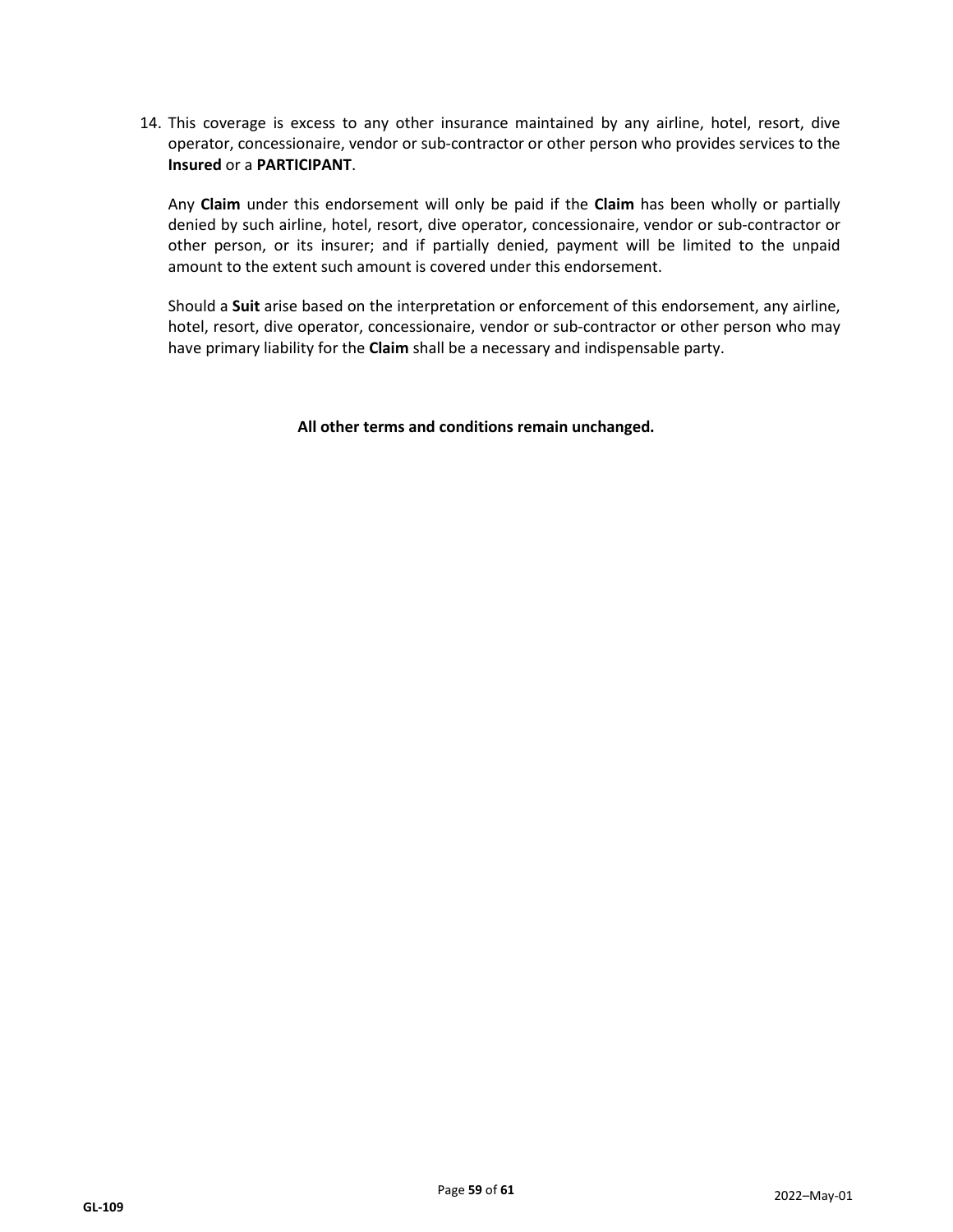14. This coverage is excess to any other insurance maintained by any airline, hotel, resort, dive operator, concessionaire, vendor or sub-contractor or other person who provides services to the **Insured** or a **PARTICIPANT**.

Any **Claim** under this endorsement will only be paid if the **Claim** has been wholly or partially denied by such airline, hotel, resort, dive operator, concessionaire, vendor or sub-contractor or other person, or its insurer; and if partially denied, payment will be limited to the unpaid amount to the extent such amount is covered under this endorsement.

Should a **Suit** arise based on the interpretation or enforcement of this endorsement, any airline, hotel, resort, dive operator, concessionaire, vendor or sub-contractor or other person who may have primary liability for the **Claim** shall be a necessary and indispensable party.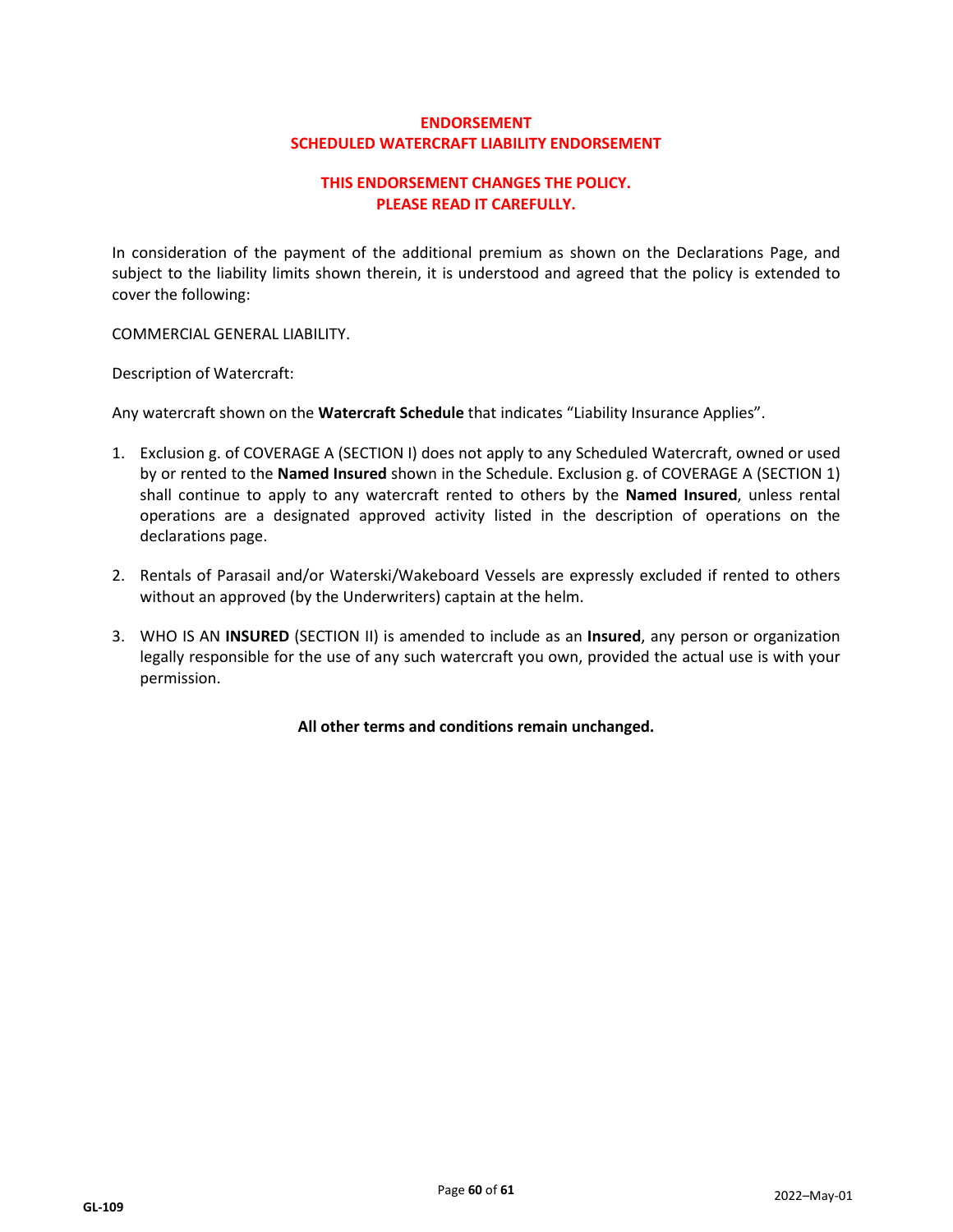## **ENDORSEMENT SCHEDULED WATERCRAFT LIABILITY ENDORSEMENT**

## **THIS ENDORSEMENT CHANGES THE POLICY. PLEASE READ IT CAREFULLY.**

In consideration of the payment of the additional premium as shown on the Declarations Page, and subject to the liability limits shown therein, it is understood and agreed that the policy is extended to cover the following:

COMMERCIAL GENERAL LIABILITY.

Description of Watercraft:

Any watercraft shown on the **Watercraft Schedule** that indicates "Liability Insurance Applies".

- 1. Exclusion g. of COVERAGE A (SECTION I) does not apply to any Scheduled Watercraft, owned or used by or rented to the **Named Insured** shown in the Schedule. Exclusion g. of COVERAGE A (SECTION 1) shall continue to apply to any watercraft rented to others by the **Named Insured**, unless rental operations are a designated approved activity listed in the description of operations on the declarations page.
- 2. Rentals of Parasail and/or Waterski/Wakeboard Vessels are expressly excluded if rented to others without an approved (by the Underwriters) captain at the helm.
- 3. WHO IS AN **INSURED** (SECTION II) is amended to include as an **Insured**, any person or organization legally responsible for the use of any such watercraft you own, provided the actual use is with your permission.